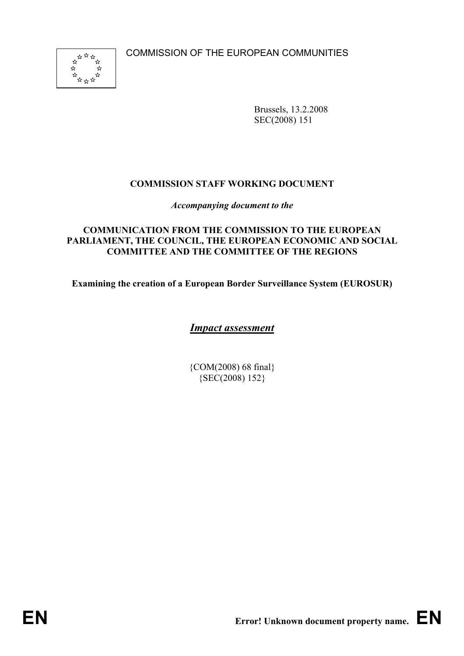COMMISSION OF THE EUROPEAN COMMUNITIES



Brussels, 13.2.2008 SEC(2008) 151

## **COMMISSION STAFF WORKING DOCUMENT**

*Accompanying document to the* 

## **COMMUNICATION FROM THE COMMISSION TO THE EUROPEAN PARLIAMENT, THE COUNCIL, THE EUROPEAN ECONOMIC AND SOCIAL COMMITTEE AND THE COMMITTEE OF THE REGIONS**

**Examining the creation of a European Border Surveillance System (EUROSUR)** 

*Impact assessment* 

{COM(2008) 68 final} {SEC(2008) 152}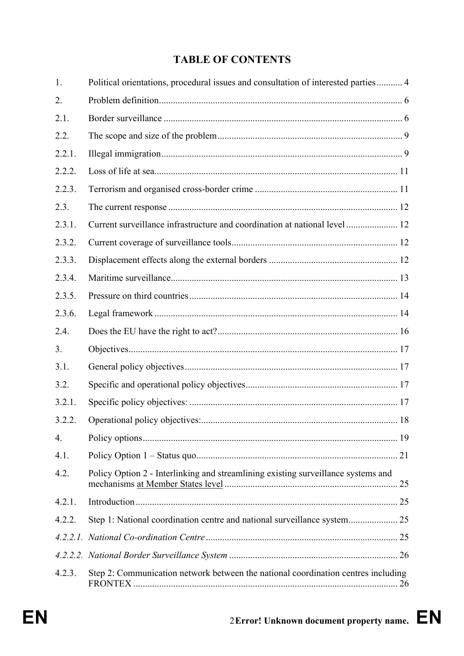# **TABLE OF CONTENTS**

| 1.               | Political orientations, procedural issues and consultation of interested parties 4 |  |
|------------------|------------------------------------------------------------------------------------|--|
| 2.               |                                                                                    |  |
| 2.1.             |                                                                                    |  |
| 2.2.             |                                                                                    |  |
| 2.2.1.           |                                                                                    |  |
| 2.2.2.           |                                                                                    |  |
| 2.2.3.           |                                                                                    |  |
| 2.3.             |                                                                                    |  |
| 2.3.1.           | Current surveillance infrastructure and coordination at national level  12         |  |
| 2.3.2.           |                                                                                    |  |
| 2.3.3.           |                                                                                    |  |
| 2.3.4.           |                                                                                    |  |
| 2.3.5.           |                                                                                    |  |
| 2.3.6.           |                                                                                    |  |
| 2.4.             |                                                                                    |  |
| 3.               |                                                                                    |  |
| 3.1.             |                                                                                    |  |
| 3.2.             |                                                                                    |  |
| 3.2.1.           |                                                                                    |  |
| 3.2.2.           |                                                                                    |  |
| $\overline{4}$ . |                                                                                    |  |
| 4.1.             |                                                                                    |  |
| 4.2.             | Policy Option 2 - Interlinking and streamlining existing surveillance systems and  |  |
| 4.2.1.           |                                                                                    |  |
| 4.2.2.           |                                                                                    |  |
|                  |                                                                                    |  |
|                  |                                                                                    |  |
| 4.2.3.           | Step 2: Communication network between the national coordination centres including  |  |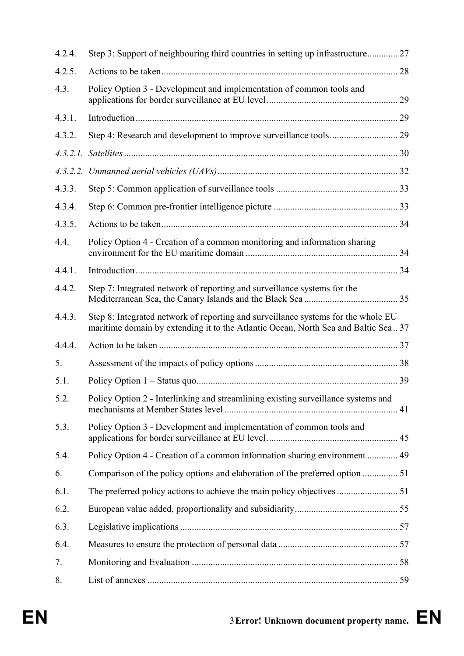| 4.2.4.   | Step 3: Support of neighbouring third countries in setting up infrastructure 27                                                                                         |  |
|----------|-------------------------------------------------------------------------------------------------------------------------------------------------------------------------|--|
| 4.2.5.   |                                                                                                                                                                         |  |
| 4.3.     | Policy Option 3 - Development and implementation of common tools and                                                                                                    |  |
| 4.3.1.   |                                                                                                                                                                         |  |
| 4.3.2.   |                                                                                                                                                                         |  |
| 4.3.2.1. |                                                                                                                                                                         |  |
|          |                                                                                                                                                                         |  |
| 4.3.3.   |                                                                                                                                                                         |  |
| 4.3.4.   |                                                                                                                                                                         |  |
| 4.3.5.   |                                                                                                                                                                         |  |
| 4.4.     | Policy Option 4 - Creation of a common monitoring and information sharing                                                                                               |  |
| 4.4.1.   |                                                                                                                                                                         |  |
| 4.4.2.   | Step 7: Integrated network of reporting and surveillance systems for the                                                                                                |  |
| 4.4.3.   | Step 8: Integrated network of reporting and surveillance systems for the whole EU<br>maritime domain by extending it to the Atlantic Ocean, North Sea and Baltic Sea 37 |  |
| 4.4.4.   |                                                                                                                                                                         |  |
| 5.       |                                                                                                                                                                         |  |
| 5.1.     |                                                                                                                                                                         |  |
| 5.2.     | Policy Option 2 - Interlinking and streamlining existing surveillance systems and                                                                                       |  |
| 5.3.     | Policy Option 3 - Development and implementation of common tools and                                                                                                    |  |
| 5.4.     | Policy Option 4 - Creation of a common information sharing environment  49                                                                                              |  |
| 6.       |                                                                                                                                                                         |  |
| 6.1.     |                                                                                                                                                                         |  |
| 6.2.     |                                                                                                                                                                         |  |
| 6.3.     |                                                                                                                                                                         |  |
| 6.4.     |                                                                                                                                                                         |  |
| 7.       |                                                                                                                                                                         |  |
| 8.       |                                                                                                                                                                         |  |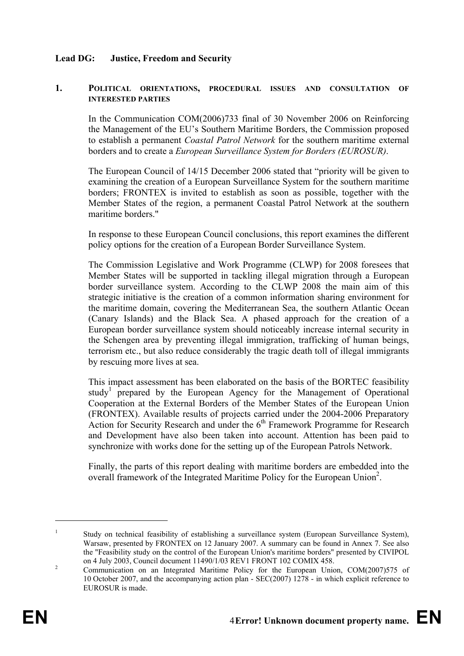#### **Lead DG: Justice, Freedom and Security**

#### **1. POLITICAL ORIENTATIONS, PROCEDURAL ISSUES AND CONSULTATION OF INTERESTED PARTIES**

In the Communication COM(2006)733 final of 30 November 2006 on Reinforcing the Management of the EU's Southern Maritime Borders, the Commission proposed to establish a permanent *Coastal Patrol Network* for the southern maritime external borders and to create a *European Surveillance System for Borders (EUROSUR)*.

The European Council of 14/15 December 2006 stated that "priority will be given to examining the creation of a European Surveillance System for the southern maritime borders; FRONTEX is invited to establish as soon as possible, together with the Member States of the region, a permanent Coastal Patrol Network at the southern maritime borders."

In response to these European Council conclusions, this report examines the different policy options for the creation of a European Border Surveillance System.

The Commission Legislative and Work Programme (CLWP) for 2008 foresees that Member States will be supported in tackling illegal migration through a European border surveillance system. According to the CLWP 2008 the main aim of this strategic initiative is the creation of a common information sharing environment for the maritime domain, covering the Mediterranean Sea, the southern Atlantic Ocean (Canary Islands) and the Black Sea. A phased approach for the creation of a European border surveillance system should noticeably increase internal security in the Schengen area by preventing illegal immigration, trafficking of human beings, terrorism etc., but also reduce considerably the tragic death toll of illegal immigrants by rescuing more lives at sea.

This impact assessment has been elaborated on the basis of the BORTEC feasibility study<sup>1</sup> prepared by the European Agency for the Management of Operational Cooperation at the External Borders of the Member States of the European Union (FRONTEX). Available results of projects carried under the 2004-2006 Preparatory Action for Security Research and under the 6<sup>th</sup> Framework Programme for Research and Development have also been taken into account. Attention has been paid to synchronize with works done for the setting up of the European Patrols Network.

Finally, the parts of this report dealing with maritime borders are embedded into the overall framework of the Integrated Maritime Policy for the European Union<sup>2</sup>.

<sup>1</sup> Study on technical feasibility of establishing a surveillance system (European Surveillance System), Warsaw, presented by FRONTEX on 12 January 2007. A summary can be found in Annex 7. See also the "Feasibility study on the control of the European Union's maritime borders" presented by CIVIPOL on 4 July 2003, Council document 11490/1/03 REV1 FRONT 102 COMIX 458.

<sup>&</sup>lt;sup>2</sup> Communication on an Integrated Maritime Policy for the European Union, COM(2007)575 of 10 October 2007, and the accompanying action plan - SEC(2007) 1278 - in which explicit reference to EUROSUR is made.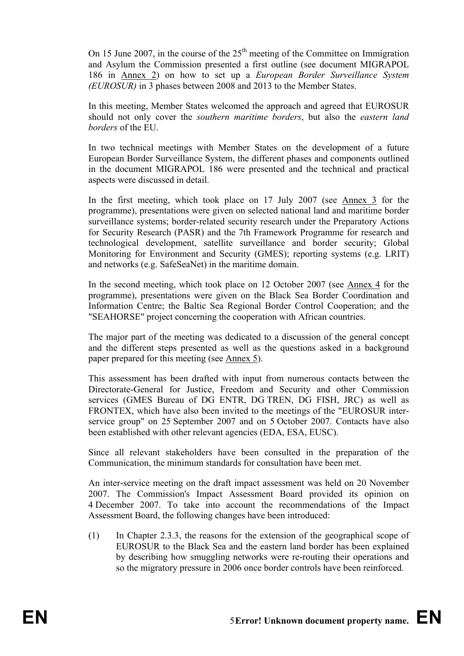On 15 June 2007, in the course of the  $25<sup>th</sup>$  meeting of the Committee on Immigration and Asylum the Commission presented a first outline (see document MIGRAPOL 186 in Annex 2) on how to set up a *European Border Surveillance System (EUROSUR)* in 3 phases between 2008 and 2013 to the Member States.

In this meeting, Member States welcomed the approach and agreed that EUROSUR should not only cover the *southern maritime borders*, but also the *eastern land borders* of the EU.

In two technical meetings with Member States on the development of a future European Border Surveillance System, the different phases and components outlined in the document MIGRAPOL 186 were presented and the technical and practical aspects were discussed in detail.

In the first meeting, which took place on 17 July 2007 (see Annex 3 for the programme), presentations were given on selected national land and maritime border surveillance systems; border-related security research under the Preparatory Actions for Security Research (PASR) and the 7th Framework Programme for research and technological development, satellite surveillance and border security; Global Monitoring for Environment and Security (GMES); reporting systems (e.g. LRIT) and networks (e.g. SafeSeaNet) in the maritime domain.

In the second meeting, which took place on 12 October 2007 (see Annex 4 for the programme), presentations were given on the Black Sea Border Coordination and Information Centre; the Baltic Sea Regional Border Control Cooperation; and the "SEAHORSE" project concerning the cooperation with African countries.

The major part of the meeting was dedicated to a discussion of the general concept and the different steps presented as well as the questions asked in a background paper prepared for this meeting (see Annex 5).

This assessment has been drafted with input from numerous contacts between the Directorate-General for Justice, Freedom and Security and other Commission services (GMES Bureau of DG ENTR, DG TREN, DG FISH, JRC) as well as FRONTEX, which have also been invited to the meetings of the "EUROSUR interservice group" on 25 September 2007 and on 5 October 2007. Contacts have also been established with other relevant agencies (EDA, ESA, EUSC).

Since all relevant stakeholders have been consulted in the preparation of the Communication, the minimum standards for consultation have been met.

An inter-service meeting on the draft impact assessment was held on 20 November 2007. The Commission's Impact Assessment Board provided its opinion on 4 December 2007. To take into account the recommendations of the Impact Assessment Board, the following changes have been introduced:

(1) In Chapter 2.3.3, the reasons for the extension of the geographical scope of EUROSUR to the Black Sea and the eastern land border has been explained by describing how smuggling networks were re-routing their operations and so the migratory pressure in 2006 once border controls have been reinforced.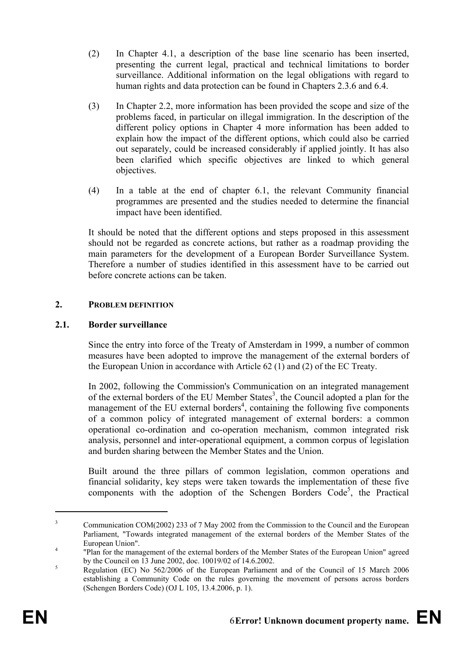- (2) In Chapter 4.1, a description of the base line scenario has been inserted, presenting the current legal, practical and technical limitations to border surveillance. Additional information on the legal obligations with regard to human rights and data protection can be found in Chapters 2.3.6 and 6.4.
- (3) In Chapter 2.2, more information has been provided the scope and size of the problems faced, in particular on illegal immigration. In the description of the different policy options in Chapter 4 more information has been added to explain how the impact of the different options, which could also be carried out separately, could be increased considerably if applied jointly. It has also been clarified which specific objectives are linked to which general objectives.
- (4) In a table at the end of chapter 6.1, the relevant Community financial programmes are presented and the studies needed to determine the financial impact have been identified.

It should be noted that the different options and steps proposed in this assessment should not be regarded as concrete actions, but rather as a roadmap providing the main parameters for the development of a European Border Surveillance System. Therefore a number of studies identified in this assessment have to be carried out before concrete actions can be taken.

## **2. PROBLEM DEFINITION**

## **2.1. Border surveillance**

Since the entry into force of the Treaty of Amsterdam in 1999, a number of common measures have been adopted to improve the management of the external borders of the European Union in accordance with Article 62 (1) and (2) of the EC Treaty.

In 2002, following the Commission's Communication on an integrated management of the external borders of the EU Member States<sup>3</sup>, the Council adopted a plan for the management of the EU external borders<sup>4</sup>, containing the following five components of a common policy of integrated management of external borders: a common operational co-ordination and co-operation mechanism, common integrated risk analysis, personnel and inter-operational equipment, a common corpus of legislation and burden sharing between the Member States and the Union.

Built around the three pillars of common legislation, common operations and financial solidarity, key steps were taken towards the implementation of these five components with the adoption of the Schengen Borders Code<sup>5</sup>, the Practical

<sup>3</sup> Communication COM(2002) 233 of 7 May 2002 from the Commission to the Council and the European Parliament, "Towards integrated management of the external borders of the Member States of the European Union".

 <sup>&</sup>quot;Plan for the management of the external borders of the Member States of the European Union" agreed by the Council on 13 June 2002, doc. 10019/02 of 14.6.2002.

Regulation (EC) No 562/2006 of the European Parliament and of the Council of 15 March 2006 establishing a Community Code on the rules governing the movement of persons across borders (Schengen Borders Code) (OJ L 105, 13.4.2006, p. 1).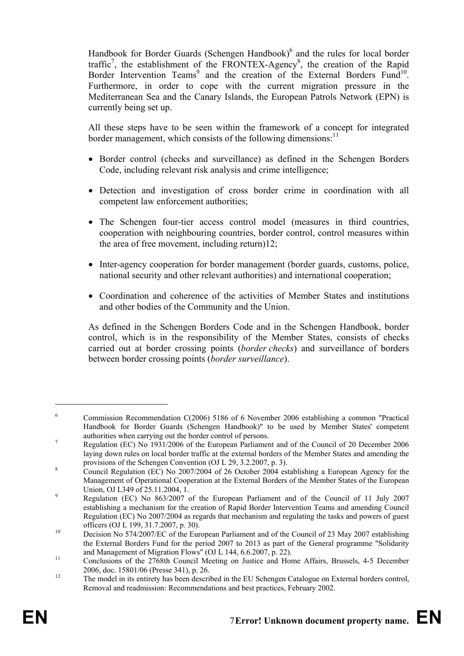Handbook for Border Guards (Schengen Handbook)<sup>6</sup> and the rules for local border traffic<sup>7</sup>, the establishment of the FRONTEX-Agency<sup>8</sup>, the creation of the Rapid Border Intervention Teams<sup>9</sup> and the creation of the External Borders Fund<sup>10</sup>. Furthermore, in order to cope with the current migration pressure in the Mediterranean Sea and the Canary Islands, the European Patrols Network (EPN) is currently being set up.

All these steps have to be seen within the framework of a concept for integrated border management, which consists of the following dimensions:<sup>11</sup>

- Border control (checks and surveillance) as defined in the Schengen Borders Code, including relevant risk analysis and crime intelligence;
- Detection and investigation of cross border crime in coordination with all competent law enforcement authorities;
- The Schengen four-tier access control model (measures in third countries, cooperation with neighbouring countries, border control, control measures within the area of free movement, including return)12;
- Inter-agency cooperation for border management (border guards, customs, police, national security and other relevant authorities) and international cooperation;
- Coordination and coherence of the activities of Member States and institutions and other bodies of the Community and the Union.

As defined in the Schengen Borders Code and in the Schengen Handbook, border control, which is in the responsibility of the Member States, consists of checks carried out at border crossing points (*border checks*) and surveillance of borders between border crossing points (*border surveillance*).

<sup>6</sup> Commission Recommendation C(2006) 5186 of 6 November 2006 establishing a common "Practical Handbook for Border Guards (Schengen Handbook)" to be used by Member States' competent authorities when carrying out the border control of persons.

<sup>&</sup>lt;sup>7</sup> Regulation (EC) No 1931/2006 of the European Parliament and of the Council of 20 December 2006 laying down rules on local border traffic at the external borders of the Member States and amending the provisions of the Schengen Convention (OJ L 29, 3.2.2007, p. 3).

Council Regulation (EC) No 2007/2004 of 26 October 2004 establishing a European Agency for the Management of Operational Cooperation at the External Borders of the Member States of the European Union, OJ L349 of 25.11.2004, 1.

Regulation (EC) No 863/2007 of the European Parliament and of the Council of 11 July 2007 establishing a mechanism for the creation of Rapid Border Intervention Teams and amending Council Regulation (EC) No 2007/2004 as regards that mechanism and regulating the tasks and powers of guest officers (OJ L 199, 31.7.2007, p. 30).<br>
Decision No 574/2007/EC of the European Parliament and of the Council of 23 May 2007 establishing

the External Borders Fund for the period 2007 to 2013 as part of the General programme "Solidarity

and Management of Migration Flows" (OJ L 144, 6.6.2007, p. 22).<br>
11 Conclusions of the 2768th Council Meeting on Justice and Home Affairs, Brussels, 4-5 December 2006, doc. 15801/06 (Presse 341), p. 26.<br>The model in its entirety has been described in the EU Schengen Catalogue on External borders control,

Removal and readmission: Recommendations and best practices, February 2002.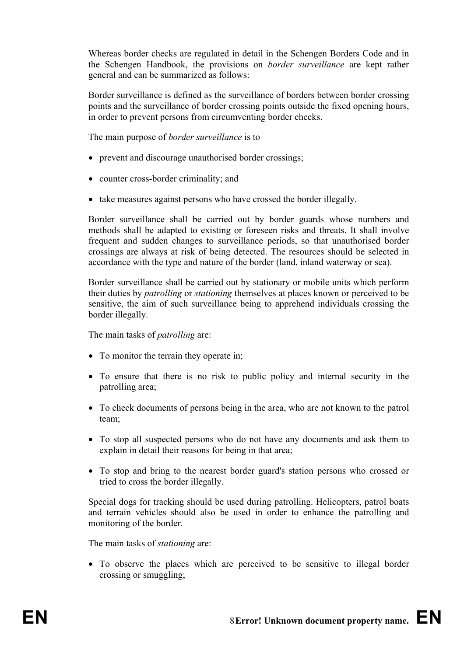Whereas border checks are regulated in detail in the Schengen Borders Code and in the Schengen Handbook, the provisions on *border surveillance* are kept rather general and can be summarized as follows:

Border surveillance is defined as the surveillance of borders between border crossing points and the surveillance of border crossing points outside the fixed opening hours, in order to prevent persons from circumventing border checks.

The main purpose of *border surveillance* is to

- prevent and discourage unauthorised border crossings;
- counter cross-border criminality; and
- take measures against persons who have crossed the border illegally.

Border surveillance shall be carried out by border guards whose numbers and methods shall be adapted to existing or foreseen risks and threats. It shall involve frequent and sudden changes to surveillance periods, so that unauthorised border crossings are always at risk of being detected. The resources should be selected in accordance with the type and nature of the border (land, inland waterway or sea).

Border surveillance shall be carried out by stationary or mobile units which perform their duties by *patrolling* or *stationing* themselves at places known or perceived to be sensitive, the aim of such surveillance being to apprehend individuals crossing the border illegally.

The main tasks of *patrolling* are:

- To monitor the terrain they operate in;
- To ensure that there is no risk to public policy and internal security in the patrolling area;
- To check documents of persons being in the area, who are not known to the patrol team;
- To stop all suspected persons who do not have any documents and ask them to explain in detail their reasons for being in that area;
- To stop and bring to the nearest border guard's station persons who crossed or tried to cross the border illegally.

Special dogs for tracking should be used during patrolling. Helicopters, patrol boats and terrain vehicles should also be used in order to enhance the patrolling and monitoring of the border.

The main tasks of *stationing* are:

• To observe the places which are perceived to be sensitive to illegal border crossing or smuggling;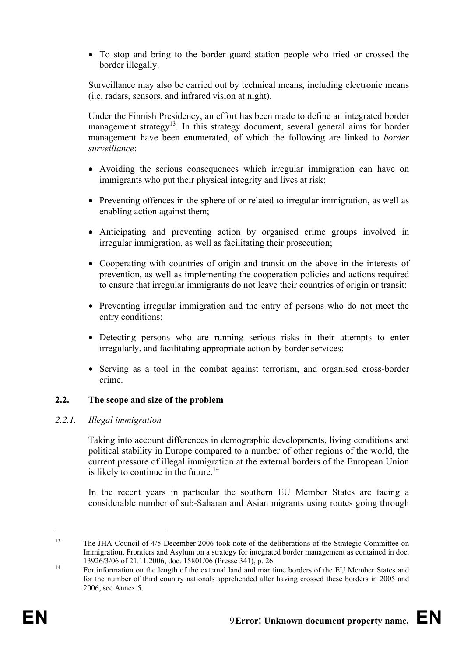• To stop and bring to the border guard station people who tried or crossed the border illegally.

Surveillance may also be carried out by technical means, including electronic means (i.e. radars, sensors, and infrared vision at night).

Under the Finnish Presidency, an effort has been made to define an integrated border management strategy<sup>13</sup>. In this strategy document, several general aims for border management have been enumerated, of which the following are linked to *border surveillance*:

- Avoiding the serious consequences which irregular immigration can have on immigrants who put their physical integrity and lives at risk;
- Preventing offences in the sphere of or related to irregular immigration, as well as enabling action against them;
- Anticipating and preventing action by organised crime groups involved in irregular immigration, as well as facilitating their prosecution;
- Cooperating with countries of origin and transit on the above in the interests of prevention, as well as implementing the cooperation policies and actions required to ensure that irregular immigrants do not leave their countries of origin or transit;
- Preventing irregular immigration and the entry of persons who do not meet the entry conditions;
- Detecting persons who are running serious risks in their attempts to enter irregularly, and facilitating appropriate action by border services;
- Serving as a tool in the combat against terrorism, and organised cross-border crime.

## **2.2. The scope and size of the problem**

## *2.2.1. Illegal immigration*

Taking into account differences in demographic developments, living conditions and political stability in Europe compared to a number of other regions of the world, the current pressure of illegal immigration at the external borders of the European Union is likely to continue in the future. $14$ 

In the recent years in particular the southern EU Member States are facing a considerable number of sub-Saharan and Asian migrants using routes going through

<u>.</u>

<sup>&</sup>lt;sup>13</sup> The JHA Council of 4/5 December 2006 took note of the deliberations of the Strategic Committee on Immigration, Frontiers and Asylum on a strategy for integrated border management as contained in doc.<br>13926/3/06 of 21.11.2006, doc. 15801/06 (Presse 341), p. 26.

<sup>&</sup>lt;sup>14</sup> For information on the length of the external land and maritime borders of the EU Member States and For information on the length of the external land and maritime borders of the EU Member States and for the number of third country nationals apprehended after having crossed these borders in 2005 and 2006, see Annex 5.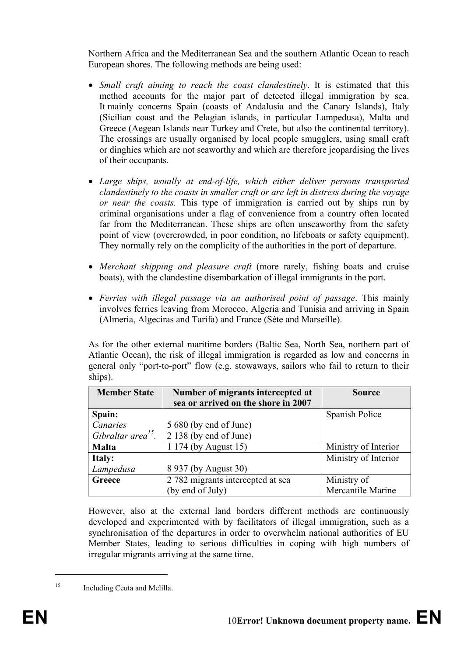Northern Africa and the Mediterranean Sea and the southern Atlantic Ocean to reach European shores. The following methods are being used:

- *Small craft aiming to reach the coast clandestinely*. It is estimated that this method accounts for the major part of detected illegal immigration by sea. It mainly concerns Spain (coasts of Andalusia and the Canary Islands), Italy (Sicilian coast and the Pelagian islands, in particular Lampedusa), Malta and Greece (Aegean Islands near Turkey and Crete, but also the continental territory). The crossings are usually organised by local people smugglers, using small craft or dinghies which are not seaworthy and which are therefore jeopardising the lives of their occupants.
- *Large ships, usually at end-of-life, which either deliver persons transported clandestinely to the coasts in smaller craft or are left in distress during the voyage or near the coasts.* This type of immigration is carried out by ships run by criminal organisations under a flag of convenience from a country often located far from the Mediterranean. These ships are often unseaworthy from the safety point of view (overcrowded, in poor condition, no lifeboats or safety equipment). They normally rely on the complicity of the authorities in the port of departure.
- *Merchant shipping and pleasure craft* (more rarely, fishing boats and cruise boats), with the clandestine disembarkation of illegal immigrants in the port.
- *Ferries with illegal passage via an authorised point of passage*. This mainly involves ferries leaving from Morocco, Algeria and Tunisia and arriving in Spain (Almeria, Algeciras and Tarifa) and France (Sète and Marseille).

As for the other external maritime borders (Baltic Sea, North Sea, northern part of Atlantic Ocean), the risk of illegal immigration is regarded as low and concerns in general only "port-to-port" flow (e.g. stowaways, sailors who fail to return to their ships).

| <b>Member State</b>            | Number of migrants intercepted at   | <b>Source</b>        |
|--------------------------------|-------------------------------------|----------------------|
|                                | sea or arrived on the shore in 2007 |                      |
| Spain:                         |                                     | Spanish Police       |
| Canaries                       | 5 680 (by end of June)              |                      |
| Gibraltar area <sup>15</sup> . | 2 138 (by end of June)              |                      |
| <b>Malta</b>                   | 1 174 (by August 15)                | Ministry of Interior |
| Italy:                         |                                     | Ministry of Interior |
| Lampedusa                      | 8 937 (by August 30)                |                      |
| Greece                         | 2 782 migrants intercepted at sea   | Ministry of          |
|                                | (by end of July)                    | Mercantile Marine    |

However, also at the external land borders different methods are continuously developed and experimented with by facilitators of illegal immigration, such as a synchronisation of the departures in order to overwhelm national authorities of EU Member States, leading to serious difficulties in coping with high numbers of irregular migrants arriving at the same time.

<sup>&</sup>lt;sup>15</sup> Including Ceuta and Melilla.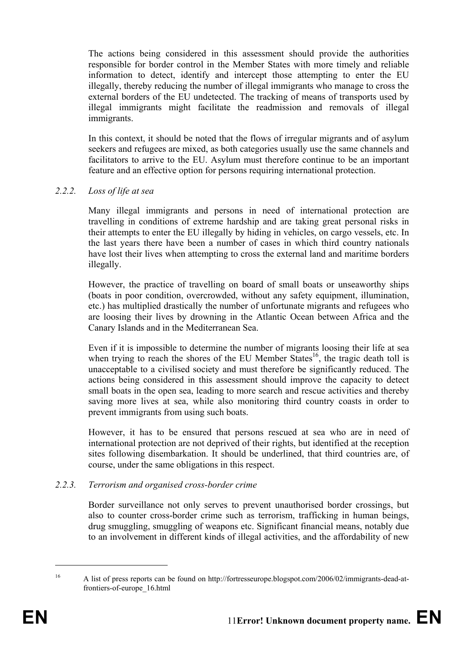The actions being considered in this assessment should provide the authorities responsible for border control in the Member States with more timely and reliable information to detect, identify and intercept those attempting to enter the EU illegally, thereby reducing the number of illegal immigrants who manage to cross the external borders of the EU undetected. The tracking of means of transports used by illegal immigrants might facilitate the readmission and removals of illegal immigrants.

In this context, it should be noted that the flows of irregular migrants and of asylum seekers and refugees are mixed, as both categories usually use the same channels and facilitators to arrive to the EU. Asylum must therefore continue to be an important feature and an effective option for persons requiring international protection.

## *2.2.2. Loss of life at sea*

Many illegal immigrants and persons in need of international protection are travelling in conditions of extreme hardship and are taking great personal risks in their attempts to enter the EU illegally by hiding in vehicles, on cargo vessels, etc. In the last years there have been a number of cases in which third country nationals have lost their lives when attempting to cross the external land and maritime borders illegally.

However, the practice of travelling on board of small boats or unseaworthy ships (boats in poor condition, overcrowded, without any safety equipment, illumination, etc.) has multiplied drastically the number of unfortunate migrants and refugees who are loosing their lives by drowning in the Atlantic Ocean between Africa and the Canary Islands and in the Mediterranean Sea.

Even if it is impossible to determine the number of migrants loosing their life at sea when trying to reach the shores of the EU Member States<sup>16</sup>, the tragic death toll is unacceptable to a civilised society and must therefore be significantly reduced. The actions being considered in this assessment should improve the capacity to detect small boats in the open sea, leading to more search and rescue activities and thereby saving more lives at sea, while also monitoring third country coasts in order to prevent immigrants from using such boats.

However, it has to be ensured that persons rescued at sea who are in need of international protection are not deprived of their rights, but identified at the reception sites following disembarkation. It should be underlined, that third countries are, of course, under the same obligations in this respect.

## *2.2.3. Terrorism and organised cross-border crime*

Border surveillance not only serves to prevent unauthorised border crossings, but also to counter cross-border crime such as terrorism, trafficking in human beings, drug smuggling, smuggling of weapons etc. Significant financial means, notably due to an involvement in different kinds of illegal activities, and the affordability of new

<sup>16</sup> A list of press reports can be found on http://fortresseurope.blogspot.com/2006/02/immigrants-dead-atfrontiers-of-europe\_16.html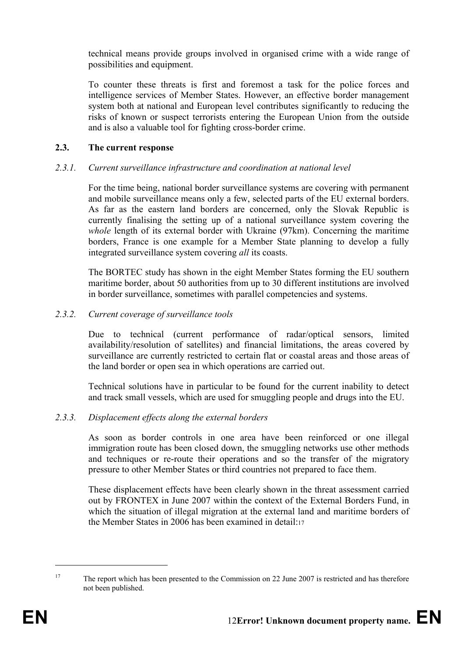technical means provide groups involved in organised crime with a wide range of possibilities and equipment.

To counter these threats is first and foremost a task for the police forces and intelligence services of Member States. However, an effective border management system both at national and European level contributes significantly to reducing the risks of known or suspect terrorists entering the European Union from the outside and is also a valuable tool for fighting cross-border crime.

## **2.3. The current response**

## *2.3.1. Current surveillance infrastructure and coordination at national level*

For the time being, national border surveillance systems are covering with permanent and mobile surveillance means only a few, selected parts of the EU external borders. As far as the eastern land borders are concerned, only the Slovak Republic is currently finalising the setting up of a national surveillance system covering the *whole* length of its external border with Ukraine (97km). Concerning the maritime borders, France is one example for a Member State planning to develop a fully integrated surveillance system covering *all* its coasts.

The BORTEC study has shown in the eight Member States forming the EU southern maritime border, about 50 authorities from up to 30 different institutions are involved in border surveillance, sometimes with parallel competencies and systems.

## *2.3.2. Current coverage of surveillance tools*

Due to technical (current performance of radar/optical sensors, limited availability/resolution of satellites) and financial limitations, the areas covered by surveillance are currently restricted to certain flat or coastal areas and those areas of the land border or open sea in which operations are carried out.

Technical solutions have in particular to be found for the current inability to detect and track small vessels, which are used for smuggling people and drugs into the EU.

## *2.3.3. Displacement effects along the external borders*

As soon as border controls in one area have been reinforced or one illegal immigration route has been closed down, the smuggling networks use other methods and techniques or re-route their operations and so the transfer of the migratory pressure to other Member States or third countries not prepared to face them.

These displacement effects have been clearly shown in the threat assessment carried out by FRONTEX in June 2007 within the context of the External Borders Fund, in which the situation of illegal migration at the external land and maritime borders of the Member States in 2006 has been examined in detail:17

<sup>&</sup>lt;sup>17</sup> The report which has been presented to the Commission on 22 June 2007 is restricted and has therefore not been published.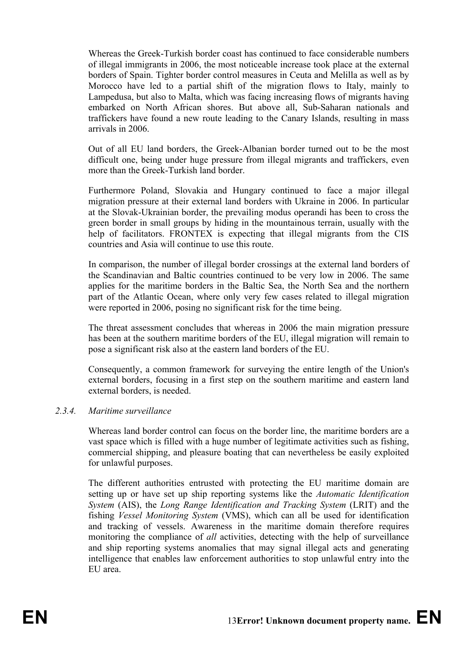Whereas the Greek-Turkish border coast has continued to face considerable numbers of illegal immigrants in 2006, the most noticeable increase took place at the external borders of Spain. Tighter border control measures in Ceuta and Melilla as well as by Morocco have led to a partial shift of the migration flows to Italy, mainly to Lampedusa, but also to Malta, which was facing increasing flows of migrants having embarked on North African shores. But above all, Sub-Saharan nationals and traffickers have found a new route leading to the Canary Islands, resulting in mass arrivals in 2006.

Out of all EU land borders, the Greek-Albanian border turned out to be the most difficult one, being under huge pressure from illegal migrants and traffickers, even more than the Greek-Turkish land border.

Furthermore Poland, Slovakia and Hungary continued to face a major illegal migration pressure at their external land borders with Ukraine in 2006. In particular at the Slovak-Ukrainian border, the prevailing modus operandi has been to cross the green border in small groups by hiding in the mountainous terrain, usually with the help of facilitators. FRONTEX is expecting that illegal migrants from the CIS countries and Asia will continue to use this route.

In comparison, the number of illegal border crossings at the external land borders of the Scandinavian and Baltic countries continued to be very low in 2006. The same applies for the maritime borders in the Baltic Sea, the North Sea and the northern part of the Atlantic Ocean, where only very few cases related to illegal migration were reported in 2006, posing no significant risk for the time being.

The threat assessment concludes that whereas in 2006 the main migration pressure has been at the southern maritime borders of the EU, illegal migration will remain to pose a significant risk also at the eastern land borders of the EU.

Consequently, a common framework for surveying the entire length of the Union's external borders, focusing in a first step on the southern maritime and eastern land external borders, is needed.

## *2.3.4. Maritime surveillance*

Whereas land border control can focus on the border line, the maritime borders are a vast space which is filled with a huge number of legitimate activities such as fishing, commercial shipping, and pleasure boating that can nevertheless be easily exploited for unlawful purposes.

The different authorities entrusted with protecting the EU maritime domain are setting up or have set up ship reporting systems like the *Automatic Identification System* (AIS), the *Long Range Identification and Tracking System* (LRIT) and the fishing *Vessel Monitoring System* (VMS), which can all be used for identification and tracking of vessels. Awareness in the maritime domain therefore requires monitoring the compliance of *all* activities, detecting with the help of surveillance and ship reporting systems anomalies that may signal illegal acts and generating intelligence that enables law enforcement authorities to stop unlawful entry into the EU area.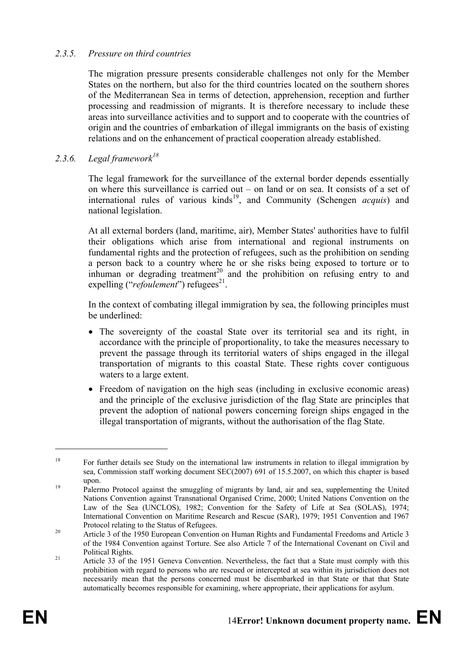## *2.3.5. Pressure on third countries*

The migration pressure presents considerable challenges not only for the Member States on the northern, but also for the third countries located on the southern shores of the Mediterranean Sea in terms of detection, apprehension, reception and further processing and readmission of migrants. It is therefore necessary to include these areas into surveillance activities and to support and to cooperate with the countries of origin and the countries of embarkation of illegal immigrants on the basis of existing relations and on the enhancement of practical cooperation already established.

#### *2.3.6. Legal framework<sup>18</sup>*

The legal framework for the surveillance of the external border depends essentially on where this surveillance is carried out – on land or on sea. It consists of a set of international rules of various kinds19, and Community (Schengen *acquis*) and national legislation.

At all external borders (land, maritime, air), Member States' authorities have to fulfil their obligations which arise from international and regional instruments on fundamental rights and the protection of refugees, such as the prohibition on sending a person back to a country where he or she risks being exposed to torture or to inhuman or degrading treatment<sup>20</sup> and the prohibition on refusing entry to and expelling ("*refoulement*") refugees<sup>21</sup>.

In the context of combating illegal immigration by sea, the following principles must be underlined:

- The sovereignty of the coastal State over its territorial sea and its right, in accordance with the principle of proportionality, to take the measures necessary to prevent the passage through its territorial waters of ships engaged in the illegal transportation of migrants to this coastal State. These rights cover contiguous waters to a large extent.
- Freedom of navigation on the high seas (including in exclusive economic areas) and the principle of the exclusive jurisdiction of the flag State are principles that prevent the adoption of national powers concerning foreign ships engaged in the illegal transportation of migrants, without the authorisation of the flag State.

<u>.</u>

<sup>&</sup>lt;sup>18</sup> For further details see Study on the international law instruments in relation to illegal immigration by sea, Commission staff working document SEC(2007) 691 of 15.5.2007, on which this chapter is based upon.<br><sup>19</sup> Palermo Protocol against the smuggling of migrants by land, air and sea, supplementing the United

Nations Convention against Transnational Organised Crime, 2000; United Nations Convention on the Law of the Sea (UNCLOS), 1982; Convention for the Safety of Life at Sea (SOLAS), 1974; International Convention on Maritime Research and Rescue (SAR), 1979; 1951 Convention and 1967

Protocol relating to the Status of Refugees.<br>
<sup>20</sup> Article 3 of the 1950 European Convention on Human Rights and Fundamental Freedoms and Article 3 of the 1984 Convention against Torture. See also Article 7 of the International Covenant on Civil and

Political Rights.<br><sup>21</sup> Article 33 of the 1951 Geneva Convention. Nevertheless, the fact that a State must comply with this prohibition with regard to persons who are rescued or intercepted at sea within its jurisdiction does not necessarily mean that the persons concerned must be disembarked in that State or that that State automatically becomes responsible for examining, where appropriate, their applications for asylum.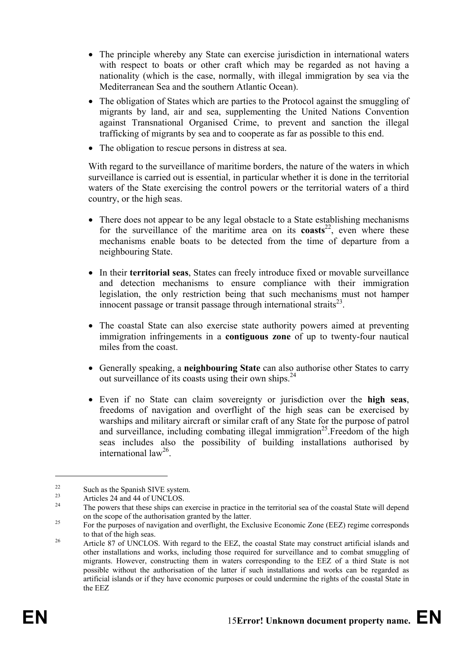- The principle whereby any State can exercise jurisdiction in international waters with respect to boats or other craft which may be regarded as not having a nationality (which is the case, normally, with illegal immigration by sea via the Mediterranean Sea and the southern Atlantic Ocean).
- The obligation of States which are parties to the Protocol against the smuggling of migrants by land, air and sea, supplementing the United Nations Convention against Transnational Organised Crime, to prevent and sanction the illegal trafficking of migrants by sea and to cooperate as far as possible to this end.
- The obligation to rescue persons in distress at sea.

With regard to the surveillance of maritime borders, the nature of the waters in which surveillance is carried out is essential, in particular whether it is done in the territorial waters of the State exercising the control powers or the territorial waters of a third country, or the high seas.

- There does not appear to be any legal obstacle to a State establishing mechanisms for the surveillance of the maritime area on its **coasts**<sup>22</sup>, even where these mechanisms enable boats to be detected from the time of departure from a neighbouring State.
- In their **territorial seas**, States can freely introduce fixed or movable surveillance and detection mechanisms to ensure compliance with their immigration legislation, the only restriction being that such mechanisms must not hamper innocent passage or transit passage through international straits $^{23}$ .
- The coastal State can also exercise state authority powers aimed at preventing immigration infringements in a **contiguous zone** of up to twenty-four nautical miles from the coast.
- Generally speaking, a **neighbouring State** can also authorise other States to carry out surveillance of its coasts using their own ships. $24$
- Even if no State can claim sovereignty or jurisdiction over the **high seas**, freedoms of navigation and overflight of the high seas can be exercised by warships and military aircraft or similar craft of any State for the purpose of patrol and surveillance, including combating illegal immigration<sup>25</sup>. Freedom of the high seas includes also the possibility of building installations authorised by international law26.

<u>.</u>

<sup>&</sup>lt;sup>22</sup> Such as the Spanish SIVE system.

 $\frac{23}{24}$  Articles 24 and 44 of UNCLOS.

The powers that these ships can exercise in practice in the territorial sea of the coastal State will depend on the scope of the authorisation granted by the latter.<br>For the purposes of navigation and overflight, the Exclusive Economic Zone (EEZ) regime corresponds

to that of the high seas.<br><sup>26</sup> Article 87 of UNCLOS. With regard to the EEZ, the coastal State may construct artificial islands and

other installations and works, including those required for surveillance and to combat smuggling of migrants. However, constructing them in waters corresponding to the EEZ of a third State is not possible without the authorisation of the latter if such installations and works can be regarded as artificial islands or if they have economic purposes or could undermine the rights of the coastal State in the EEZ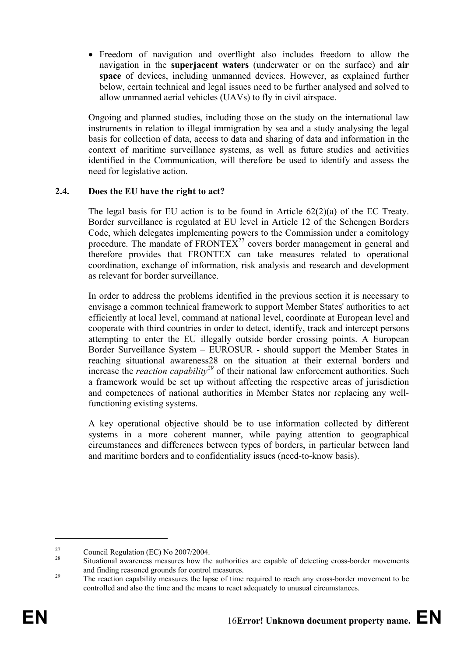• Freedom of navigation and overflight also includes freedom to allow the navigation in the **superjacent waters** (underwater or on the surface) and **air space** of devices, including unmanned devices. However, as explained further below, certain technical and legal issues need to be further analysed and solved to allow unmanned aerial vehicles (UAVs) to fly in civil airspace.

Ongoing and planned studies, including those on the study on the international law instruments in relation to illegal immigration by sea and a study analysing the legal basis for collection of data, access to data and sharing of data and information in the context of maritime surveillance systems, as well as future studies and activities identified in the Communication, will therefore be used to identify and assess the need for legislative action.

## **2.4. Does the EU have the right to act?**

The legal basis for EU action is to be found in Article  $62(2)(a)$  of the EC Treaty. Border surveillance is regulated at EU level in Article 12 of the Schengen Borders Code, which delegates implementing powers to the Commission under a comitology procedure. The mandate of  $FRONTEX^{27}$  covers border management in general and therefore provides that FRONTEX can take measures related to operational coordination, exchange of information, risk analysis and research and development as relevant for border surveillance.

In order to address the problems identified in the previous section it is necessary to envisage a common technical framework to support Member States' authorities to act efficiently at local level, command at national level, coordinate at European level and cooperate with third countries in order to detect, identify, track and intercept persons attempting to enter the EU illegally outside border crossing points. A European Border Surveillance System – EUROSUR - should support the Member States in reaching situational awareness28 on the situation at their external borders and increase the *reaction capability*<sup>29</sup> of their national law enforcement authorities. Such a framework would be set up without affecting the respective areas of jurisdiction and competences of national authorities in Member States nor replacing any wellfunctioning existing systems.

A key operational objective should be to use information collected by different systems in a more coherent manner, while paying attention to geographical circumstances and differences between types of borders, in particular between land and maritime borders and to confidentiality issues (need-to-know basis).

<sup>&</sup>lt;sup>27</sup> Council Regulation (EC) No 2007/2004.

<sup>28</sup> Situational awareness measures how the authorities are capable of detecting cross-border movements and finding reasoned grounds for control measures.<br><sup>29</sup> The reaction capability measures the lapse of time required to reach any cross-border movement to be

controlled and also the time and the means to react adequately to unusual circumstances.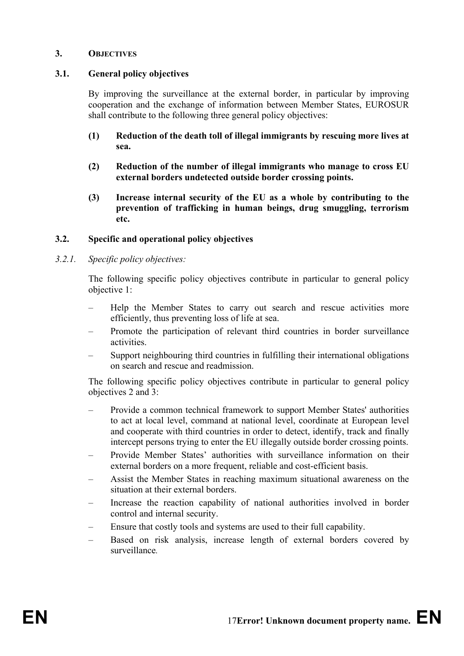#### **3. OBJECTIVES**

#### **3.1. General policy objectives**

By improving the surveillance at the external border, in particular by improving cooperation and the exchange of information between Member States, EUROSUR shall contribute to the following three general policy objectives:

- **(1) Reduction of the death toll of illegal immigrants by rescuing more lives at sea.**
- **(2) Reduction of the number of illegal immigrants who manage to cross EU external borders undetected outside border crossing points.**
- **(3) Increase internal security of the EU as a whole by contributing to the prevention of trafficking in human beings, drug smuggling, terrorism etc.**

#### **3.2. Specific and operational policy objectives**

#### *3.2.1. Specific policy objectives:*

The following specific policy objectives contribute in particular to general policy objective 1:

- Help the Member States to carry out search and rescue activities more efficiently, thus preventing loss of life at sea.
- Promote the participation of relevant third countries in border surveillance activities.
- Support neighbouring third countries in fulfilling their international obligations on search and rescue and readmission.

The following specific policy objectives contribute in particular to general policy objectives 2 and 3:

- Provide a common technical framework to support Member States' authorities to act at local level, command at national level, coordinate at European level and cooperate with third countries in order to detect, identify, track and finally intercept persons trying to enter the EU illegally outside border crossing points.
- Provide Member States' authorities with surveillance information on their external borders on a more frequent, reliable and cost-efficient basis.
- Assist the Member States in reaching maximum situational awareness on the situation at their external borders.
- Increase the reaction capability of national authorities involved in border control and internal security.
- Ensure that costly tools and systems are used to their full capability.
- Based on risk analysis, increase length of external borders covered by surveillance*.*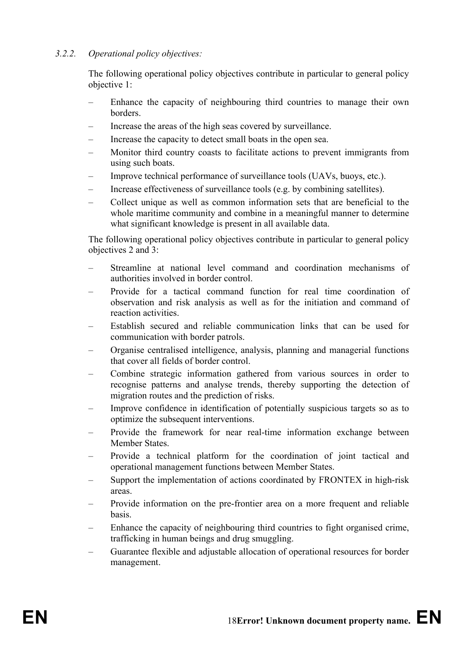## *3.2.2. Operational policy objectives:*

The following operational policy objectives contribute in particular to general policy objective 1:

- Enhance the capacity of neighbouring third countries to manage their own borders.
- Increase the areas of the high seas covered by surveillance.
- Increase the capacity to detect small boats in the open sea.
- Monitor third country coasts to facilitate actions to prevent immigrants from using such boats.
- Improve technical performance of surveillance tools (UAVs, buoys, etc.).
- Increase effectiveness of surveillance tools (e.g. by combining satellites).
- Collect unique as well as common information sets that are beneficial to the whole maritime community and combine in a meaningful manner to determine what significant knowledge is present in all available data.

The following operational policy objectives contribute in particular to general policy objectives 2 and 3:

- Streamline at national level command and coordination mechanisms of authorities involved in border control.
- Provide for a tactical command function for real time coordination of observation and risk analysis as well as for the initiation and command of reaction activities.
- Establish secured and reliable communication links that can be used for communication with border patrols.
- Organise centralised intelligence, analysis, planning and managerial functions that cover all fields of border control.
- Combine strategic information gathered from various sources in order to recognise patterns and analyse trends, thereby supporting the detection of migration routes and the prediction of risks.
- Improve confidence in identification of potentially suspicious targets so as to optimize the subsequent interventions.
- Provide the framework for near real-time information exchange between Member States.
- Provide a technical platform for the coordination of joint tactical and operational management functions between Member States.
- Support the implementation of actions coordinated by FRONTEX in high-risk areas.
- Provide information on the pre-frontier area on a more frequent and reliable basis.
- Enhance the capacity of neighbouring third countries to fight organised crime, trafficking in human beings and drug smuggling.
- Guarantee flexible and adjustable allocation of operational resources for border management.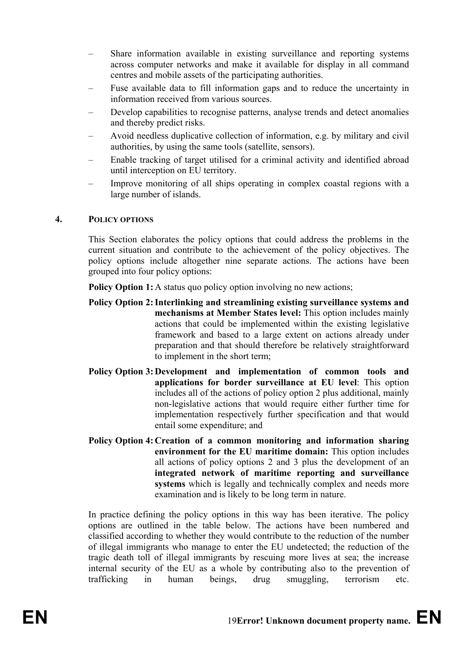- Share information available in existing surveillance and reporting systems across computer networks and make it available for display in all command centres and mobile assets of the participating authorities.
- Fuse available data to fill information gaps and to reduce the uncertainty in information received from various sources.
- Develop capabilities to recognise patterns, analyse trends and detect anomalies and thereby predict risks.
- Avoid needless duplicative collection of information, e.g. by military and civil authorities, by using the same tools (satellite, sensors).
- Enable tracking of target utilised for a criminal activity and identified abroad until interception on EU territory.
- Improve monitoring of all ships operating in complex coastal regions with a large number of islands.

## **4. POLICY OPTIONS**

This Section elaborates the policy options that could address the problems in the current situation and contribute to the achievement of the policy objectives. The policy options include altogether nine separate actions. The actions have been grouped into four policy options:

**Policy Option 1:** A status quo policy option involving no new actions;

- **Policy Option 2: Interlinking and streamlining existing surveillance systems and mechanisms at Member States level:** This option includes mainly actions that could be implemented within the existing legislative framework and based to a large extent on actions already under preparation and that should therefore be relatively straightforward to implement in the short term;
- **Policy Option 3: Development and implementation of common tools and applications for border surveillance at EU level**: This option includes all of the actions of policy option 2 plus additional, mainly non-legislative actions that would require either further time for implementation respectively further specification and that would entail some expenditure; and
- **Policy Option 4: Creation of a common monitoring and information sharing environment for the EU maritime domain:** This option includes all actions of policy options 2 and 3 plus the development of an **integrated network of maritime reporting and surveillance systems** which is legally and technically complex and needs more examination and is likely to be long term in nature.

In practice defining the policy options in this way has been iterative. The policy options are outlined in the table below. The actions have been numbered and classified according to whether they would contribute to the reduction of the number of illegal immigrants who manage to enter the EU undetected; the reduction of the tragic death toll of illegal immigrants by rescuing more lives at sea; the increase internal security of the EU as a whole by contributing also to the prevention of trafficking in human beings, drug smuggling, terrorism etc.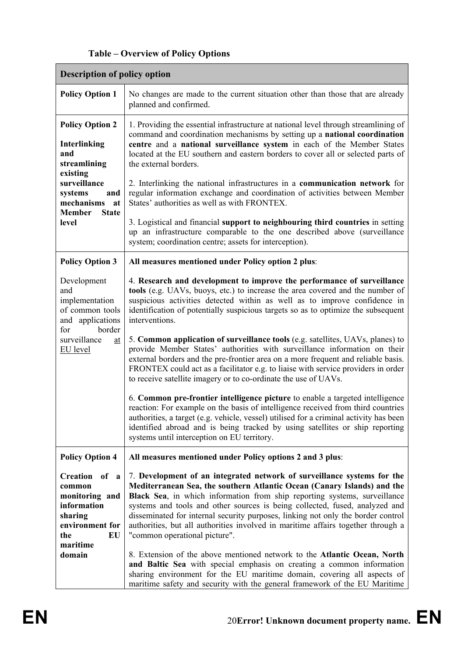| <b>Table – Overview of Policy Options</b> |
|-------------------------------------------|
|-------------------------------------------|

| <b>Description of policy option</b>                                                                                                                                              |                                                                                                                                                                                                                                                                                                                                                                                                                                                                                                                                                                                                                                                                                                                                                                                                                                                                                                                                                                                                                                                                                                                                                       |  |  |  |
|----------------------------------------------------------------------------------------------------------------------------------------------------------------------------------|-------------------------------------------------------------------------------------------------------------------------------------------------------------------------------------------------------------------------------------------------------------------------------------------------------------------------------------------------------------------------------------------------------------------------------------------------------------------------------------------------------------------------------------------------------------------------------------------------------------------------------------------------------------------------------------------------------------------------------------------------------------------------------------------------------------------------------------------------------------------------------------------------------------------------------------------------------------------------------------------------------------------------------------------------------------------------------------------------------------------------------------------------------|--|--|--|
| <b>Policy Option 1</b>                                                                                                                                                           | No changes are made to the current situation other than those that are already<br>planned and confirmed.                                                                                                                                                                                                                                                                                                                                                                                                                                                                                                                                                                                                                                                                                                                                                                                                                                                                                                                                                                                                                                              |  |  |  |
| <b>Policy Option 2</b><br><b>Interlinking</b><br>and<br>streamlining<br>existing<br>surveillance<br>systems<br>and<br>mechanisms<br>at<br><b>Member</b><br><b>State</b><br>level | 1. Providing the essential infrastructure at national level through streamlining of<br>command and coordination mechanisms by setting up a national coordination<br>centre and a national surveillance system in each of the Member States<br>located at the EU southern and eastern borders to cover all or selected parts of<br>the external borders.<br>2. Interlinking the national infrastructures in a communication network for<br>regular information exchange and coordination of activities between Member<br>States' authorities as well as with FRONTEX.<br>3. Logistical and financial support to neighbouring third countries in setting<br>up an infrastructure comparable to the one described above (surveillance<br>system; coordination centre; assets for interception).                                                                                                                                                                                                                                                                                                                                                          |  |  |  |
| <b>Policy Option 3</b>                                                                                                                                                           | All measures mentioned under Policy option 2 plus:                                                                                                                                                                                                                                                                                                                                                                                                                                                                                                                                                                                                                                                                                                                                                                                                                                                                                                                                                                                                                                                                                                    |  |  |  |
| Development<br>and<br>implementation<br>of common tools<br>and applications<br>border<br>for<br>surveillance<br>$\underline{\mathrm{at}}$<br><b>EU</b> level                     | 4. Research and development to improve the performance of surveillance<br>tools (e.g. UAVs, buoys, etc.) to increase the area covered and the number of<br>suspicious activities detected within as well as to improve confidence in<br>identification of potentially suspicious targets so as to optimize the subsequent<br>interventions.<br>5. Common application of surveillance tools (e.g. satellites, UAVs, planes) to<br>provide Member States' authorities with surveillance information on their<br>external borders and the pre-frontier area on a more frequent and reliable basis.<br>FRONTEX could act as a facilitator e.g. to liaise with service providers in order<br>to receive satellite imagery or to co-ordinate the use of UAVs.<br>6. Common pre-frontier intelligence picture to enable a targeted intelligence<br>reaction: For example on the basis of intelligence received from third countries<br>authorities, a target (e.g. vehicle, vessel) utilised for a criminal activity has been<br>identified abroad and is being tracked by using satellites or ship reporting<br>systems until interception on EU territory. |  |  |  |
| <b>Policy Option 4</b>                                                                                                                                                           | All measures mentioned under Policy options 2 and 3 plus:                                                                                                                                                                                                                                                                                                                                                                                                                                                                                                                                                                                                                                                                                                                                                                                                                                                                                                                                                                                                                                                                                             |  |  |  |
| <b>Creation</b><br>of a<br>common<br>monitoring and<br>information<br>sharing<br>environment for<br>EU<br>the<br>maritime<br>domain                                              | 7. Development of an integrated network of surveillance systems for the<br>Mediterranean Sea, the southern Atlantic Ocean (Canary Islands) and the<br>Black Sea, in which information from ship reporting systems, surveillance<br>systems and tools and other sources is being collected, fused, analyzed and<br>disseminated for internal security purposes, linking not only the border control<br>authorities, but all authorities involved in maritime affairs together through a<br>"common operational picture".<br>8. Extension of the above mentioned network to the Atlantic Ocean, North<br>and Baltic Sea with special emphasis on creating a common information<br>sharing environment for the EU maritime domain, covering all aspects of<br>maritime safety and security with the general framework of the EU Maritime                                                                                                                                                                                                                                                                                                                 |  |  |  |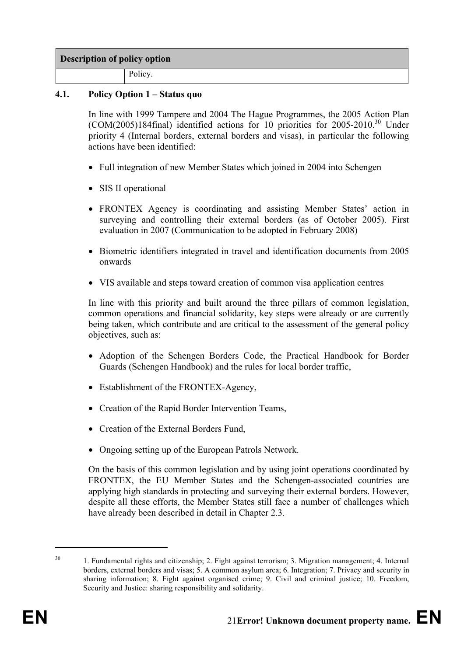## **Description of policy option**

Policy.

## **4.1. Policy Option 1 – Status quo**

In line with 1999 Tampere and 2004 The Hague Programmes, the 2005 Action Plan  $(COM(2005)184$ final) identified actions for 10 priorities for 2005-2010.<sup>30</sup> Under priority 4 (Internal borders, external borders and visas), in particular the following actions have been identified:

- Full integration of new Member States which joined in 2004 into Schengen
- SIS II operational
- FRONTEX Agency is coordinating and assisting Member States' action in surveying and controlling their external borders (as of October 2005). First evaluation in 2007 (Communication to be adopted in February 2008)
- Biometric identifiers integrated in travel and identification documents from 2005 onwards
- VIS available and steps toward creation of common visa application centres

In line with this priority and built around the three pillars of common legislation, common operations and financial solidarity, key steps were already or are currently being taken, which contribute and are critical to the assessment of the general policy objectives, such as:

- Adoption of the Schengen Borders Code, the Practical Handbook for Border Guards (Schengen Handbook) and the rules for local border traffic,
- Establishment of the FRONTEX-Agency,
- Creation of the Rapid Border Intervention Teams,
- Creation of the External Borders Fund.
- Ongoing setting up of the European Patrols Network.

On the basis of this common legislation and by using joint operations coordinated by FRONTEX, the EU Member States and the Schengen-associated countries are applying high standards in protecting and surveying their external borders. However, despite all these efforts, the Member States still face a number of challenges which have already been described in detail in Chapter 2.3.

<sup>&</sup>lt;sup>30</sup> 1. Fundamental rights and citizenship; 2. Fight against terrorism; 3. Migration management; 4. Internal borders, external borders and visas; 5. A common asylum area; 6. Integration; 7. Privacy and security in sharing information; 8. Fight against organised crime; 9. Civil and criminal justice; 10. Freedom, Security and Justice: sharing responsibility and solidarity.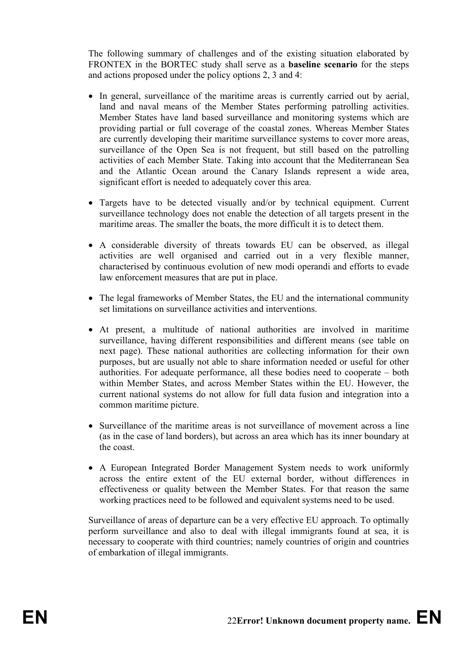The following summary of challenges and of the existing situation elaborated by FRONTEX in the BORTEC study shall serve as a **baseline scenario** for the steps and actions proposed under the policy options 2, 3 and 4:

- In general, surveillance of the maritime areas is currently carried out by aerial, land and naval means of the Member States performing patrolling activities. Member States have land based surveillance and monitoring systems which are providing partial or full coverage of the coastal zones. Whereas Member States are currently developing their maritime surveillance systems to cover more areas, surveillance of the Open Sea is not frequent, but still based on the patrolling activities of each Member State. Taking into account that the Mediterranean Sea and the Atlantic Ocean around the Canary Islands represent a wide area, significant effort is needed to adequately cover this area.
- Targets have to be detected visually and/or by technical equipment. Current surveillance technology does not enable the detection of all targets present in the maritime areas. The smaller the boats, the more difficult it is to detect them.
- A considerable diversity of threats towards EU can be observed, as illegal activities are well organised and carried out in a very flexible manner, characterised by continuous evolution of new modi operandi and efforts to evade law enforcement measures that are put in place.
- The legal frameworks of Member States, the EU and the international community set limitations on surveillance activities and interventions.
- At present, a multitude of national authorities are involved in maritime surveillance, having different responsibilities and different means (see table on next page). These national authorities are collecting information for their own purposes, but are usually not able to share information needed or useful for other authorities. For adequate performance, all these bodies need to cooperate – both within Member States, and across Member States within the EU. However, the current national systems do not allow for full data fusion and integration into a common maritime picture.
- Surveillance of the maritime areas is not surveillance of movement across a line (as in the case of land borders), but across an area which has its inner boundary at the coast.
- A European Integrated Border Management System needs to work uniformly across the entire extent of the EU external border, without differences in effectiveness or quality between the Member States. For that reason the same working practices need to be followed and equivalent systems need to be used.

Surveillance of areas of departure can be a very effective EU approach. To optimally perform surveillance and also to deal with illegal immigrants found at sea, it is necessary to cooperate with third countries; namely countries of origin and countries of embarkation of illegal immigrants.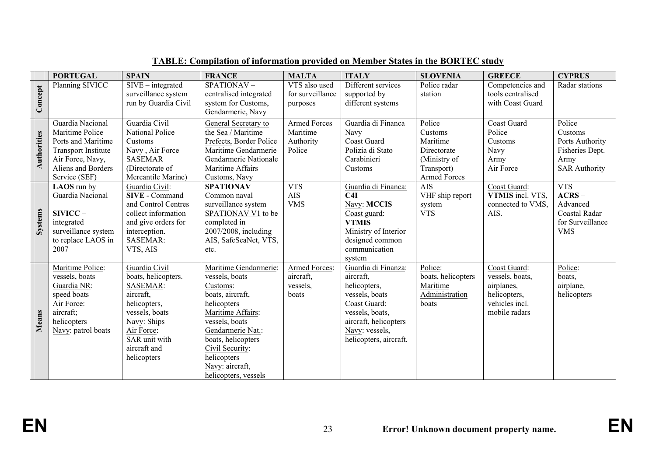|             | <b>PORTUGAL</b>                                                                                                                                    | <b>SPAIN</b>                                                                                                                                                                        | <b>FRANCE</b>                                                                                                                                                                                                                                         | <b>MALTA</b>                                           | <b>ITALY</b>                                                                                                                                                               | <b>SLOVENIA</b>                                                                                   | <b>GREECE</b>                                                                                    | <b>CYPRUS</b>                                                                           |
|-------------|----------------------------------------------------------------------------------------------------------------------------------------------------|-------------------------------------------------------------------------------------------------------------------------------------------------------------------------------------|-------------------------------------------------------------------------------------------------------------------------------------------------------------------------------------------------------------------------------------------------------|--------------------------------------------------------|----------------------------------------------------------------------------------------------------------------------------------------------------------------------------|---------------------------------------------------------------------------------------------------|--------------------------------------------------------------------------------------------------|-----------------------------------------------------------------------------------------|
| Concept     | Planning SIVICC                                                                                                                                    | $SIVE - integrated$<br>surveillance system<br>run by Guardia Civil                                                                                                                  | $SPATHONAV -$<br>centralised integrated<br>system for Customs,<br>Gendarmerie, Navy                                                                                                                                                                   | VTS also used<br>for surveillance<br>purposes          | Different services<br>supported by<br>different systems                                                                                                                    | Police radar<br>station                                                                           | Competencies and<br>tools centralised<br>with Coast Guard                                        | Radar stations                                                                          |
| Authorities | Guardia Nacional<br>Maritime Police<br>Ports and Maritime<br><b>Transport Institute</b><br>Air Force, Navy,<br>Aliens and Borders<br>Service (SEF) | Guardia Civil<br><b>National Police</b><br>Customs<br>Navy, Air Force<br><b>SASEMAR</b><br>(Directorate of<br>Mercantile Marine)                                                    | General Secretary to<br>the Sea / Maritime<br>Prefects, Border Police<br>Maritime Gendarmerie<br>Gendarmerie Nationale<br>Maritime Affairs<br>Customs, Navy                                                                                           | <b>Armed Forces</b><br>Maritime<br>Authority<br>Police | Guardia di Financa<br>Navy<br><b>Coast Guard</b><br>Polizia di Stato<br>Carabinieri<br>Customs                                                                             | Police<br>Customs<br>Maritime<br>Directorate<br>(Ministry of<br>Transport)<br><b>Armed Forces</b> | Coast Guard<br>Police<br>Customs<br>Navy<br>Army<br>Air Force                                    | Police<br>Customs<br>Ports Authority<br>Fisheries Dept.<br>Army<br><b>SAR Authority</b> |
| Systems     | LAOS run by<br>Guardia Nacional<br>$SIVICC-$<br>integrated<br>surveillance system<br>to replace LAOS in<br>2007                                    | Guardia Civil:<br><b>SIVE</b> - Command<br>and Control Centres<br>collect information<br>and give orders for<br>interception.<br><b>SASEMAR:</b><br>VTS, AIS                        | <b>SPATIONAV</b><br>Common naval<br>surveillance system<br>SPATIONAV V1 to be<br>completed in<br>2007/2008, including<br>AIS, SafeSeaNet, VTS,<br>etc.                                                                                                | <b>VTS</b><br><b>AIS</b><br><b>VMS</b>                 | Guardia di Financa:<br>C4I<br>Navy: MCCIS<br>Coast guard:<br><b>VTMIS</b><br>Ministry of Interior<br>designed common<br>communication<br>system                            | <b>AIS</b><br>VHF ship report<br>system<br><b>VTS</b>                                             | Coast Guard:<br>VTMIS incl. VTS.<br>connected to VMS.<br>AIS.                                    | <b>VTS</b><br>$ACRS -$<br>Advanced<br>Coastal Radar<br>for Surveillance<br><b>VMS</b>   |
| Means       | Maritime Police:<br>vessels, boats<br>Guardia NR:<br>speed boats<br>Air Force:<br>aircraft;<br>helicopters<br>Navy: patrol boats                   | Guardia Civil<br>boats, helicopters.<br><b>SASEMAR:</b><br>aircraft,<br>helicopters,<br>vessels, boats<br>Navy: Ships<br>Air Force:<br>SAR unit with<br>aircraft and<br>helicopters | Maritime Gendarmerie:<br>vessels, boats<br>Customs:<br>boats, aircraft,<br>helicopters<br>Maritime Affairs:<br>vessels, boats<br>Gendarmerie Nat.:<br>boats, helicopters<br>Civil Security:<br>helicopters<br>Navy: aircraft,<br>helicopters, vessels | Armed Forces:<br>aircraft.<br>vessels,<br>boats        | Guardia di Finanza:<br>aircraft,<br>helicopters,<br>vessels, boats<br>Coast Guard:<br>vessels, boats,<br>aircraft, helicopters<br>Navy: vessels,<br>helicopters, aircraft. | Police:<br>boats, helicopters<br>Maritime<br>Administration<br>boats                              | Coast Guard:<br>vessels, boats,<br>airplanes,<br>helicopters,<br>vehicles incl.<br>mobile radars | Police:<br>boats,<br>airplane,<br>helicopters                                           |

## **TABLE: Compilation of information provided on Member States in the BORTEC study**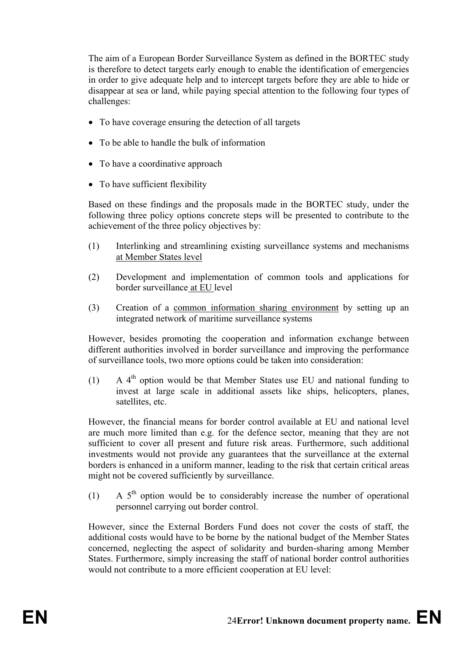The aim of a European Border Surveillance System as defined in the BORTEC study is therefore to detect targets early enough to enable the identification of emergencies in order to give adequate help and to intercept targets before they are able to hide or disappear at sea or land, while paying special attention to the following four types of challenges:

- To have coverage ensuring the detection of all targets
- To be able to handle the bulk of information
- To have a coordinative approach
- To have sufficient flexibility

Based on these findings and the proposals made in the BORTEC study, under the following three policy options concrete steps will be presented to contribute to the achievement of the three policy objectives by:

- (1) Interlinking and streamlining existing surveillance systems and mechanisms at Member States level
- (2) Development and implementation of common tools and applications for border surveillance at EU level
- (3) Creation of a common information sharing environment by setting up an integrated network of maritime surveillance systems

However, besides promoting the cooperation and information exchange between different authorities involved in border surveillance and improving the performance of surveillance tools, two more options could be taken into consideration:

(1)  $A_1^{\text{th}}$  option would be that Member States use EU and national funding to invest at large scale in additional assets like ships, helicopters, planes, satellites, etc.

However, the financial means for border control available at EU and national level are much more limited than e.g. for the defence sector, meaning that they are not sufficient to cover all present and future risk areas. Furthermore, such additional investments would not provide any guarantees that the surveillance at the external borders is enhanced in a uniform manner, leading to the risk that certain critical areas might not be covered sufficiently by surveillance.

(1) A  $5<sup>th</sup>$  option would be to considerably increase the number of operational personnel carrying out border control.

However, since the External Borders Fund does not cover the costs of staff, the additional costs would have to be borne by the national budget of the Member States concerned, neglecting the aspect of solidarity and burden-sharing among Member States. Furthermore, simply increasing the staff of national border control authorities would not contribute to a more efficient cooperation at EU level: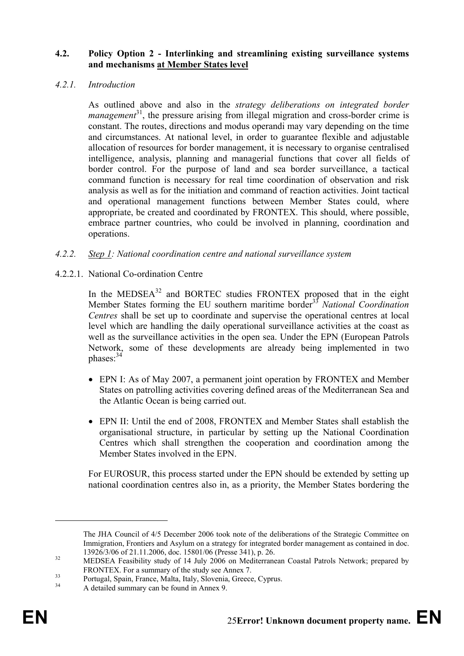## **4.2. Policy Option 2 - Interlinking and streamlining existing surveillance systems and mechanisms at Member States level**

## *4.2.1. Introduction*

As outlined above and also in the *strategy deliberations on integrated border management*<sup>31</sup>, the pressure arising from illegal migration and cross-border crime is constant. The routes, directions and modus operandi may vary depending on the time and circumstances. At national level, in order to guarantee flexible and adjustable allocation of resources for border management, it is necessary to organise centralised intelligence, analysis, planning and managerial functions that cover all fields of border control. For the purpose of land and sea border surveillance, a tactical command function is necessary for real time coordination of observation and risk analysis as well as for the initiation and command of reaction activities. Joint tactical and operational management functions between Member States could, where appropriate, be created and coordinated by FRONTEX. This should, where possible, embrace partner countries, who could be involved in planning, coordination and operations.

## *4.2.2. Step 1: National coordination centre and national surveillance system*

4.2.2.1. National Co-ordination Centre

In the MEDSEA<sup>32</sup> and BORTEC studies FRONTEX proposed that in the eight Member States forming the EU southern maritime border33 *National Coordination Centres* shall be set up to coordinate and supervise the operational centres at local level which are handling the daily operational surveillance activities at the coast as well as the surveillance activities in the open sea. Under the EPN (European Patrols Network, some of these developments are already being implemented in two phases:34

- EPN I: As of May 2007, a permanent joint operation by FRONTEX and Member States on patrolling activities covering defined areas of the Mediterranean Sea and the Atlantic Ocean is being carried out.
- EPN II: Until the end of 2008, FRONTEX and Member States shall establish the organisational structure, in particular by setting up the National Coordination Centres which shall strengthen the cooperation and coordination among the Member States involved in the EPN.

For EUROSUR, this process started under the EPN should be extended by setting up national coordination centres also in, as a priority, the Member States bordering the

The JHA Council of 4/5 December 2006 took note of the deliberations of the Strategic Committee on Immigration, Frontiers and Asylum on a strategy for integrated border management as contained in doc.

<sup>13926/3/06</sup> of 21.11.2006, doc. 15801/06 (Presse 341), p. 26.<br>MEDSEA Feasibility study of 14 July 2006 on Mediterranean Coastal Patrols Network; prepared by<br>FRONTEX. For a summary of the study see Annex 7.

 $\frac{33}{}$  Portugal, Spain, France, Malta, Italy, Slovenia, Greece, Cyprus.

<sup>34</sup> A detailed summary can be found in Annex 9.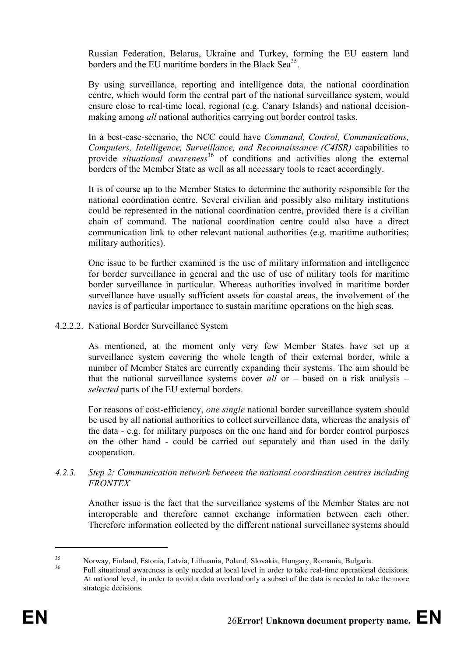Russian Federation, Belarus, Ukraine and Turkey, forming the EU eastern land borders and the EU maritime borders in the Black Sea<sup>35</sup>.

By using surveillance, reporting and intelligence data, the national coordination centre, which would form the central part of the national surveillance system, would ensure close to real-time local, regional (e.g. Canary Islands) and national decisionmaking among *all* national authorities carrying out border control tasks.

In a best-case-scenario, the NCC could have *Command, Control, Communications, Computers, Intelligence, Surveillance, and Reconnaissance (C4ISR)* capabilities to provide *situational awareness*36 of conditions and activities along the external borders of the Member State as well as all necessary tools to react accordingly.

It is of course up to the Member States to determine the authority responsible for the national coordination centre. Several civilian and possibly also military institutions could be represented in the national coordination centre, provided there is a civilian chain of command. The national coordination centre could also have a direct communication link to other relevant national authorities (e.g. maritime authorities; military authorities).

One issue to be further examined is the use of military information and intelligence for border surveillance in general and the use of use of military tools for maritime border surveillance in particular. Whereas authorities involved in maritime border surveillance have usually sufficient assets for coastal areas, the involvement of the navies is of particular importance to sustain maritime operations on the high seas.

4.2.2.2. National Border Surveillance System

As mentioned, at the moment only very few Member States have set up a surveillance system covering the whole length of their external border, while a number of Member States are currently expanding their systems. The aim should be that the national surveillance systems cover *all* or – based on a risk analysis – *selected* parts of the EU external borders.

For reasons of cost-efficiency, *one single* national border surveillance system should be used by all national authorities to collect surveillance data, whereas the analysis of the data - e.g. for military purposes on the one hand and for border control purposes on the other hand - could be carried out separately and than used in the daily cooperation.

## *4.2.3. Step 2: Communication network between the national coordination centres including FRONTEX*

Another issue is the fact that the surveillance systems of the Member States are not interoperable and therefore cannot exchange information between each other. Therefore information collected by the different national surveillance systems should

<sup>35</sup> Norway, Finland, Estonia, Latvia, Lithuania, Poland, Slovakia, Hungary, Romania, Bulgaria.

Full situational awareness is only needed at local level in order to take real-time operational decisions. At national level, in order to avoid a data overload only a subset of the data is needed to take the more strategic decisions.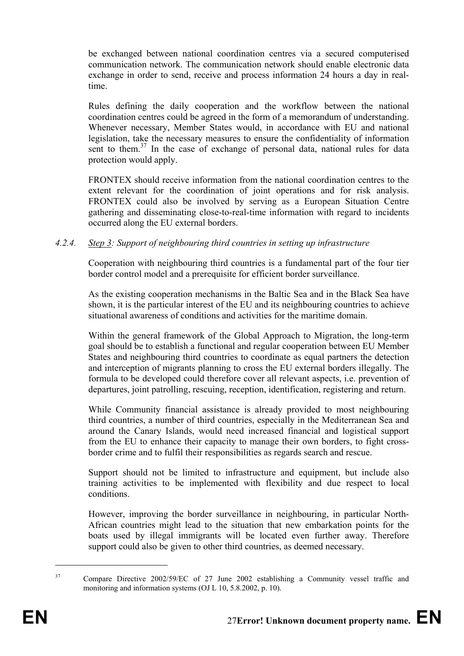be exchanged between national coordination centres via a secured computerised communication network. The communication network should enable electronic data exchange in order to send, receive and process information 24 hours a day in realtime.

Rules defining the daily cooperation and the workflow between the national coordination centres could be agreed in the form of a memorandum of understanding. Whenever necessary, Member States would, in accordance with EU and national legislation, take the necessary measures to ensure the confidentiality of information sent to them.<sup>37</sup> In the case of exchange of personal data, national rules for data protection would apply.

FRONTEX should receive information from the national coordination centres to the extent relevant for the coordination of joint operations and for risk analysis. FRONTEX could also be involved by serving as a European Situation Centre gathering and disseminating close-to-real-time information with regard to incidents occurred along the EU external borders.

## *4.2.4. Step 3: Support of neighbouring third countries in setting up infrastructure*

Cooperation with neighbouring third countries is a fundamental part of the four tier border control model and a prerequisite for efficient border surveillance.

As the existing cooperation mechanisms in the Baltic Sea and in the Black Sea have shown, it is the particular interest of the EU and its neighbouring countries to achieve situational awareness of conditions and activities for the maritime domain.

Within the general framework of the Global Approach to Migration, the long-term goal should be to establish a functional and regular cooperation between EU Member States and neighbouring third countries to coordinate as equal partners the detection and interception of migrants planning to cross the EU external borders illegally. The formula to be developed could therefore cover all relevant aspects, i.e. prevention of departures, joint patrolling, rescuing, reception, identification, registering and return.

While Community financial assistance is already provided to most neighbouring third countries, a number of third countries, especially in the Mediterranean Sea and around the Canary Islands, would need increased financial and logistical support from the EU to enhance their capacity to manage their own borders, to fight crossborder crime and to fulfil their responsibilities as regards search and rescue.

Support should not be limited to infrastructure and equipment, but include also training activities to be implemented with flexibility and due respect to local conditions.

However, improving the border surveillance in neighbouring, in particular North-African countries might lead to the situation that new embarkation points for the boats used by illegal immigrants will be located even further away. Therefore support could also be given to other third countries, as deemed necessary.

<sup>&</sup>lt;sup>37</sup> Compare Directive 2002/59/EC of 27 June 2002 establishing a Community vessel traffic and monitoring and information systems (OJ L 10, 5.8.2002, p. 10).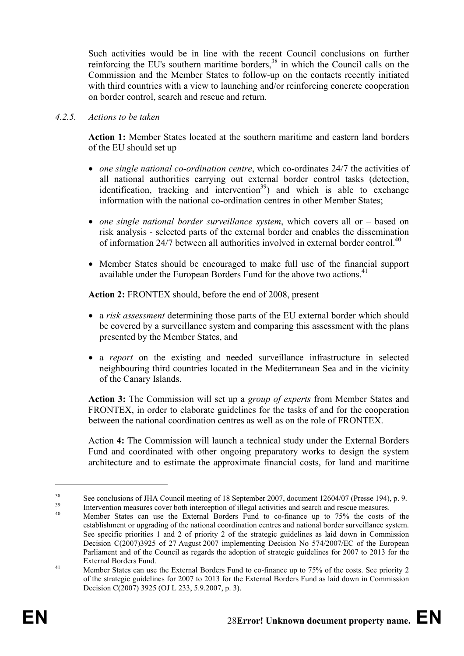Such activities would be in line with the recent Council conclusions on further reinforcing the EU's southern maritime borders,<sup>38</sup> in which the Council calls on the Commission and the Member States to follow-up on the contacts recently initiated with third countries with a view to launching and/or reinforcing concrete cooperation on border control, search and rescue and return.

#### *4.2.5. Actions to be taken*

**Action 1:** Member States located at the southern maritime and eastern land borders of the EU should set up

- *one single national co-ordination centre*, which co-ordinates 24/7 the activities of all national authorities carrying out external border control tasks (detection, identification, tracking and intervention<sup>39</sup>) and which is able to exchange information with the national co-ordination centres in other Member States;
- *one single national border surveillance system*, which covers all or based on risk analysis - selected parts of the external border and enables the dissemination of information  $24/7$  between all authorities involved in external border control  $40$
- Member States should be encouraged to make full use of the financial support available under the European Borders Fund for the above two actions.<sup>41</sup>

**Action 2:** FRONTEX should, before the end of 2008, present

- a *risk assessment* determining those parts of the EU external border which should be covered by a surveillance system and comparing this assessment with the plans presented by the Member States, and
- a *report* on the existing and needed surveillance infrastructure in selected neighbouring third countries located in the Mediterranean Sea and in the vicinity of the Canary Islands.

**Action 3:** The Commission will set up a *group of experts* from Member States and FRONTEX, in order to elaborate guidelines for the tasks of and for the cooperation between the national coordination centres as well as on the role of FRONTEX.

Action **4:** The Commission will launch a technical study under the External Borders Fund and coordinated with other ongoing preparatory works to design the system architecture and to estimate the approximate financial costs, for land and maritime

<sup>&</sup>lt;sup>38</sup> See conclusions of JHA Council meeting of 18 September 2007, document 12604/07 (Presse 194), p. 9.

<sup>&</sup>lt;sup>39</sup><br>Intervention measures cover both interception of illegal activities and search and rescue measures.<br>Member States can use the External Borders Fund to co-finance up to 75% the costs of the

establishment or upgrading of the national coordination centres and national border surveillance system. See specific priorities 1 and 2 of priority 2 of the strategic guidelines as laid down in Commission Decision C(2007)3925 of 27 August 2007 implementing Decision No 574/2007/EC of the European Parliament and of the Council as regards the adoption of strategic guidelines for 2007 to 2013 for the

External Borders Fund. 41 Member States can use the External Borders Fund to co-finance up to 75% of the costs. See priority 2 of the strategic guidelines for 2007 to 2013 for the External Borders Fund as laid down in Commission Decision C(2007) 3925 (OJ L 233, 5.9.2007, p. 3).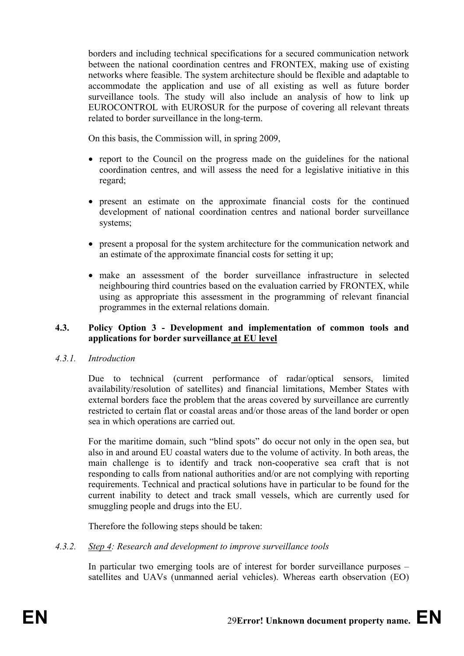borders and including technical specifications for a secured communication network between the national coordination centres and FRONTEX, making use of existing networks where feasible. The system architecture should be flexible and adaptable to accommodate the application and use of all existing as well as future border surveillance tools. The study will also include an analysis of how to link up EUROCONTROL with EUROSUR for the purpose of covering all relevant threats related to border surveillance in the long-term.

On this basis, the Commission will, in spring 2009,

- report to the Council on the progress made on the guidelines for the national coordination centres, and will assess the need for a legislative initiative in this regard;
- present an estimate on the approximate financial costs for the continued development of national coordination centres and national border surveillance systems;
- present a proposal for the system architecture for the communication network and an estimate of the approximate financial costs for setting it up;
- make an assessment of the border surveillance infrastructure in selected neighbouring third countries based on the evaluation carried by FRONTEX, while using as appropriate this assessment in the programming of relevant financial programmes in the external relations domain.

## **4.3. Policy Option 3 - Development and implementation of common tools and applications for border surveillance at EU level**

## *4.3.1. Introduction*

Due to technical (current performance of radar/optical sensors, limited availability/resolution of satellites) and financial limitations, Member States with external borders face the problem that the areas covered by surveillance are currently restricted to certain flat or coastal areas and/or those areas of the land border or open sea in which operations are carried out.

For the maritime domain, such "blind spots" do occur not only in the open sea, but also in and around EU coastal waters due to the volume of activity. In both areas, the main challenge is to identify and track non-cooperative sea craft that is not responding to calls from national authorities and/or are not complying with reporting requirements. Technical and practical solutions have in particular to be found for the current inability to detect and track small vessels, which are currently used for smuggling people and drugs into the EU.

Therefore the following steps should be taken:

*4.3.2. Step 4: Research and development to improve surveillance tools* 

In particular two emerging tools are of interest for border surveillance purposes – satellites and UAVs (unmanned aerial vehicles). Whereas earth observation (EO)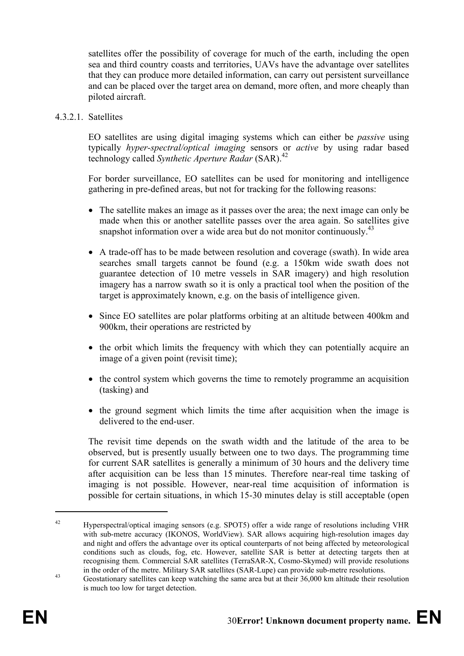satellites offer the possibility of coverage for much of the earth, including the open sea and third country coasts and territories, UAVs have the advantage over satellites that they can produce more detailed information, can carry out persistent surveillance and can be placed over the target area on demand, more often, and more cheaply than piloted aircraft.

4.3.2.1. Satellites

EO satellites are using digital imaging systems which can either be *passive* using typically *hyper-spectral/optical imaging* sensors or *active* by using radar based technology called *Synthetic Aperture Radar* (SAR).<sup>42</sup>

For border surveillance, EO satellites can be used for monitoring and intelligence gathering in pre-defined areas, but not for tracking for the following reasons:

- The satellite makes an image as it passes over the area; the next image can only be made when this or another satellite passes over the area again. So satellites give snapshot information over a wide area but do not monitor continuously.<sup>43</sup>
- A trade-off has to be made between resolution and coverage (swath). In wide area searches small targets cannot be found (e.g. a 150km wide swath does not guarantee detection of 10 metre vessels in SAR imagery) and high resolution imagery has a narrow swath so it is only a practical tool when the position of the target is approximately known, e.g. on the basis of intelligence given.
- Since EO satellites are polar platforms orbiting at an altitude between 400km and 900km, their operations are restricted by
- the orbit which limits the frequency with which they can potentially acquire an image of a given point (revisit time);
- the control system which governs the time to remotely programme an acquisition (tasking) and
- the ground segment which limits the time after acquisition when the image is delivered to the end-user.

The revisit time depends on the swath width and the latitude of the area to be observed, but is presently usually between one to two days. The programming time for current SAR satellites is generally a minimum of 30 hours and the delivery time after acquisition can be less than 15 minutes. Therefore near-real time tasking of imaging is not possible. However, near-real time acquisition of information is possible for certain situations, in which 15-30 minutes delay is still acceptable (open

<sup>42</sup> Hyperspectral/optical imaging sensors (e.g. SPOT5) offer a wide range of resolutions including VHR with sub-metre accuracy (IKONOS, WorldView). SAR allows acquiring high-resolution images day and night and offers the advantage over its optical counterparts of not being affected by meteorological conditions such as clouds, fog, etc. However, satellite SAR is better at detecting targets then at recognising them. Commercial SAR satellites (TerraSAR-X, Cosmo-Skymed) will provide resolutions in the order of the metre. Military SAR satellites (SAR-Lupe) can provide sub-metre resolutions.

<sup>&</sup>lt;sup>43</sup> Geostationary satellites can keep watching the same area but at their 36,000 km altitude their resolution is much too low for target detection.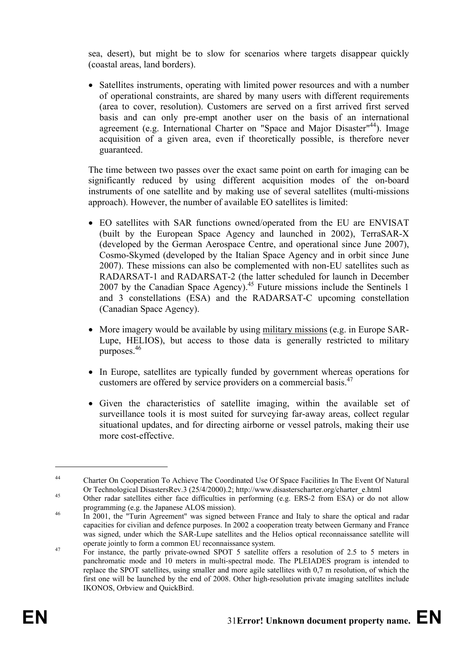sea, desert), but might be to slow for scenarios where targets disappear quickly (coastal areas, land borders).

• Satellites instruments, operating with limited power resources and with a number of operational constraints, are shared by many users with different requirements (area to cover, resolution). Customers are served on a first arrived first served basis and can only pre-empt another user on the basis of an international agreement (e.g. International Charter on "Space and Major Disaster"<sup>44</sup>). Image acquisition of a given area, even if theoretically possible, is therefore never guaranteed.

The time between two passes over the exact same point on earth for imaging can be significantly reduced by using different acquisition modes of the on-board instruments of one satellite and by making use of several satellites (multi-missions approach). However, the number of available EO satellites is limited:

- EO satellites with SAR functions owned/operated from the EU are ENVISAT (built by the European Space Agency and launched in 2002), TerraSAR-X (developed by the German Aerospace Centre, and operational since June 2007), Cosmo-Skymed (developed by the Italian Space Agency and in orbit since June 2007). These missions can also be complemented with non-EU satellites such as RADARSAT-1 and RADARSAT-2 (the latter scheduled for launch in December 2007 by the Canadian Space Agency). $45$  Future missions include the Sentinels 1 and 3 constellations (ESA) and the RADARSAT-C upcoming constellation (Canadian Space Agency).
- More imagery would be available by using military missions (e.g. in Europe SAR-Lupe, HELIOS), but access to those data is generally restricted to military purposes.46
- In Europe, satellites are typically funded by government whereas operations for customers are offered by service providers on a commercial basis.<sup>47</sup>
- Given the characteristics of satellite imaging, within the available set of surveillance tools it is most suited for surveying far-away areas, collect regular situational updates, and for directing airborne or vessel patrols, making their use more cost-effective.

<sup>44</sup> Charter On Cooperation To Achieve The Coordinated Use Of Space Facilities In The Event Of Natural Or Technological DisastersRev.3 (25/4/2000).2; http://www.disasterscharter.org/charter\_e.html 45 Other radar satellites either face difficulties in performing (e.g. ERS-2 from ESA) or do not allow

programming (e.g. the Japanese ALOS mission).<br><sup>46</sup> In 2001, the "Turin Agreement" was signed between France and Italy to share the optical and radar

capacities for civilian and defence purposes. In 2002 a cooperation treaty between Germany and France was signed, under which the SAR-Lupe satellites and the Helios optical reconnaissance satellite will operate jointly to form a common EU reconnaissance system.<br><sup>47</sup> For instance, the partly private-owned SPOT 5 satellite offers a resolution of 2.5 to 5 meters in

panchromatic mode and 10 meters in multi-spectral mode. The PLEIADES program is intended to replace the SPOT satellites, using smaller and more agile satellites with 0,7 m resolution, of which the first one will be launched by the end of 2008. Other high-resolution private imaging satellites include IKONOS, Orbview and QuickBird.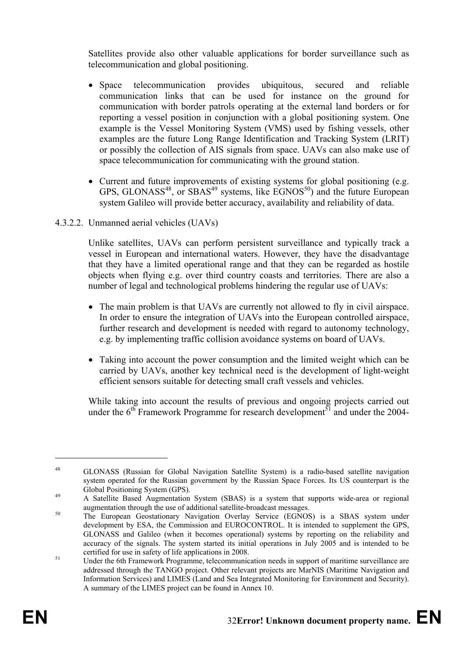Satellites provide also other valuable applications for border surveillance such as telecommunication and global positioning.

- Space telecommunication provides ubiquitous, secured and reliable communication links that can be used for instance on the ground for communication with border patrols operating at the external land borders or for reporting a vessel position in conjunction with a global positioning system. One example is the Vessel Monitoring System (VMS) used by fishing vessels, other examples are the future Long Range Identification and Tracking System (LRIT) or possibly the collection of AIS signals from space. UAVs can also make use of space telecommunication for communicating with the ground station.
- Current and future improvements of existing systems for global positioning (e.g. GPS, GLONASS<sup>48</sup>, or SBAS<sup>49</sup> systems, like  $EGNOS<sup>50</sup>$  and the future European system Galileo will provide better accuracy, availability and reliability of data.
- 4.3.2.2. Unmanned aerial vehicles (UAVs)

Unlike satellites, UAVs can perform persistent surveillance and typically track a vessel in European and international waters. However, they have the disadvantage that they have a limited operational range and that they can be regarded as hostile objects when flying e.g. over third country coasts and territories. There are also a number of legal and technological problems hindering the regular use of UAVs:

- The main problem is that UAVs are currently not allowed to fly in civil airspace. In order to ensure the integration of UAVs into the European controlled airspace, further research and development is needed with regard to autonomy technology, e.g. by implementing traffic collision avoidance systems on board of UAVs.
- Taking into account the power consumption and the limited weight which can be carried by UAVs, another key technical need is the development of light-weight efficient sensors suitable for detecting small craft vessels and vehicles.

While taking into account the results of previous and ongoing projects carried out under the  $6<sup>th</sup>$  Framework Programme for research development<sup>51</sup> and under the 2004-

<sup>48</sup> GLONASS (Russian for Global Navigation Satellite System) is a radio-based satellite navigation system operated for the Russian government by the Russian Space Forces. Its US counterpart is the Global Positioning System (GPS).<br>
49 A Satellite Based Augmentation System (SBAS) is a system that supports wide-area or regional

augmentation through the use of additional satellite-broadcast messages. 50 The European Geostationary Navigation Overlay Service (EGNOS) is a SBAS system under

development by ESA, the Commission and EUROCONTROL. It is intended to supplement the GPS, GLONASS and Galileo (when it becomes operational) systems by reporting on the reliability and accuracy of the signals. The system started its initial operations in July 2005 and is intended to be

certified for use in safety of life applications in 2008.<br>Under the 6th Framework Programme, telecommunication needs in support of maritime surveillance are addressed through the TANGO project. Other relevant projects are MarNIS (Maritime Navigation and Information Services) and LIMES (Land and Sea Integrated Monitoring for Environment and Security). A summary of the LIMES project can be found in Annex 10.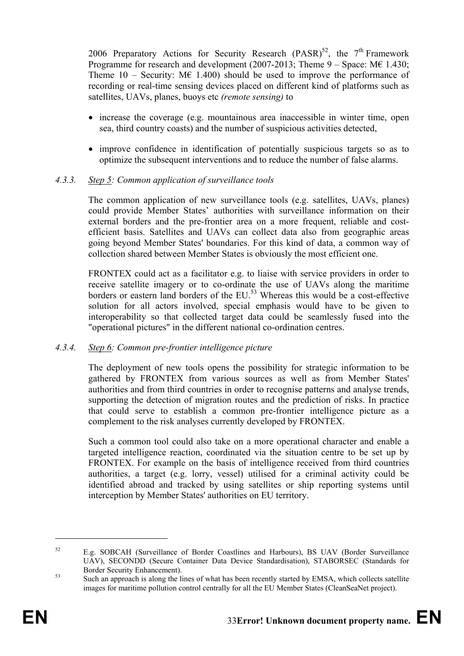2006 Preparatory Actions for Security Research  $(PASR)^{52}$ , the 7<sup>th</sup> Framework Programme for research and development (2007-2013; Theme  $9 -$  Space: M $6$  1.430; Theme  $10$  – Security: ME 1.400) should be used to improve the performance of recording or real-time sensing devices placed on different kind of platforms such as satellites, UAVs, planes, buoys etc *(remote sensing)* to

- increase the coverage (e.g. mountainous area inaccessible in winter time, open sea, third country coasts) and the number of suspicious activities detected,
- improve confidence in identification of potentially suspicious targets so as to optimize the subsequent interventions and to reduce the number of false alarms.

## *4.3.3. Step 5: Common application of surveillance tools*

The common application of new surveillance tools (e.g. satellites, UAVs, planes) could provide Member States' authorities with surveillance information on their external borders and the pre-frontier area on a more frequent, reliable and costefficient basis. Satellites and UAVs can collect data also from geographic areas going beyond Member States' boundaries. For this kind of data, a common way of collection shared between Member States is obviously the most efficient one.

FRONTEX could act as a facilitator e.g. to liaise with service providers in order to receive satellite imagery or to co-ordinate the use of UAVs along the maritime borders or eastern land borders of the  $EU^{53}$  Whereas this would be a cost-effective solution for all actors involved, special emphasis would have to be given to interoperability so that collected target data could be seamlessly fused into the "operational pictures" in the different national co-ordination centres.

## *4.3.4. Step 6: Common pre-frontier intelligence picture*

The deployment of new tools opens the possibility for strategic information to be gathered by FRONTEX from various sources as well as from Member States' authorities and from third countries in order to recognise patterns and analyse trends, supporting the detection of migration routes and the prediction of risks. In practice that could serve to establish a common pre-frontier intelligence picture as a complement to the risk analyses currently developed by FRONTEX.

Such a common tool could also take on a more operational character and enable a targeted intelligence reaction, coordinated via the situation centre to be set up by FRONTEX. For example on the basis of intelligence received from third countries authorities, a target (e.g. lorry, vessel) utilised for a criminal activity could be identified abroad and tracked by using satellites or ship reporting systems until interception by Member States' authorities on EU territory.

<sup>52</sup> E.g. SOBCAH (Surveillance of Border Coastlines and Harbours), BS UAV (Border Surveillance UAV), SECONDD (Secure Container Data Device Standardisation), STABORSEC (Standards for Border Security Enhancement).<br>Such an approach is along the lines of what has been recently started by EMSA, which collects satellite

images for maritime pollution control centrally for all the EU Member States (CleanSeaNet project).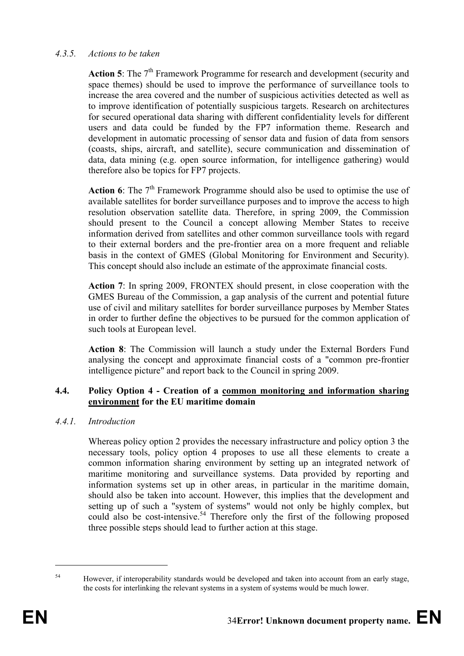## *4.3.5. Actions to be taken*

Action 5: The 7<sup>th</sup> Framework Programme for research and development (security and space themes) should be used to improve the performance of surveillance tools to increase the area covered and the number of suspicious activities detected as well as to improve identification of potentially suspicious targets. Research on architectures for secured operational data sharing with different confidentiality levels for different users and data could be funded by the FP7 information theme. Research and development in automatic processing of sensor data and fusion of data from sensors (coasts, ships, aircraft, and satellite), secure communication and dissemination of data, data mining (e.g. open source information, for intelligence gathering) would therefore also be topics for FP7 projects.

**Action 6**: The 7<sup>th</sup> Framework Programme should also be used to optimise the use of available satellites for border surveillance purposes and to improve the access to high resolution observation satellite data. Therefore, in spring 2009, the Commission should present to the Council a concept allowing Member States to receive information derived from satellites and other common surveillance tools with regard to their external borders and the pre-frontier area on a more frequent and reliable basis in the context of GMES (Global Monitoring for Environment and Security). This concept should also include an estimate of the approximate financial costs.

**Action 7**: In spring 2009, FRONTEX should present, in close cooperation with the GMES Bureau of the Commission, a gap analysis of the current and potential future use of civil and military satellites for border surveillance purposes by Member States in order to further define the objectives to be pursued for the common application of such tools at European level.

**Action 8**: The Commission will launch a study under the External Borders Fund analysing the concept and approximate financial costs of a "common pre-frontier intelligence picture" and report back to the Council in spring 2009.

## **4.4. Policy Option 4 - Creation of a common monitoring and information sharing environment for the EU maritime domain**

#### *4.4.1. Introduction*

Whereas policy option 2 provides the necessary infrastructure and policy option 3 the necessary tools, policy option 4 proposes to use all these elements to create a common information sharing environment by setting up an integrated network of maritime monitoring and surveillance systems. Data provided by reporting and information systems set up in other areas, in particular in the maritime domain, should also be taken into account. However, this implies that the development and setting up of such a "system of systems" would not only be highly complex, but could also be cost-intensive.<sup>54</sup> Therefore only the first of the following proposed three possible steps should lead to further action at this stage.

<sup>&</sup>lt;sup>54</sup> However, if interoperability standards would be developed and taken into account from an early stage, the costs for interlinking the relevant systems in a system of systems would be much lower.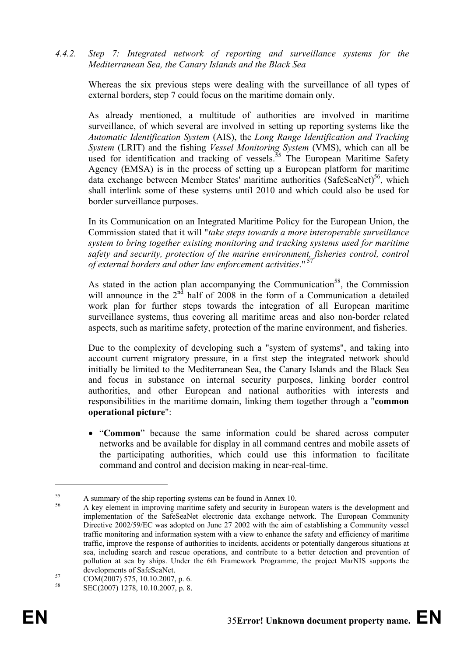*4.4.2. Step 7: Integrated network of reporting and surveillance systems for the Mediterranean Sea, the Canary Islands and the Black Sea* 

Whereas the six previous steps were dealing with the surveillance of all types of external borders, step 7 could focus on the maritime domain only.

As already mentioned, a multitude of authorities are involved in maritime surveillance, of which several are involved in setting up reporting systems like the *Automatic Identification System* (AIS), the *Long Range Identification and Tracking System* (LRIT) and the fishing *Vessel Monitoring System* (VMS), which can all be used for identification and tracking of vessels.<sup>55</sup> The European Maritime Safety Agency (EMSA) is in the process of setting up a European platform for maritime data exchange between Member States' maritime authorities  $(SafeSeaNet)^{56}$ , which shall interlink some of these systems until 2010 and which could also be used for border surveillance purposes.

In its Communication on an Integrated Maritime Policy for the European Union, the Commission stated that it will "*take steps towards a more interoperable surveillance system to bring together existing monitoring and tracking systems used for maritime safety and security, protection of the marine environment, fisheries control, control of external borders and other law enforcement activities*." 57

As stated in the action plan accompanying the Communication<sup>58</sup>, the Commission will announce in the  $2<sup>nd</sup>$  half of  $2008$  in the form of a Communication a detailed work plan for further steps towards the integration of all European maritime surveillance systems, thus covering all maritime areas and also non-border related aspects, such as maritime safety, protection of the marine environment, and fisheries.

Due to the complexity of developing such a "system of systems", and taking into account current migratory pressure, in a first step the integrated network should initially be limited to the Mediterranean Sea, the Canary Islands and the Black Sea and focus in substance on internal security purposes, linking border control authorities, and other European and national authorities with interests and responsibilities in the maritime domain, linking them together through a "**common operational picture**":

• "**Common**" because the same information could be shared across computer networks and be available for display in all command centres and mobile assets of the participating authorities, which could use this information to facilitate command and control and decision making in near-real-time.

<sup>&</sup>lt;sup>55</sup> A summary of the ship reporting systems can be found in Annex 10.

<sup>56</sup> A key element in improving maritime safety and security in European waters is the development and implementation of the SafeSeaNet electronic data exchange network. The European Community Directive 2002/59/EC was adopted on June 27 2002 with the aim of establishing a Community vessel traffic monitoring and information system with a view to enhance the safety and efficiency of maritime traffic, improve the response of authorities to incidents, accidents or potentially dangerous situations at sea, including search and rescue operations, and contribute to a better detection and prevention of pollution at sea by ships. Under the 6th Framework Programme, the project MarNIS supports the

developments of SafeSeaNet.<br>
57 COM(2007) 575, 10.10.2007, p. 6.<br>
58 CEC(2007) 575, 10.10.2007,

SEC(2007) 1278, 10.10.2007, p. 8.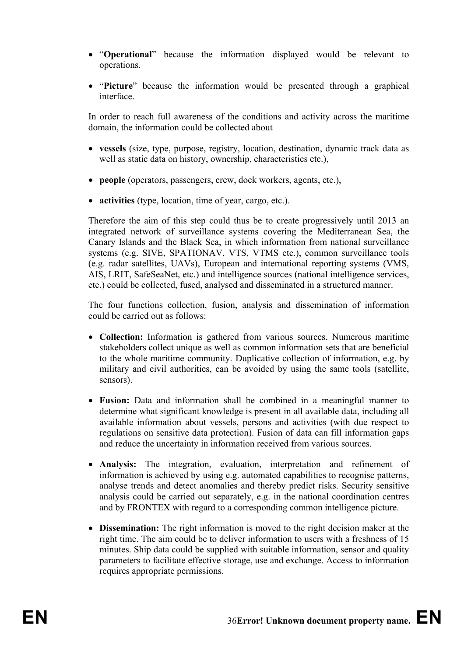- "**Operational**" because the information displayed would be relevant to operations.
- "**Picture**" because the information would be presented through a graphical interface.

In order to reach full awareness of the conditions and activity across the maritime domain, the information could be collected about

- **vessels** (size, type, purpose, registry, location, destination, dynamic track data as well as static data on history, ownership, characteristics etc.),
- **people** (operators, passengers, crew, dock workers, agents, etc.),
- **activities** (type, location, time of year, cargo, etc.).

Therefore the aim of this step could thus be to create progressively until 2013 an integrated network of surveillance systems covering the Mediterranean Sea, the Canary Islands and the Black Sea, in which information from national surveillance systems (e.g. SIVE, SPATIONAV, VTS, VTMS etc.), common surveillance tools (e.g. radar satellites, UAVs), European and international reporting systems (VMS, AIS, LRIT, SafeSeaNet, etc.) and intelligence sources (national intelligence services, etc.) could be collected, fused, analysed and disseminated in a structured manner.

The four functions collection, fusion, analysis and dissemination of information could be carried out as follows:

- **Collection:** Information is gathered from various sources. Numerous maritime stakeholders collect unique as well as common information sets that are beneficial to the whole maritime community. Duplicative collection of information, e.g. by military and civil authorities, can be avoided by using the same tools (satellite, sensors).
- **Fusion:** Data and information shall be combined in a meaningful manner to determine what significant knowledge is present in all available data, including all available information about vessels, persons and activities (with due respect to regulations on sensitive data protection). Fusion of data can fill information gaps and reduce the uncertainty in information received from various sources.
- **Analysis:** The integration, evaluation, interpretation and refinement of information is achieved by using e.g. automated capabilities to recognise patterns, analyse trends and detect anomalies and thereby predict risks. Security sensitive analysis could be carried out separately, e.g. in the national coordination centres and by FRONTEX with regard to a corresponding common intelligence picture.
- **Dissemination:** The right information is moved to the right decision maker at the right time. The aim could be to deliver information to users with a freshness of 15 minutes. Ship data could be supplied with suitable information, sensor and quality parameters to facilitate effective storage, use and exchange. Access to information requires appropriate permissions.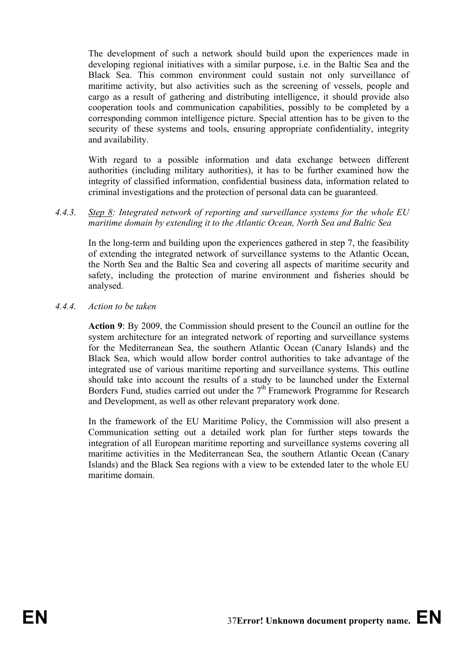The development of such a network should build upon the experiences made in developing regional initiatives with a similar purpose, i.e. in the Baltic Sea and the Black Sea. This common environment could sustain not only surveillance of maritime activity, but also activities such as the screening of vessels, people and cargo as a result of gathering and distributing intelligence, it should provide also cooperation tools and communication capabilities, possibly to be completed by a corresponding common intelligence picture. Special attention has to be given to the security of these systems and tools, ensuring appropriate confidentiality, integrity and availability.

With regard to a possible information and data exchange between different authorities (including military authorities), it has to be further examined how the integrity of classified information, confidential business data, information related to criminal investigations and the protection of personal data can be guaranteed.

*4.4.3. Step 8: Integrated network of reporting and surveillance systems for the whole EU maritime domain by extending it to the Atlantic Ocean, North Sea and Baltic Sea* 

In the long-term and building upon the experiences gathered in step 7, the feasibility of extending the integrated network of surveillance systems to the Atlantic Ocean, the North Sea and the Baltic Sea and covering all aspects of maritime security and safety, including the protection of marine environment and fisheries should be analysed.

*4.4.4. Action to be taken* 

**Action 9**: By 2009, the Commission should present to the Council an outline for the system architecture for an integrated network of reporting and surveillance systems for the Mediterranean Sea, the southern Atlantic Ocean (Canary Islands) and the Black Sea, which would allow border control authorities to take advantage of the integrated use of various maritime reporting and surveillance systems. This outline should take into account the results of a study to be launched under the External Borders Fund, studies carried out under the  $7<sup>th</sup>$  Framework Programme for Research and Development, as well as other relevant preparatory work done.

In the framework of the EU Maritime Policy, the Commission will also present a Communication setting out a detailed work plan for further steps towards the integration of all European maritime reporting and surveillance systems covering all maritime activities in the Mediterranean Sea, the southern Atlantic Ocean (Canary Islands) and the Black Sea regions with a view to be extended later to the whole EU maritime domain.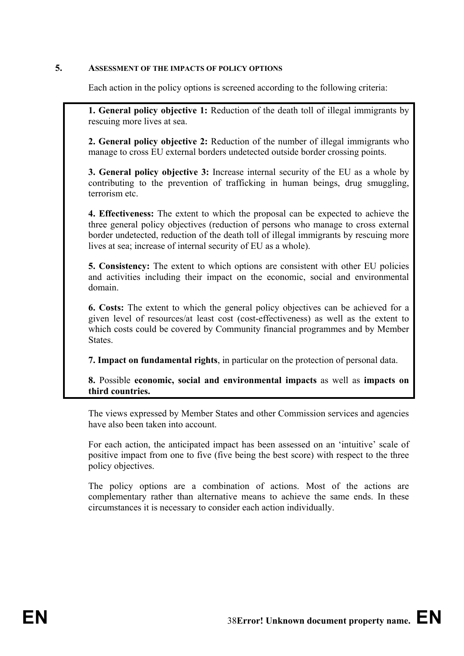#### **5. ASSESSMENT OF THE IMPACTS OF POLICY OPTIONS**

Each action in the policy options is screened according to the following criteria:

**1. General policy objective 1:** Reduction of the death toll of illegal immigrants by rescuing more lives at sea.

**2. General policy objective 2:** Reduction of the number of illegal immigrants who manage to cross EU external borders undetected outside border crossing points.

**3. General policy objective 3:** Increase internal security of the EU as a whole by contributing to the prevention of trafficking in human beings, drug smuggling, terrorism etc.

**4. Effectiveness:** The extent to which the proposal can be expected to achieve the three general policy objectives (reduction of persons who manage to cross external border undetected, reduction of the death toll of illegal immigrants by rescuing more lives at sea; increase of internal security of EU as a whole).

**5. Consistency:** The extent to which options are consistent with other EU policies and activities including their impact on the economic, social and environmental domain.

**6. Costs:** The extent to which the general policy objectives can be achieved for a given level of resources/at least cost (cost-effectiveness) as well as the extent to which costs could be covered by Community financial programmes and by Member States.

**7. Impact on fundamental rights**, in particular on the protection of personal data.

**8.** Possible **economic, social and environmental impacts** as well as **impacts on third countries.**

The views expressed by Member States and other Commission services and agencies have also been taken into account.

For each action, the anticipated impact has been assessed on an 'intuitive' scale of positive impact from one to five (five being the best score) with respect to the three policy objectives.

The policy options are a combination of actions. Most of the actions are complementary rather than alternative means to achieve the same ends. In these circumstances it is necessary to consider each action individually.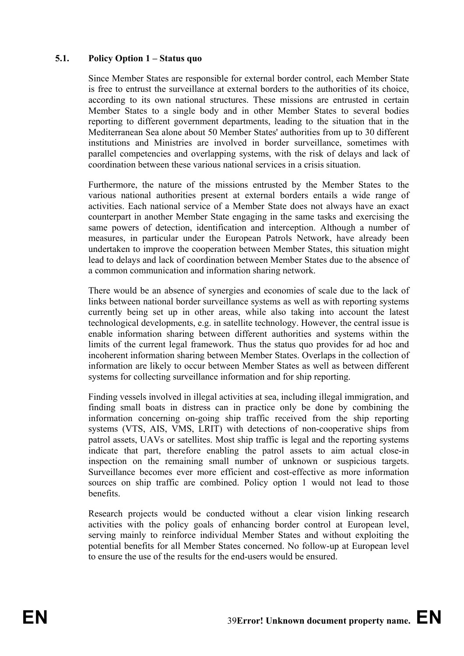#### **5.1. Policy Option 1 – Status quo**

Since Member States are responsible for external border control, each Member State is free to entrust the surveillance at external borders to the authorities of its choice, according to its own national structures. These missions are entrusted in certain Member States to a single body and in other Member States to several bodies reporting to different government departments, leading to the situation that in the Mediterranean Sea alone about 50 Member States' authorities from up to 30 different institutions and Ministries are involved in border surveillance, sometimes with parallel competencies and overlapping systems, with the risk of delays and lack of coordination between these various national services in a crisis situation.

Furthermore, the nature of the missions entrusted by the Member States to the various national authorities present at external borders entails a wide range of activities. Each national service of a Member State does not always have an exact counterpart in another Member State engaging in the same tasks and exercising the same powers of detection, identification and interception. Although a number of measures, in particular under the European Patrols Network, have already been undertaken to improve the cooperation between Member States, this situation might lead to delays and lack of coordination between Member States due to the absence of a common communication and information sharing network.

There would be an absence of synergies and economies of scale due to the lack of links between national border surveillance systems as well as with reporting systems currently being set up in other areas, while also taking into account the latest technological developments, e.g. in satellite technology. However, the central issue is enable information sharing between different authorities and systems within the limits of the current legal framework. Thus the status quo provides for ad hoc and incoherent information sharing between Member States. Overlaps in the collection of information are likely to occur between Member States as well as between different systems for collecting surveillance information and for ship reporting.

Finding vessels involved in illegal activities at sea, including illegal immigration, and finding small boats in distress can in practice only be done by combining the information concerning on-going ship traffic received from the ship reporting systems (VTS, AIS, VMS, LRIT) with detections of non-cooperative ships from patrol assets, UAVs or satellites. Most ship traffic is legal and the reporting systems indicate that part, therefore enabling the patrol assets to aim actual close-in inspection on the remaining small number of unknown or suspicious targets. Surveillance becomes ever more efficient and cost-effective as more information sources on ship traffic are combined. Policy option 1 would not lead to those benefits.

Research projects would be conducted without a clear vision linking research activities with the policy goals of enhancing border control at European level, serving mainly to reinforce individual Member States and without exploiting the potential benefits for all Member States concerned. No follow-up at European level to ensure the use of the results for the end-users would be ensured.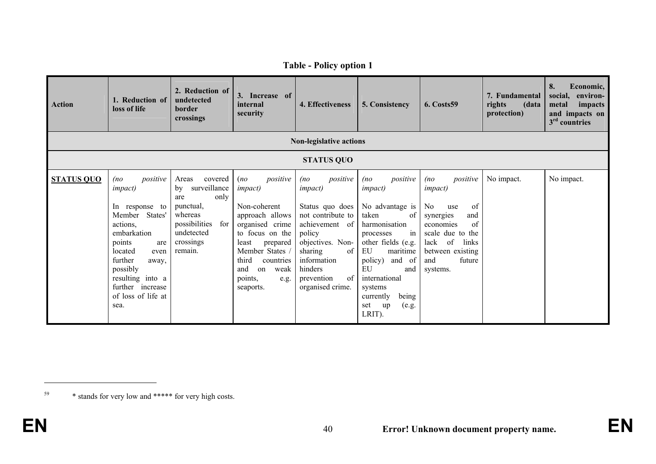| Action            | 1. Reduction of<br>loss of life                                                                                                                                                                                                                | 2. Reduction of<br>undetected<br>border<br>crossings                                                                                        | 3. Increase of<br>internal<br>security                                                                                                                                                                                          | 4. Effectiveness                                                                                                                                                                                              | 5. Consistency                                                                                                                                                                                                                                                       | <b>6. Costs59</b>                                                                                                                                                                      | 7. Fundamental<br>rights<br>(data<br>protection) | 8.<br>Economic,<br>social,<br>environ-<br>impacts<br>metal<br>and impacts on<br>$3rd$ countries |  |  |
|-------------------|------------------------------------------------------------------------------------------------------------------------------------------------------------------------------------------------------------------------------------------------|---------------------------------------------------------------------------------------------------------------------------------------------|---------------------------------------------------------------------------------------------------------------------------------------------------------------------------------------------------------------------------------|---------------------------------------------------------------------------------------------------------------------------------------------------------------------------------------------------------------|----------------------------------------------------------------------------------------------------------------------------------------------------------------------------------------------------------------------------------------------------------------------|----------------------------------------------------------------------------------------------------------------------------------------------------------------------------------------|--------------------------------------------------|-------------------------------------------------------------------------------------------------|--|--|
|                   |                                                                                                                                                                                                                                                |                                                                                                                                             |                                                                                                                                                                                                                                 | <b>Non-legislative actions</b>                                                                                                                                                                                |                                                                                                                                                                                                                                                                      |                                                                                                                                                                                        |                                                  |                                                                                                 |  |  |
|                   | <b>STATUS QUO</b>                                                                                                                                                                                                                              |                                                                                                                                             |                                                                                                                                                                                                                                 |                                                                                                                                                                                                               |                                                                                                                                                                                                                                                                      |                                                                                                                                                                                        |                                                  |                                                                                                 |  |  |
| <b>STATUS QUO</b> | (no<br>positive<br><i>impact</i> )<br>In response to<br>Member<br>States'<br>actions.<br>embarkation<br>points<br>are<br>located<br>even<br>further<br>away,<br>possibly<br>resulting into a<br>further increase<br>of loss of life at<br>sea. | Areas<br>covered<br>surveillance<br>by<br>only<br>are<br>punctual,<br>whereas<br>possibilities<br>for<br>undetected<br>crossings<br>remain. | positive<br>(no)<br><i>impact</i> )<br>Non-coherent<br>approach allows<br>organised crime<br>to focus on the<br>least<br>prepared<br>Member States /<br>third<br>countries<br>and<br>weak<br>on<br>points,<br>e.g.<br>seaports. | positive<br>(no<br><i>impact</i> )<br>Status quo does<br>not contribute to<br>achievement of<br>policy<br>objectives. Non-<br>of<br>sharing<br>information<br>hinders<br>of<br>prevention<br>organised crime. | positive<br>(no<br><i>impact</i> )<br>No advantage is<br>of<br>taken<br>harmonisation<br>in<br>processes<br>other fields (e.g.<br>EU<br>maritime<br>policy)<br>and of<br>EU<br>and<br>international<br>systems<br>currently<br>being<br>(e.g.<br>set<br>up<br>LRIT). | positive<br>(no<br><i>impact</i> )<br>of<br>No.<br>use<br>synergies<br>and<br>economies<br>of<br>scale due to the<br>lack of<br>links<br>between existing<br>future<br>and<br>systems. | No impact.                                       | No impact.                                                                                      |  |  |

**Table - Policy option 1** 

<sup>59 \*</sup> stands for very low and \*\*\*\*\* for very high costs.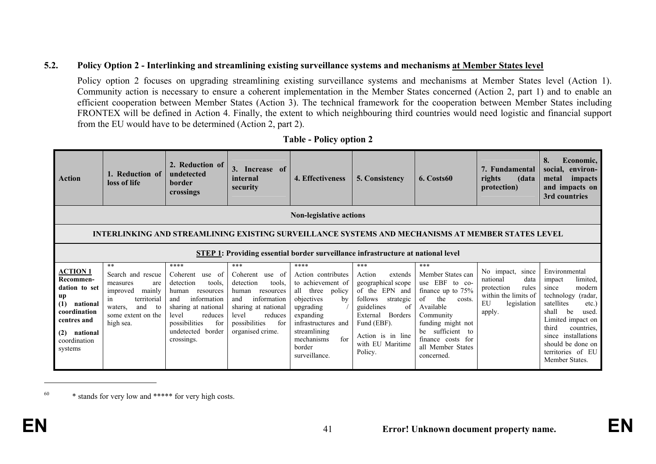#### **5.2. Policy Option 2 - Interlinking and streamlining existing surveillance systems and mechanisms at Member States level**

Policy option 2 focuses on upgrading streamlining existing surveillance systems and mechanisms at Member States level (Action 1). Community action is necessary to ensure a coherent implementation in the Member States concerned (Action 2, part 1) and to enable an efficient cooperation between Member States (Action 3). The technical framework for the cooperation between Member States including FRONTEX will be defined in Action 4. Finally, the extent to which neighbouring third countries would need logistic and financial support from the EU would have to be determined (Action 2, part 2).

| <b>Action</b>                                                                                                                                       | 1. Reduction of<br>loss of life                                                                                                                                 | 2. Reduction of<br>undetected<br>border<br>crossings                                                                                                                                                | 3. Increase of<br>internal<br>security                                                                                                                                                | 4. Effectiveness                                                                                                                                                                                               | 5. Consistency                                                                                                                                                                                        | 6. Costs60                                                                                                                                                                                                             | 7. Fundamental<br>rights<br>(data<br>protection)                                                                      | 8.<br>Economic,<br>social,<br>environ-<br>metal<br>impacts<br>and impacts on<br>3rd countries                                                                                                                                                                 |  |  |  |
|-----------------------------------------------------------------------------------------------------------------------------------------------------|-----------------------------------------------------------------------------------------------------------------------------------------------------------------|-----------------------------------------------------------------------------------------------------------------------------------------------------------------------------------------------------|---------------------------------------------------------------------------------------------------------------------------------------------------------------------------------------|----------------------------------------------------------------------------------------------------------------------------------------------------------------------------------------------------------------|-------------------------------------------------------------------------------------------------------------------------------------------------------------------------------------------------------|------------------------------------------------------------------------------------------------------------------------------------------------------------------------------------------------------------------------|-----------------------------------------------------------------------------------------------------------------------|---------------------------------------------------------------------------------------------------------------------------------------------------------------------------------------------------------------------------------------------------------------|--|--|--|
|                                                                                                                                                     | <b>Non-legislative actions</b>                                                                                                                                  |                                                                                                                                                                                                     |                                                                                                                                                                                       |                                                                                                                                                                                                                |                                                                                                                                                                                                       |                                                                                                                                                                                                                        |                                                                                                                       |                                                                                                                                                                                                                                                               |  |  |  |
|                                                                                                                                                     | INTERLINKING AND STREAMLINING EXISTING SURVEILLANCE SYSTEMS AND MECHANISMS AT MEMBER STATES LEVEL                                                               |                                                                                                                                                                                                     |                                                                                                                                                                                       |                                                                                                                                                                                                                |                                                                                                                                                                                                       |                                                                                                                                                                                                                        |                                                                                                                       |                                                                                                                                                                                                                                                               |  |  |  |
|                                                                                                                                                     | STEP 1: Providing essential border surveillance infrastructure at national level                                                                                |                                                                                                                                                                                                     |                                                                                                                                                                                       |                                                                                                                                                                                                                |                                                                                                                                                                                                       |                                                                                                                                                                                                                        |                                                                                                                       |                                                                                                                                                                                                                                                               |  |  |  |
| <u>ACTION 1</u><br>Recommen-<br>dation to set<br>up<br>(1)<br>national<br>coordination<br>centres and<br>national<br>(2)<br>coordination<br>systems | $***$<br>Search and rescue<br>measures<br>are<br>mainly<br>improved<br>territorial<br><sub>1</sub> n<br>and<br>waters.<br>to<br>some extent on the<br>high sea. | ****<br>Coherent<br>use of<br>detection<br>tools.<br>human<br>resources<br>information<br>and<br>sharing at national<br>reduces<br>level<br>possibilities<br>for<br>undetected border<br>crossings. | $***$<br>Coherent<br>use of<br>detection<br>tools.<br>human<br>resources<br>information<br>and<br>sharing at national<br>reduces<br>level<br>possibilities<br>for<br>organised crime. | ****<br>Action contributes<br>to achievement of<br>all<br>three<br>policy<br>objectives<br>by<br>upgrading<br>expanding<br>infrastructures and<br>streamlining<br>for<br>mechanisms<br>border<br>surveillance. | $***$<br>Action<br>extends<br>geographical scope<br>of the EPN and<br>follows<br>strategic<br>guidelines<br>of<br>External Borders<br>Fund (EBF).<br>Action is in line<br>with EU Maritime<br>Policy. | ***<br>Member States can<br>use EBF to co-<br>finance up to $75%$<br>of<br>the<br>costs.<br>Available<br>Community<br>funding might not<br>sufficient to<br>be<br>finance costs for<br>all Member States<br>concerned. | No impact,<br>since<br>data<br>national<br>rules<br>protection<br>within the limits of<br>EU<br>legislation<br>apply. | Environmental<br>limited,<br>impact<br>modern<br>since<br>technology<br>(radar,<br>satellites<br>etc.)<br>be<br>shall<br>used.<br>Limited impact on<br>third<br>countries.<br>since installations<br>should be done on<br>territories of EU<br>Member States. |  |  |  |

#### **Table - Policy option 2**

60 \* stands for very low and \*\*\*\*\* for very high costs.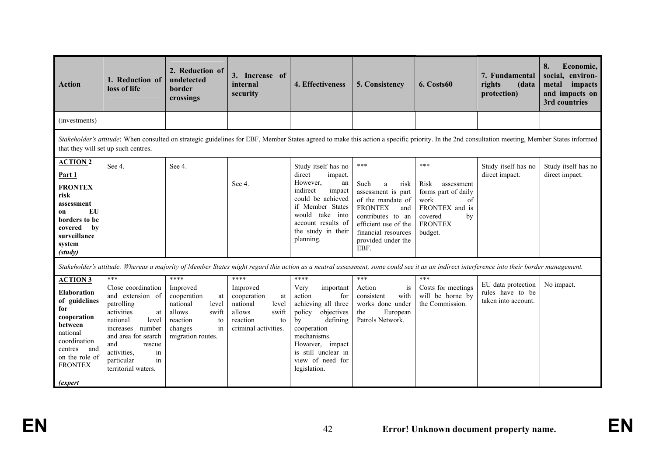| <b>Action</b>                                                                                                                                                                                 | 1. Reduction of<br>loss of life                                                                                                                                                                                                       | 2. Reduction of<br>undetected<br>border<br>crossings                                                                                                                                      | 3. Increase of<br>internal<br>security                                                                                  | 4. Effectiveness                                                                                                                                                                                                        | 5. Consistency                                                                                                                                                                                   | 6. Costs60                                                                                                                     | 7. Fundamental<br>rights<br>(data<br>protection)              | 8.<br>Economic,<br>social, environ-<br>metal<br>impacts<br>and impacts on<br>3rd countries |  |  |  |
|-----------------------------------------------------------------------------------------------------------------------------------------------------------------------------------------------|---------------------------------------------------------------------------------------------------------------------------------------------------------------------------------------------------------------------------------------|-------------------------------------------------------------------------------------------------------------------------------------------------------------------------------------------|-------------------------------------------------------------------------------------------------------------------------|-------------------------------------------------------------------------------------------------------------------------------------------------------------------------------------------------------------------------|--------------------------------------------------------------------------------------------------------------------------------------------------------------------------------------------------|--------------------------------------------------------------------------------------------------------------------------------|---------------------------------------------------------------|--------------------------------------------------------------------------------------------|--|--|--|
| (investments)                                                                                                                                                                                 |                                                                                                                                                                                                                                       |                                                                                                                                                                                           |                                                                                                                         |                                                                                                                                                                                                                         |                                                                                                                                                                                                  |                                                                                                                                |                                                               |                                                                                            |  |  |  |
|                                                                                                                                                                                               | Stakeholder's attitude: When consulted on strategic guidelines for EBF, Member States agreed to make this action a specific priority. In the 2nd consultation meeting, Member States informed<br>that they will set up such centres.  |                                                                                                                                                                                           |                                                                                                                         |                                                                                                                                                                                                                         |                                                                                                                                                                                                  |                                                                                                                                |                                                               |                                                                                            |  |  |  |
| <b>ACTION 2</b><br>Part 1<br><b>FRONTEX</b><br>risk<br>assessment<br>EU<br><b>on</b><br>borders to be<br>covered<br>bv<br>surveillance<br>system<br>(s t u d v)                               | See 4.                                                                                                                                                                                                                                | See 4.                                                                                                                                                                                    | See 4.                                                                                                                  | Study itself has no<br>direct<br>impact.<br>However,<br>an<br>indirect<br>impact<br>could be achieved<br>if Member States<br>would<br>take into<br>account results of<br>the study in their<br>planning.                | $***$<br>Such<br>a<br>risk<br>assessment is part<br>of the mandate of<br><b>FRONTEX</b><br>and<br>contributes to an<br>efficient use of the<br>financial resources<br>provided under the<br>EBF. | ***<br>Risk<br>assessment<br>forms part of daily<br>work<br>of<br>FRONTEX and is<br>covered<br>by<br><b>FRONTEX</b><br>budget. | Study itself has no<br>direct impact.                         | Study itself has no<br>direct impact.                                                      |  |  |  |
|                                                                                                                                                                                               |                                                                                                                                                                                                                                       | Stakeholder's attitude: Whereas a majority of Member States might regard this action as a neutral assessment, some could see it as an indirect interference into their border management. |                                                                                                                         |                                                                                                                                                                                                                         |                                                                                                                                                                                                  |                                                                                                                                |                                                               |                                                                                            |  |  |  |
| <b>ACTION 3</b><br><b>Elaboration</b><br>of guidelines<br>for<br>cooperation<br>between<br>national<br>coordination<br>centres<br>and<br>on the role of<br><b>FRONTEX</b><br><i>(expert</i> ) | $***$<br>Close coordination<br>and extension of<br>patrolling<br>activities<br>at<br>national<br>level<br>increases<br>number<br>and area for search<br>and<br>rescue<br>in<br>activities.<br>particular<br>in<br>territorial waters. | ****<br>Improved<br>cooperation<br>at<br>national<br>level<br>allows<br>swift<br>reaction<br>to<br>in<br>changes<br>migration routes.                                                     | ****<br>Improved<br>cooperation<br>at<br>national<br>level<br>allows<br>swift<br>reaction<br>to<br>criminal activities. | ****<br>Very<br>important<br>action<br>for<br>achieving all three<br>objectives<br>policy<br>defining<br>by<br>cooperation<br>mechanisms.<br>However, impact<br>is still unclear in<br>view of need for<br>legislation. | $***$<br>Action<br>is<br>with<br>consistent<br>works done under<br>European<br>the<br>Patrols Network.                                                                                           | ***<br>Costs for meetings<br>will be borne by<br>the Commission.                                                               | EU data protection<br>rules have to be<br>taken into account. | No impact.                                                                                 |  |  |  |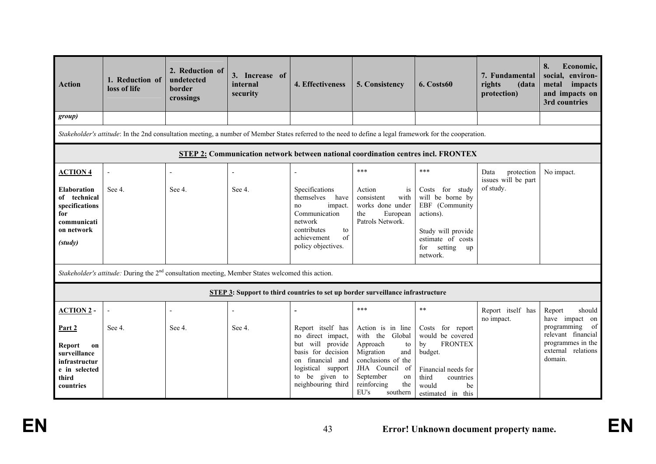| <b>Action</b>                                                                                                             | 1. Reduction of<br>loss of life                                                                              | 2. Reduction of<br>undetected<br>border<br>crossings | 3. Increase of<br>internal<br>security | 4. Effectiveness                                                                                                                                                      | 5. Consistency                                                                                                                                                                                 | 6. Costs60                                                                                                                                                       | 7. Fundamental<br>rights<br>(data<br>protection)       | 8.<br>Economic,<br>social, environ-<br>metal impacts<br>and impacts on<br>3rd countries                                             |
|---------------------------------------------------------------------------------------------------------------------------|--------------------------------------------------------------------------------------------------------------|------------------------------------------------------|----------------------------------------|-----------------------------------------------------------------------------------------------------------------------------------------------------------------------|------------------------------------------------------------------------------------------------------------------------------------------------------------------------------------------------|------------------------------------------------------------------------------------------------------------------------------------------------------------------|--------------------------------------------------------|-------------------------------------------------------------------------------------------------------------------------------------|
| group)                                                                                                                    |                                                                                                              |                                                      |                                        |                                                                                                                                                                       |                                                                                                                                                                                                |                                                                                                                                                                  |                                                        |                                                                                                                                     |
|                                                                                                                           |                                                                                                              |                                                      |                                        | Stakeholder's attitude: In the 2nd consultation meeting, a number of Member States referred to the need to define a legal framework for the cooperation.              |                                                                                                                                                                                                |                                                                                                                                                                  |                                                        |                                                                                                                                     |
|                                                                                                                           |                                                                                                              |                                                      |                                        | <b>STEP 2: Communication network between national coordination centres incl. FRONTEX</b>                                                                              |                                                                                                                                                                                                |                                                                                                                                                                  |                                                        |                                                                                                                                     |
| <b>ACTION 4</b><br><b>Elaboration</b><br>of technical<br>specifications<br>for<br>communicati<br>on network<br>(s t u dy) | See 4.                                                                                                       | See 4.                                               | See 4.                                 | Specifications<br>themselves<br>have<br>impact.<br>no<br>Communication<br>network<br>contributes<br>to<br>of<br>achievement<br>policy objectives.                     | $***$<br>Action<br><i>is</i><br>consistent<br>with<br>works done under<br>the<br>European<br>Patrols Network.                                                                                  | ***<br>Costs for study<br>will be borne by<br>EBF (Community<br>actions).<br>Study will provide<br>estimate of costs<br>setting<br>for<br>up<br>network.         | Data<br>protection<br>issues will be part<br>of study. | No impact.                                                                                                                          |
|                                                                                                                           | Stakeholder's attitude: During the 2 <sup>nd</sup> consultation meeting, Member States welcomed this action. |                                                      |                                        |                                                                                                                                                                       |                                                                                                                                                                                                |                                                                                                                                                                  |                                                        |                                                                                                                                     |
|                                                                                                                           |                                                                                                              |                                                      |                                        | <b>STEP 3:</b> Support to third countries to set up border surveillance infrastructure                                                                                |                                                                                                                                                                                                |                                                                                                                                                                  |                                                        |                                                                                                                                     |
| <b>ACTION 2 -</b><br>Part 2<br>Report<br>on<br>surveillance<br>infrastructur<br>e in selected<br>third<br>countries       | See 4.                                                                                                       | See 4.                                               | See 4.                                 | Report itself has<br>no direct impact,<br>will provide<br>but<br>basis for decision<br>on financial and<br>logistical support<br>to be given to<br>neighbouring third | $***$<br>Action is in line<br>with the<br>Global<br>Approach<br>to<br>Migration<br>and<br>conclusions of the<br>JHA Council<br>of<br>September<br>on<br>reinforcing<br>the<br>EU's<br>southern | $**$<br>Costs for report<br>would be covered<br><b>FRONTEX</b><br>by<br>budget.<br>Financial needs for<br>third<br>countries<br>would<br>be<br>estimated in this | Report itself has<br>no impact.                        | should<br>Report<br>have impact on<br>of<br>programming<br>relevant financial<br>programmes in the<br>external relations<br>domain. |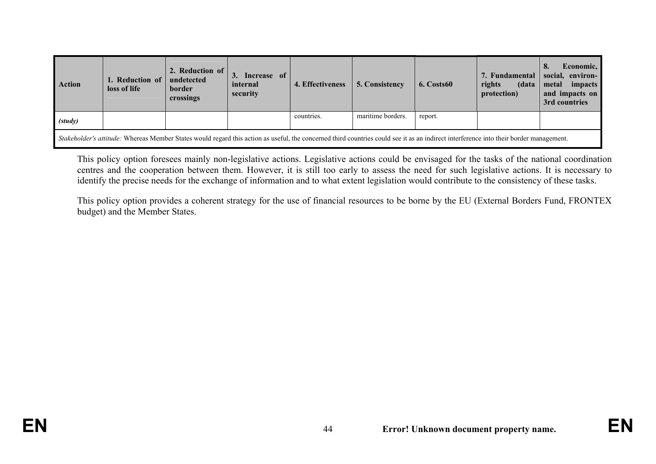| Action                                                                                                                                                                                 | 1. Reduction of<br>loss of life | 2. Reduction of<br>undetected<br>border<br>crossings | 3. Increase of<br>internal<br>security | 4. Effectiveness | 5. Consistency    | 6. Costs60 | 7. Fundamental<br>rights<br>(data<br>protection) | Economic,<br>8.<br>social, environ-<br>impacts<br>metal<br>and impacts on<br>3rd countries |
|----------------------------------------------------------------------------------------------------------------------------------------------------------------------------------------|---------------------------------|------------------------------------------------------|----------------------------------------|------------------|-------------------|------------|--------------------------------------------------|--------------------------------------------------------------------------------------------|
| (s t u dy)                                                                                                                                                                             |                                 |                                                      |                                        | countries.       | maritime borders. | report.    |                                                  |                                                                                            |
| Stakeholder's attitude: Whereas Member States would regard this action as useful, the concerned third countries could see it as an indirect interference into their border management. |                                 |                                                      |                                        |                  |                   |            |                                                  |                                                                                            |

This policy option foresees mainly non-legislative actions. Legislative actions could be envisaged for the tasks of the national coordination centres and the cooperation between them. However, it is still too early to assess the need for such legislative actions. It is necessary to identify the precise needs for the exchange of information and to what extent legislation would contribute to the consistency of these tasks.

This policy option provides a coherent strategy for the use of financial resources to be borne by the EU (External Borders Fund, FRONTEX budget) and the Member States.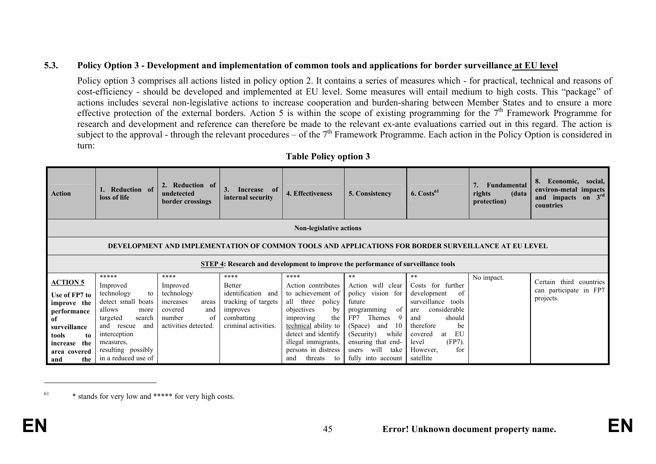#### **5.3. Policy Option 3 - Development and implementation of common tools and applications for border surveillance at EU level**

Policy option 3 comprises all actions listed in policy option 2. It contains a series of measures which - for practical, technical and reasons of cost-efficiency - should be developed and implemented at EU level. Some measures will entail medium to high costs. This "package" of actions includes several non-legislative actions to increase cooperation and burden-sharing between Member States and to ensure a more effective protection of the external borders. Action 5 is within the scope of existing programming for the  $7<sup>th</sup>$  Framework Programme for research and development and reference can therefore be made to the relevant ex-ante evaluations carried out in this regard. The action is subject to the approval - through the relevant procedures – of the  $7<sup>th</sup>$  Framework Programme. Each action in the Policy Option is considered in turn:

| Action                                                                                                                            | Reduction of<br>loss of life                                                                                                                                                                 | <b>Reduction</b> of<br>undetected<br>border crossings                                                  | 3.<br>Increase of<br>internal security                                                                       | 4. Effectiveness                                                                                                                                                                                                               | 5. Consistency                                                                                                                                                                                                     | $6. \text{Costs}^{61}$                                                                                                                                                                               | Fundamental<br>rights<br>(data<br>protection) | Economic, social,<br>8.<br>environ-metal impacts<br>and impacts on 3rd<br>countries |  |  |  |
|-----------------------------------------------------------------------------------------------------------------------------------|----------------------------------------------------------------------------------------------------------------------------------------------------------------------------------------------|--------------------------------------------------------------------------------------------------------|--------------------------------------------------------------------------------------------------------------|--------------------------------------------------------------------------------------------------------------------------------------------------------------------------------------------------------------------------------|--------------------------------------------------------------------------------------------------------------------------------------------------------------------------------------------------------------------|------------------------------------------------------------------------------------------------------------------------------------------------------------------------------------------------------|-----------------------------------------------|-------------------------------------------------------------------------------------|--|--|--|
|                                                                                                                                   | <b>Non-legislative actions</b>                                                                                                                                                               |                                                                                                        |                                                                                                              |                                                                                                                                                                                                                                |                                                                                                                                                                                                                    |                                                                                                                                                                                                      |                                               |                                                                                     |  |  |  |
|                                                                                                                                   | DEVELOPMENT AND IMPLEMENTATION OF COMMON TOOLS AND APPLICATIONS FOR BORDER SURVEILLANCE AT EU LEVEL                                                                                          |                                                                                                        |                                                                                                              |                                                                                                                                                                                                                                |                                                                                                                                                                                                                    |                                                                                                                                                                                                      |                                               |                                                                                     |  |  |  |
| STEP 4: Research and development to improve the performance of surveillance tools                                                 |                                                                                                                                                                                              |                                                                                                        |                                                                                                              |                                                                                                                                                                                                                                |                                                                                                                                                                                                                    |                                                                                                                                                                                                      |                                               |                                                                                     |  |  |  |
| <b>ACTION 5</b>                                                                                                                   | *****                                                                                                                                                                                        | ****                                                                                                   | ****                                                                                                         | ****                                                                                                                                                                                                                           | $**$                                                                                                                                                                                                               | $***$                                                                                                                                                                                                | No impact.                                    | third countries<br>Certain                                                          |  |  |  |
| Use of FP7 to<br>improve the<br>performance<br>of<br>surveillance<br>tools<br>to<br>the<br>increase<br>area covered<br>the<br>and | Improved<br>technology<br>to<br>detect small boats<br>allows<br>more<br>targeted<br>search<br>and<br>rescue<br>and<br>interception<br>measures.<br>resulting possibly<br>in a reduced use of | Improved<br>technology<br>increases<br>areas<br>covered<br>and<br>number<br>of<br>activities detected. | <b>Better</b><br>identification and<br>tracking of targets<br>improves<br>combatting<br>criminal activities. | Action contributes<br>to achievement of<br>policy<br>all<br>three<br>objectives<br>by<br>the<br>improving<br>technical ability to<br>detect and identify<br>illegal immigrants,<br>persons in distress<br>threats<br>and<br>to | Action will clear<br>policy vision for<br>future<br>- of<br>programming<br>9<br>FP7<br>Themes<br>-10<br>(Space)<br>and<br>while<br>(Security)<br>ensuring that end-<br>will<br>take<br>users<br>fully into account | Costs for further<br>development<br>of<br>surveillance tools<br>considerable<br>are<br>should<br>and<br>therefore<br>be<br>EU<br>covered<br>at<br>$(FP7)$ .<br>level<br>However,<br>for<br>satellite |                                               | can participate in FP7<br>projects.                                                 |  |  |  |

**Table Policy option 3** 

 $^{61}$  \* stands for very low and \*\*\*\*\* for very high costs.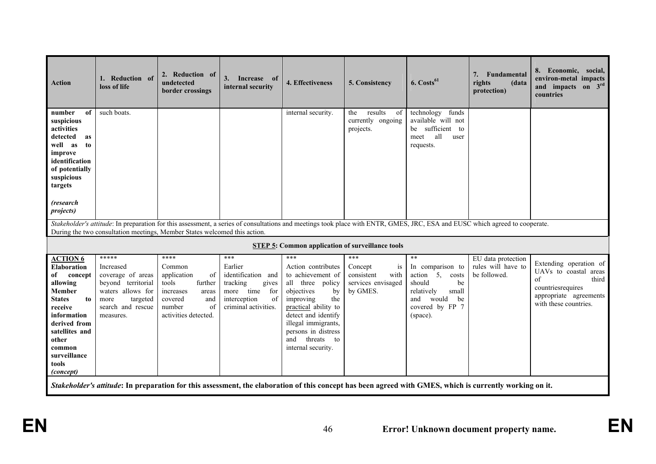| <b>Action</b>                                                                                                                                                                                                | 1. Reduction of<br>loss of life                                                                                                                                                                                                                          | 2. Reduction of<br>undetected<br>border crossings                                                                               | 3. Increase of<br>internal security                                                                                     | 4. Effectiveness                                                                                                                                                                                                                         | 5. Consistency                                                          | $6.$ Costs <sup>61</sup>                                                                                                        | Fundamental<br>7.<br>rights<br>(data<br>protection) | 8. Economic, social,<br>environ-metal impacts<br>and impacts on 3rd<br>countries                                                             |
|--------------------------------------------------------------------------------------------------------------------------------------------------------------------------------------------------------------|----------------------------------------------------------------------------------------------------------------------------------------------------------------------------------------------------------------------------------------------------------|---------------------------------------------------------------------------------------------------------------------------------|-------------------------------------------------------------------------------------------------------------------------|------------------------------------------------------------------------------------------------------------------------------------------------------------------------------------------------------------------------------------------|-------------------------------------------------------------------------|---------------------------------------------------------------------------------------------------------------------------------|-----------------------------------------------------|----------------------------------------------------------------------------------------------------------------------------------------------|
| number<br>of<br>suspicious<br>activities<br>detected<br>as<br>well as<br>to<br>improve<br>identification<br>of potentially<br>suspicious<br>targets                                                          | such boats.                                                                                                                                                                                                                                              |                                                                                                                                 |                                                                                                                         | internal security.                                                                                                                                                                                                                       | results<br>the<br>of<br>currently ongoing<br>projects.                  | technology<br>funds<br>available will not<br>be sufficient to<br>all<br>meet<br>user<br>requests.                               |                                                     |                                                                                                                                              |
| (research<br><i>projects</i> )                                                                                                                                                                               |                                                                                                                                                                                                                                                          |                                                                                                                                 |                                                                                                                         |                                                                                                                                                                                                                                          |                                                                         |                                                                                                                                 |                                                     |                                                                                                                                              |
|                                                                                                                                                                                                              | Stakeholder's attitude: In preparation for this assessment, a series of consultations and meetings took place with ENTR, GMES, JRC, ESA and EUSC which agreed to cooperate.<br>During the two consultation meetings, Member States welcomed this action. |                                                                                                                                 |                                                                                                                         |                                                                                                                                                                                                                                          |                                                                         |                                                                                                                                 |                                                     |                                                                                                                                              |
|                                                                                                                                                                                                              |                                                                                                                                                                                                                                                          |                                                                                                                                 |                                                                                                                         | <b>STEP 5: Common application of surveillance tools</b>                                                                                                                                                                                  |                                                                         |                                                                                                                                 |                                                     |                                                                                                                                              |
| <b>ACTION 6</b>                                                                                                                                                                                              | *****                                                                                                                                                                                                                                                    | ****                                                                                                                            | ***                                                                                                                     | ***                                                                                                                                                                                                                                      | ***                                                                     | $**$                                                                                                                            | EU data protection                                  |                                                                                                                                              |
| <b>Elaboration</b><br>of<br>concept<br>allowing<br><b>Member</b><br><b>States</b><br>to<br>receive<br>information<br>derived from<br>satellites and<br>other<br>common<br>surveillance<br>tools<br>(concept) | Increased<br>coverage of areas<br>beyond territorial<br>waters allows for<br>targeted<br>more<br>search and rescue<br>measures.                                                                                                                          | Common<br>application<br>of<br>tools<br>further<br>increases<br>areas<br>covered<br>and<br>number<br>of<br>activities detected. | Earlier<br>identification and<br>tracking<br>gives<br>more<br>time<br>for<br>interception<br>of<br>criminal activities. | Action contributes<br>to achievement of<br>all three policy<br>objectives<br>by<br>the<br>improving<br>practical ability to<br>detect and identify<br>illegal immigrants,<br>persons in distress<br>and threats to<br>internal security. | Concept<br>$1S$<br>consistent<br>with<br>services envisaged<br>by GMES. | In comparison to<br>action 5.<br>costs<br>be<br>should<br>relatively<br>small<br>and would<br>be<br>covered by FP 7<br>(space). | rules will have to<br>be followed.                  | Extending operation of<br>UAVs to coastal areas<br>$\sigma$<br>third<br>countriesrequires<br>appropriate agreements<br>with these countries. |
|                                                                                                                                                                                                              | Stakeholder's attitude: In preparation for this assessment, the elaboration of this concept has been agreed with GMES, which is currently working on it.                                                                                                 |                                                                                                                                 |                                                                                                                         |                                                                                                                                                                                                                                          |                                                                         |                                                                                                                                 |                                                     |                                                                                                                                              |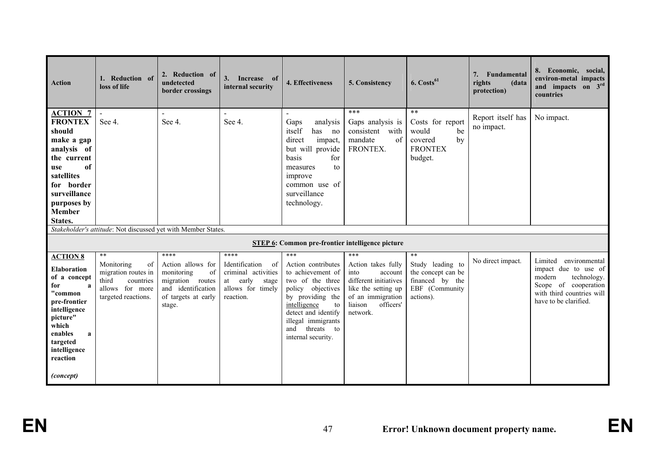| <b>Action</b>                                                                                                                                                                               | 1. Reduction of<br>loss of life                                                                         | 2. Reduction of<br>undetected<br>border crossings                                                                | 3. Increase of<br>internal security                                                                              | 4. Effectiveness                                                                                                                                                                                                   | 5. Consistency                                                                                                                                 | $6. \text{Costs}^{61}$                                                                   | 7. Fundamental<br>rights<br>(data<br>protection) | 8. Economic, social,<br>environ-metal impacts<br>and impacts on 3rd<br>countries                                                             |
|---------------------------------------------------------------------------------------------------------------------------------------------------------------------------------------------|---------------------------------------------------------------------------------------------------------|------------------------------------------------------------------------------------------------------------------|------------------------------------------------------------------------------------------------------------------|--------------------------------------------------------------------------------------------------------------------------------------------------------------------------------------------------------------------|------------------------------------------------------------------------------------------------------------------------------------------------|------------------------------------------------------------------------------------------|--------------------------------------------------|----------------------------------------------------------------------------------------------------------------------------------------------|
| <b>ACTION 7</b><br><b>FRONTEX</b><br>should<br>make a gap<br>analysis of<br>the current<br>of<br>use<br>satellites<br>for border<br>surveillance<br>purposes by<br><b>Member</b><br>States. | $\blacksquare$<br>See 4.                                                                                | $\blacksquare$<br>See 4.                                                                                         | $\blacksquare$<br>See 4.                                                                                         | Gaps<br>analysis<br>itself<br>has no<br>direct<br>impact,<br>but will provide<br>basis<br>for<br>to<br>measures<br>improve<br>common use of<br>surveillance<br>technology.                                         | ***<br>Gaps analysis is<br>consistent<br>with<br>of<br>mandate<br>FRONTEX.                                                                     | $**$<br>Costs for report<br>would<br>be<br>covered<br>by<br><b>FRONTEX</b><br>budget.    | Report itself has<br>no impact.                  | No impact.                                                                                                                                   |
|                                                                                                                                                                                             | Stakeholder's attitude: Not discussed yet with Member States.                                           |                                                                                                                  |                                                                                                                  |                                                                                                                                                                                                                    |                                                                                                                                                |                                                                                          |                                                  |                                                                                                                                              |
|                                                                                                                                                                                             |                                                                                                         |                                                                                                                  |                                                                                                                  | <b>STEP 6: Common pre-frontier intelligence picture</b>                                                                                                                                                            |                                                                                                                                                |                                                                                          |                                                  |                                                                                                                                              |
| <b>ACTION 8</b>                                                                                                                                                                             | $**$                                                                                                    | ****                                                                                                             | ****                                                                                                             | ***                                                                                                                                                                                                                | ***                                                                                                                                            | **                                                                                       |                                                  | Limited                                                                                                                                      |
| <b>Elaboration</b><br>of a concept<br>for<br>a<br>"common<br>pre-frontier<br>intelligence<br>picture"<br>which<br>enables<br>a<br>targeted<br>intelligence<br>reaction                      | Monitoring<br>of<br>migration routes in<br>third<br>countries<br>allows for more<br>targeted reactions. | Action allows for<br>monitoring<br>of<br>migration routes<br>and identification<br>of targets at early<br>stage. | Identification<br><sub>of</sub><br>criminal activities<br>early<br>stage<br>at<br>allows for timely<br>reaction. | Action contributes<br>to achievement of<br>two of the three<br>policy objectives<br>by providing the<br>intelligence<br>to<br>detect and identify<br>illegal immigrants<br>threats to<br>and<br>internal security. | Action takes fully<br>into<br>account<br>different initiatives<br>like the setting up<br>of an immigration<br>liaison<br>officers'<br>network. | Study leading to<br>the concept can be<br>financed by the<br>EBF (Community<br>actions). | No direct impact.                                | environmental<br>impact due to use of<br>modern<br>technology.<br>Scope of cooperation<br>with third countries will<br>have to be clarified. |
| (concept)                                                                                                                                                                                   |                                                                                                         |                                                                                                                  |                                                                                                                  |                                                                                                                                                                                                                    |                                                                                                                                                |                                                                                          |                                                  |                                                                                                                                              |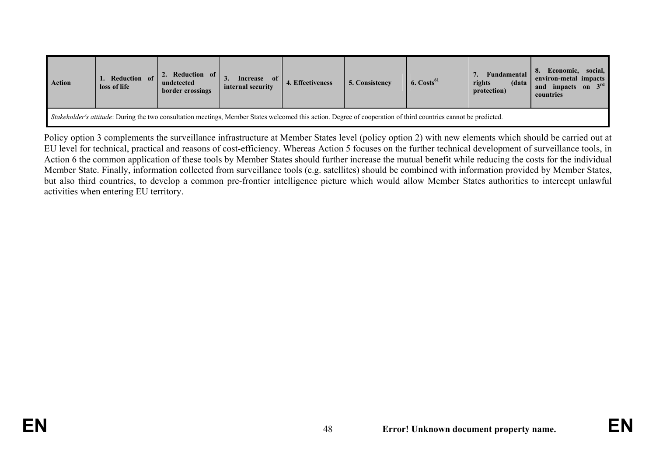| <b>Action</b>                                                                                                                                                          | Reduction of<br>loss of life | 2. Reduction of l<br>undetected<br>border crossings | of<br>Increase<br>internal security | 4. Effectiveness | 5. Consistency | $6. \text{Costs}^{61}$ | Fundamental<br>rights<br>(data<br>protection) | social,<br>Economic.<br>environ-metal impacts<br>and impacts on 3rd<br>countries |  |
|------------------------------------------------------------------------------------------------------------------------------------------------------------------------|------------------------------|-----------------------------------------------------|-------------------------------------|------------------|----------------|------------------------|-----------------------------------------------|----------------------------------------------------------------------------------|--|
| <i>Stakeholder's attitude:</i> During the two consultation meetings, Member States welcomed this action. Degree of cooperation of third countries cannot be predicted. |                              |                                                     |                                     |                  |                |                        |                                               |                                                                                  |  |

Policy option 3 complements the surveillance infrastructure at Member States level (policy option 2) with new elements which should be carried out at EU level for technical, practical and reasons of cost-efficiency. Whereas Action 5 focuses on the further technical development of surveillance tools, in Action 6 the common application of these tools by Member States should further increase the mutual benefit while reducing the costs for the individual Member State. Finally, information collected from surveillance tools (e.g. satellites) should be combined with information provided by Member States, but also third countries, to develop a common pre-frontier intelligence picture which would allow Member States authorities to intercept unlawful activities when entering EU territory.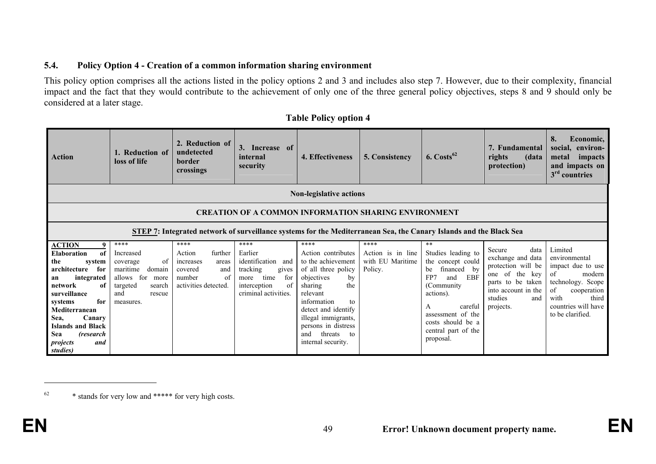#### **5.4. Policy Option 4 - Creation of a common information sharing environment**

This policy option comprises all the actions listed in the policy options 2 and 3 and includes also step 7. However, due to their complexity, financial impact and the fact that they would contribute to the achievement of only one of the three general policy objectives, steps 8 and 9 should only be considered at a later stage.

| <b>Action</b>                                                                                                                                                                                                                                                              | 1. Reduction of<br>loss of life                                                                                                     | 2. Reduction of<br>undetected<br>border<br>crossings                                                      | 3.<br>Increase of<br>internal<br>security                                                                                       | 4. Effectiveness                                                                                                                                                                                                                                                  | 5. Consistency                                           | $6. \text{Costs}^{62}$                                                                                                                                                                                              | 7. Fundamental<br>rights<br>(data<br>protection)                                                                                                       | 8.<br>Economic,<br>social, environ-<br>impacts<br>metal<br>and impacts on<br>$3rd$ countries                                                                        |  |  |  |
|----------------------------------------------------------------------------------------------------------------------------------------------------------------------------------------------------------------------------------------------------------------------------|-------------------------------------------------------------------------------------------------------------------------------------|-----------------------------------------------------------------------------------------------------------|---------------------------------------------------------------------------------------------------------------------------------|-------------------------------------------------------------------------------------------------------------------------------------------------------------------------------------------------------------------------------------------------------------------|----------------------------------------------------------|---------------------------------------------------------------------------------------------------------------------------------------------------------------------------------------------------------------------|--------------------------------------------------------------------------------------------------------------------------------------------------------|---------------------------------------------------------------------------------------------------------------------------------------------------------------------|--|--|--|
|                                                                                                                                                                                                                                                                            | <b>Non-legislative actions</b>                                                                                                      |                                                                                                           |                                                                                                                                 |                                                                                                                                                                                                                                                                   |                                                          |                                                                                                                                                                                                                     |                                                                                                                                                        |                                                                                                                                                                     |  |  |  |
|                                                                                                                                                                                                                                                                            | <b>CREATION OF A COMMON INFORMATION SHARING ENVIRONMENT</b>                                                                         |                                                                                                           |                                                                                                                                 |                                                                                                                                                                                                                                                                   |                                                          |                                                                                                                                                                                                                     |                                                                                                                                                        |                                                                                                                                                                     |  |  |  |
|                                                                                                                                                                                                                                                                            | STEP 7: Integrated network of surveillance systems for the Mediterranean Sea, the Canary Islands and the Black Sea                  |                                                                                                           |                                                                                                                                 |                                                                                                                                                                                                                                                                   |                                                          |                                                                                                                                                                                                                     |                                                                                                                                                        |                                                                                                                                                                     |  |  |  |
| <b>ACTION</b><br><b>Elaboration</b><br>of<br>the<br>system<br>architecture<br>for<br>integrated<br>an<br>network<br>of<br>surveillance<br>for<br>systems<br>Mediterranean<br>Canary<br>Sea.<br><b>Islands and Black</b><br>Sea<br>(research<br>projects<br>and<br>studies) | ****<br>Increased<br>of<br>coverage<br>maritime<br>domain<br>allows for<br>more<br>targeted<br>search<br>and<br>rescue<br>measures. | ****<br>further<br>Action<br>increases<br>areas<br>and<br>covered<br>of<br>number<br>activities detected. | ****<br>Earlier<br>identification and<br>tracking<br>gives<br>time<br>for<br>more<br>interception<br>of<br>criminal activities. | ****<br>Action contributes<br>to the achievement<br>of all three policy<br>objectives<br>by<br>the<br>sharing<br>relevant<br>information<br>to<br>detect and identify<br>illegal immigrants,<br>persons in distress<br>threats<br>and<br>to<br>internal security. | ****<br>Action is in line<br>with EU Maritime<br>Policy. | $**$<br>Studies leading to<br>the concept could<br>financed by<br>be<br>EBF<br>FP7<br>and<br>(Community)<br>actions).<br>careful<br>A<br>assessment of the<br>costs should be a<br>central part of the<br>proposal. | Secure<br>data<br>exchange and data<br>protection will be<br>one of the key<br>parts to be taken<br>into account in the<br>studies<br>and<br>projects. | Limited<br>environmental<br>impact due to use<br>of<br>modern<br>technology. Scope<br>of<br>cooperation<br>with<br>third<br>countries will have<br>to be clarified. |  |  |  |

#### **Table Policy option 4**

<sup>62 \*</sup> stands for very low and \*\*\*\*\* for very high costs.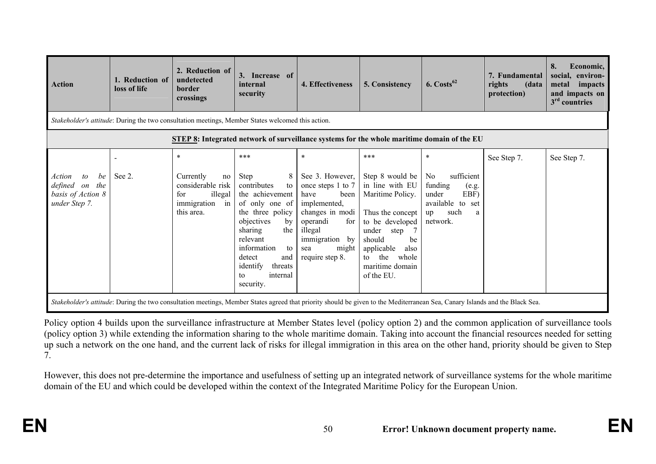| <b>Action</b>                                                                          | 1. Reduction of<br>loss of life                                                                   | 2. Reduction of<br>undetected<br>border<br>crossings                                                                                                                                                                                                                                | 3. Increase of<br>internal<br>security                                                                                                                                                                                                                    | 4. Effectiveness                                                                                                                                                                     | 5. Consistency                                                                                                                                                                                                       | $6. \text{Costs}^{62}$                                                                                             | 7. Fundamental<br>rights<br>(data<br>protection) | 8.<br>Economic,<br>social,<br>environ-<br>metal<br>impacts<br>and impacts on<br>$3rd$ countries |  |  |  |
|----------------------------------------------------------------------------------------|---------------------------------------------------------------------------------------------------|-------------------------------------------------------------------------------------------------------------------------------------------------------------------------------------------------------------------------------------------------------------------------------------|-----------------------------------------------------------------------------------------------------------------------------------------------------------------------------------------------------------------------------------------------------------|--------------------------------------------------------------------------------------------------------------------------------------------------------------------------------------|----------------------------------------------------------------------------------------------------------------------------------------------------------------------------------------------------------------------|--------------------------------------------------------------------------------------------------------------------|--------------------------------------------------|-------------------------------------------------------------------------------------------------|--|--|--|
|                                                                                        | Stakeholder's attitude: During the two consultation meetings, Member States welcomed this action. |                                                                                                                                                                                                                                                                                     |                                                                                                                                                                                                                                                           |                                                                                                                                                                                      |                                                                                                                                                                                                                      |                                                                                                                    |                                                  |                                                                                                 |  |  |  |
|                                                                                        | <b>STEP 8:</b> Integrated network of surveillance systems for the whole maritime domain of the EU |                                                                                                                                                                                                                                                                                     |                                                                                                                                                                                                                                                           |                                                                                                                                                                                      |                                                                                                                                                                                                                      |                                                                                                                    |                                                  |                                                                                                 |  |  |  |
| $\mathfrak{c}$<br>be<br>Action<br>defined on the<br>basis of Action 8<br>under Step 7. | See 2.                                                                                            | $\ast$<br>Currently<br>no<br>considerable risk<br>illegal<br>for<br>immigration<br>in<br>this area.<br>Stakeholder's attitude: During the two consultation meetings, Member States agreed that priority should be given to the Mediterranean Sea, Canary Islands and the Black Sea. | ***<br>Step<br>8 <sup>1</sup><br>contributes<br>to<br>the achievement<br>of only one of<br>the three policy<br>objectives<br>by<br>sharing<br>the<br>relevant<br>information<br>to<br>detect<br>and<br>identify<br>threats<br>internal<br>to<br>security. | $\ast$<br>See 3. However,<br>once steps 1 to 7<br>have<br>been<br>implemented,<br>changes in modi<br>operandi<br>for<br>illegal<br>immigration by<br>might<br>sea<br>require step 8. | $***$<br>Step 8 would be<br>in line with EU<br>Maritime Policy.<br>Thus the concept<br>to be developed<br>under<br>step<br>should<br>be<br>applicable<br>also<br>the<br>whole<br>to<br>maritime domain<br>of the EU. | $\ast$<br>sufficient<br>No<br>funding<br>(e.g.<br>EBF)<br>under<br>available to set<br>such<br>up<br>a<br>network. | See Step 7.                                      | See Step 7.                                                                                     |  |  |  |

Policy option 4 builds upon the surveillance infrastructure at Member States level (policy option 2) and the common application of surveillance tools (policy option 3) while extending the information sharing to the whole maritime domain. Taking into account the financial resources needed for setting up such a network on the one hand, and the current lack of risks for illegal immigration in this area on the other hand, priority should be given to Step 7.

However, this does not pre-determine the importance and usefulness of setting up an integrated network of surveillance systems for the whole maritime domain of the EU and which could be developed within the context of the Integrated Maritime Policy for the European Union.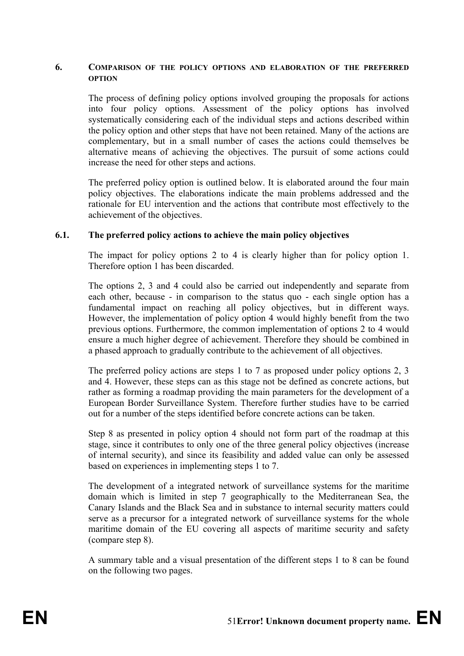#### **6. COMPARISON OF THE POLICY OPTIONS AND ELABORATION OF THE PREFERRED OPTION**

The process of defining policy options involved grouping the proposals for actions into four policy options. Assessment of the policy options has involved systematically considering each of the individual steps and actions described within the policy option and other steps that have not been retained. Many of the actions are complementary, but in a small number of cases the actions could themselves be alternative means of achieving the objectives. The pursuit of some actions could increase the need for other steps and actions.

The preferred policy option is outlined below. It is elaborated around the four main policy objectives. The elaborations indicate the main problems addressed and the rationale for EU intervention and the actions that contribute most effectively to the achievement of the objectives.

#### **6.1. The preferred policy actions to achieve the main policy objectives**

The impact for policy options 2 to 4 is clearly higher than for policy option 1. Therefore option 1 has been discarded.

The options 2, 3 and 4 could also be carried out independently and separate from each other, because - in comparison to the status quo - each single option has a fundamental impact on reaching all policy objectives, but in different ways. However, the implementation of policy option 4 would highly benefit from the two previous options. Furthermore, the common implementation of options 2 to 4 would ensure a much higher degree of achievement. Therefore they should be combined in a phased approach to gradually contribute to the achievement of all objectives.

The preferred policy actions are steps 1 to 7 as proposed under policy options 2, 3 and 4. However, these steps can as this stage not be defined as concrete actions, but rather as forming a roadmap providing the main parameters for the development of a European Border Surveillance System. Therefore further studies have to be carried out for a number of the steps identified before concrete actions can be taken.

Step 8 as presented in policy option 4 should not form part of the roadmap at this stage, since it contributes to only one of the three general policy objectives (increase of internal security), and since its feasibility and added value can only be assessed based on experiences in implementing steps 1 to 7.

The development of a integrated network of surveillance systems for the maritime domain which is limited in step 7 geographically to the Mediterranean Sea, the Canary Islands and the Black Sea and in substance to internal security matters could serve as a precursor for a integrated network of surveillance systems for the whole maritime domain of the EU covering all aspects of maritime security and safety (compare step 8).

A summary table and a visual presentation of the different steps 1 to 8 can be found on the following two pages.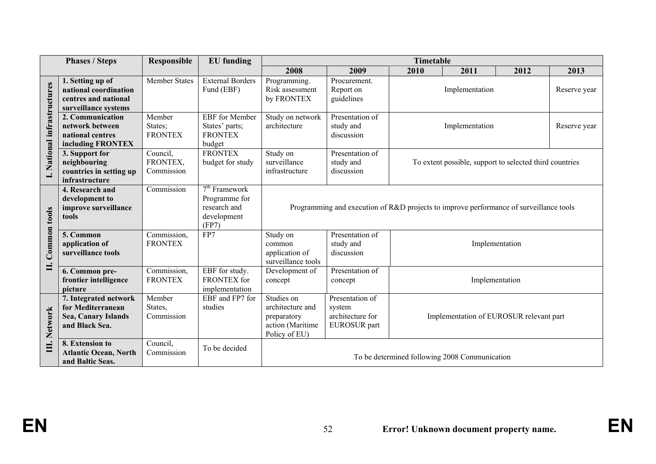|                             | <b>Phases / Steps</b>                                                                      | <b>Responsible</b>                  | <b>EU</b> funding                                                        |                                                                                        |                                                               | <b>Timetable</b>                                        |                                         |      |              |  |
|-----------------------------|--------------------------------------------------------------------------------------------|-------------------------------------|--------------------------------------------------------------------------|----------------------------------------------------------------------------------------|---------------------------------------------------------------|---------------------------------------------------------|-----------------------------------------|------|--------------|--|
|                             |                                                                                            |                                     |                                                                          | 2008                                                                                   | 2009                                                          | 2010                                                    | 2011                                    | 2012 | 2013         |  |
|                             | 1. Setting up of<br>national coordination<br>centres and national<br>surveillance systems  | Member States                       | <b>External Borders</b><br>Fund (EBF)                                    | Programming.<br>Risk assessment<br>by FRONTEX                                          | Procurement.<br>Report on<br>guidelines                       |                                                         | Implementation                          |      | Reserve year |  |
| I. National infrastructures | 2. Communication<br>network between<br>national centres<br>including FRONTEX               | Member<br>States;<br><b>FRONTEX</b> | <b>EBF</b> for Member<br>States' parts;<br><b>FRONTEX</b><br>budget      | Study on network<br>architecture                                                       | Presentation of<br>study and<br>discussion                    |                                                         | Implementation                          |      | Reserve year |  |
|                             | 3. Support for<br>neighbouring<br>countries in setting up<br>infrastructure                | Council,<br>FRONTEX,<br>Commission  | <b>FRONTEX</b><br>budget for study                                       | Study on<br>surveillance<br>infrastructure                                             | Presentation of<br>study and<br>discussion                    | To extent possible, support to selected third countries |                                         |      |              |  |
|                             | 4. Research and<br>development to<br>improve surveillance<br>tools                         | Commission                          | $7th$ Framework<br>Programme for<br>research and<br>development<br>(FP7) | Programming and execution of R&D projects to improve performance of surveillance tools |                                                               |                                                         |                                         |      |              |  |
| Common tools                | 5. Common<br>application of<br>surveillance tools                                          | Commission,<br><b>FRONTEX</b>       | FP7                                                                      | Study on<br>common<br>application of<br>surveillance tools                             | Presentation of<br>study and<br>discussion                    |                                                         | Implementation                          |      |              |  |
| Ц.                          | 6. Common pre-<br>frontier intelligence<br>picture                                         | Commission,<br><b>FRONTEX</b>       | EBF for study.<br><b>FRONTEX</b> for<br>implementation                   | Development of<br>concept                                                              | Presentation of<br>concept                                    | Implementation                                          |                                         |      |              |  |
| <b>Network</b>              | 7. Integrated network<br>for Mediterranean<br><b>Sea, Canary Islands</b><br>and Black Sea. | Member<br>States,<br>Commission     | EBF and FP7 for<br>studies                                               | Studies on<br>architecture and<br>preparatory<br>action (Maritime<br>Policy of EU)     | Presentation of<br>system<br>architecture for<br>EUROSUR part |                                                         | Implementation of EUROSUR relevant part |      |              |  |
| Ξ.                          | 8. Extension to<br><b>Atlantic Ocean, North</b><br>and Baltic Seas.                        | Council,<br>Commission              | To be decided                                                            |                                                                                        |                                                               | To be determined following 2008 Communication           |                                         |      |              |  |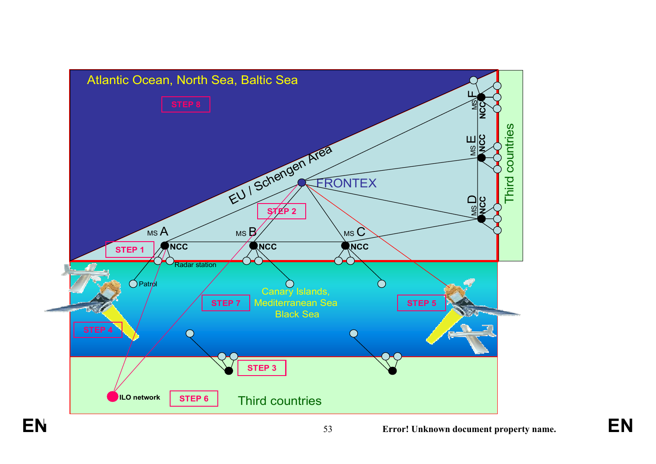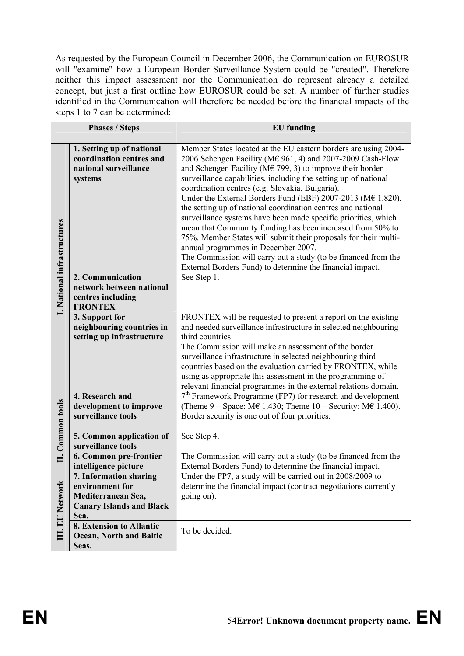As requested by the European Council in December 2006, the Communication on EUROSUR will "examine" how a European Border Surveillance System could be "created". Therefore neither this impact assessment nor the Communication do represent already a detailed concept, but just a first outline how EUROSUR could be set. A number of further studies identified in the Communication will therefore be needed before the financial impacts of the steps 1 to 7 can be determined:

| <b>Phases / Steps</b>       |                                                                                           | <b>EU</b> funding                                                                                                                                                                                                                                                                                                                                                                                                                                                                                                                                                                                                                                                                                                                                                                                                             |  |
|-----------------------------|-------------------------------------------------------------------------------------------|-------------------------------------------------------------------------------------------------------------------------------------------------------------------------------------------------------------------------------------------------------------------------------------------------------------------------------------------------------------------------------------------------------------------------------------------------------------------------------------------------------------------------------------------------------------------------------------------------------------------------------------------------------------------------------------------------------------------------------------------------------------------------------------------------------------------------------|--|
|                             |                                                                                           |                                                                                                                                                                                                                                                                                                                                                                                                                                                                                                                                                                                                                                                                                                                                                                                                                               |  |
| I. National infrastructures | 1. Setting up of national<br>coordination centres and<br>national surveillance<br>systems | Member States located at the EU eastern borders are using 2004-<br>2006 Schengen Facility (M€ 961, 4) and 2007-2009 Cash-Flow<br>and Schengen Facility (M $\in$ 799, 3) to improve their border<br>surveillance capabilities, including the setting up of national<br>coordination centres (e.g. Slovakia, Bulgaria).<br>Under the External Borders Fund (EBF) 2007-2013 (M€ 1.820),<br>the setting up of national coordination centres and national<br>surveillance systems have been made specific priorities, which<br>mean that Community funding has been increased from 50% to<br>75%. Member States will submit their proposals for their multi-<br>annual programmes in December 2007.<br>The Commission will carry out a study (to be financed from the<br>External Borders Fund) to determine the financial impact. |  |
|                             | 2. Communication                                                                          | See Step 1.                                                                                                                                                                                                                                                                                                                                                                                                                                                                                                                                                                                                                                                                                                                                                                                                                   |  |
|                             | network between national                                                                  |                                                                                                                                                                                                                                                                                                                                                                                                                                                                                                                                                                                                                                                                                                                                                                                                                               |  |
|                             | centres including<br><b>FRONTEX</b>                                                       |                                                                                                                                                                                                                                                                                                                                                                                                                                                                                                                                                                                                                                                                                                                                                                                                                               |  |
|                             | 3. Support for                                                                            | FRONTEX will be requested to present a report on the existing                                                                                                                                                                                                                                                                                                                                                                                                                                                                                                                                                                                                                                                                                                                                                                 |  |
|                             | neighbouring countries in                                                                 | and needed surveillance infrastructure in selected neighbouring                                                                                                                                                                                                                                                                                                                                                                                                                                                                                                                                                                                                                                                                                                                                                               |  |
|                             | setting up infrastructure                                                                 | third countries.                                                                                                                                                                                                                                                                                                                                                                                                                                                                                                                                                                                                                                                                                                                                                                                                              |  |
|                             |                                                                                           | The Commission will make an assessment of the border<br>surveillance infrastructure in selected neighbouring third<br>countries based on the evaluation carried by FRONTEX, while<br>using as appropriate this assessment in the programming of<br>relevant financial programmes in the external relations domain.                                                                                                                                                                                                                                                                                                                                                                                                                                                                                                            |  |
|                             | 4. Research and                                                                           | $7th$ Framework Programme (FP7) for research and development                                                                                                                                                                                                                                                                                                                                                                                                                                                                                                                                                                                                                                                                                                                                                                  |  |
|                             | development to improve                                                                    | (Theme 9 – Space: M $\epsilon$ 1.430; Theme 10 – Security: M $\epsilon$ 1.400).                                                                                                                                                                                                                                                                                                                                                                                                                                                                                                                                                                                                                                                                                                                                               |  |
| Common tools                | surveillance tools                                                                        | Border security is one out of four priorities.                                                                                                                                                                                                                                                                                                                                                                                                                                                                                                                                                                                                                                                                                                                                                                                |  |
|                             | 5. Common application of                                                                  | See Step 4.                                                                                                                                                                                                                                                                                                                                                                                                                                                                                                                                                                                                                                                                                                                                                                                                                   |  |
|                             | surveillance tools                                                                        |                                                                                                                                                                                                                                                                                                                                                                                                                                                                                                                                                                                                                                                                                                                                                                                                                               |  |
| ≡                           | 6. Common pre-frontier                                                                    | The Commission will carry out a study (to be financed from the                                                                                                                                                                                                                                                                                                                                                                                                                                                                                                                                                                                                                                                                                                                                                                |  |
|                             | intelligence picture                                                                      | External Borders Fund) to determine the financial impact.                                                                                                                                                                                                                                                                                                                                                                                                                                                                                                                                                                                                                                                                                                                                                                     |  |
|                             | 7. Information sharing<br>environment for                                                 | Under the FP7, a study will be carried out in 2008/2009 to                                                                                                                                                                                                                                                                                                                                                                                                                                                                                                                                                                                                                                                                                                                                                                    |  |
|                             | Mediterranean Sea,                                                                        | determine the financial impact (contract negotiations currently<br>going on).                                                                                                                                                                                                                                                                                                                                                                                                                                                                                                                                                                                                                                                                                                                                                 |  |
|                             | <b>Canary Islands and Black</b>                                                           |                                                                                                                                                                                                                                                                                                                                                                                                                                                                                                                                                                                                                                                                                                                                                                                                                               |  |
| <b>III. EU Network</b>      | Sea.                                                                                      |                                                                                                                                                                                                                                                                                                                                                                                                                                                                                                                                                                                                                                                                                                                                                                                                                               |  |
|                             | 8. Extension to Atlantic                                                                  |                                                                                                                                                                                                                                                                                                                                                                                                                                                                                                                                                                                                                                                                                                                                                                                                                               |  |
|                             | <b>Ocean, North and Baltic</b>                                                            | To be decided.                                                                                                                                                                                                                                                                                                                                                                                                                                                                                                                                                                                                                                                                                                                                                                                                                |  |
|                             | Seas.                                                                                     |                                                                                                                                                                                                                                                                                                                                                                                                                                                                                                                                                                                                                                                                                                                                                                                                                               |  |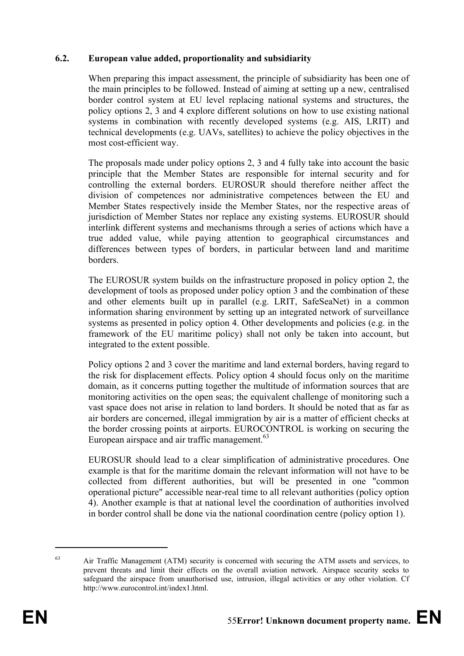#### **6.2. European value added, proportionality and subsidiarity**

When preparing this impact assessment, the principle of subsidiarity has been one of the main principles to be followed. Instead of aiming at setting up a new, centralised border control system at EU level replacing national systems and structures, the policy options 2, 3 and 4 explore different solutions on how to use existing national systems in combination with recently developed systems (e.g. AIS, LRIT) and technical developments (e.g. UAVs, satellites) to achieve the policy objectives in the most cost-efficient way.

The proposals made under policy options 2, 3 and 4 fully take into account the basic principle that the Member States are responsible for internal security and for controlling the external borders. EUROSUR should therefore neither affect the division of competences nor administrative competences between the EU and Member States respectively inside the Member States, nor the respective areas of jurisdiction of Member States nor replace any existing systems. EUROSUR should interlink different systems and mechanisms through a series of actions which have a true added value, while paying attention to geographical circumstances and differences between types of borders, in particular between land and maritime borders.

The EUROSUR system builds on the infrastructure proposed in policy option 2, the development of tools as proposed under policy option 3 and the combination of these and other elements built up in parallel (e.g. LRIT, SafeSeaNet) in a common information sharing environment by setting up an integrated network of surveillance systems as presented in policy option 4. Other developments and policies (e.g. in the framework of the EU maritime policy) shall not only be taken into account, but integrated to the extent possible.

Policy options 2 and 3 cover the maritime and land external borders, having regard to the risk for displacement effects. Policy option 4 should focus only on the maritime domain, as it concerns putting together the multitude of information sources that are monitoring activities on the open seas; the equivalent challenge of monitoring such a vast space does not arise in relation to land borders. It should be noted that as far as air borders are concerned, illegal immigration by air is a matter of efficient checks at the border crossing points at airports. EUROCONTROL is working on securing the European airspace and air traffic management.<sup>63</sup>

EUROSUR should lead to a clear simplification of administrative procedures. One example is that for the maritime domain the relevant information will not have to be collected from different authorities, but will be presented in one "common operational picture" accessible near-real time to all relevant authorities (policy option 4). Another example is that at national level the coordination of authorities involved in border control shall be done via the national coordination centre (policy option 1).

1

<sup>&</sup>lt;sup>63</sup> Air Traffic Management (ATM) security is concerned with securing the ATM assets and services, to prevent threats and limit their effects on the overall aviation network. Airspace security seeks to safeguard the airspace from unauthorised use, intrusion, illegal activities or any other violation. Cf http://www.eurocontrol.int/index1.html.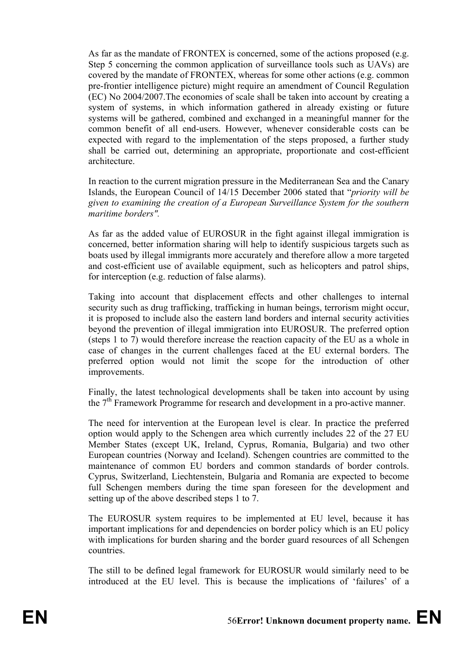As far as the mandate of FRONTEX is concerned, some of the actions proposed (e.g. Step 5 concerning the common application of surveillance tools such as UAVs) are covered by the mandate of FRONTEX, whereas for some other actions (e.g. common pre-frontier intelligence picture) might require an amendment of Council Regulation (EC) No 2004/2007.The economies of scale shall be taken into account by creating a system of systems, in which information gathered in already existing or future systems will be gathered, combined and exchanged in a meaningful manner for the common benefit of all end-users. However, whenever considerable costs can be expected with regard to the implementation of the steps proposed, a further study shall be carried out, determining an appropriate, proportionate and cost-efficient architecture.

In reaction to the current migration pressure in the Mediterranean Sea and the Canary Islands, the European Council of 14/15 December 2006 stated that "*priority will be given to examining the creation of a European Surveillance System for the southern maritime borders".* 

As far as the added value of EUROSUR in the fight against illegal immigration is concerned, better information sharing will help to identify suspicious targets such as boats used by illegal immigrants more accurately and therefore allow a more targeted and cost-efficient use of available equipment, such as helicopters and patrol ships, for interception (e.g. reduction of false alarms).

Taking into account that displacement effects and other challenges to internal security such as drug trafficking, trafficking in human beings, terrorism might occur, it is proposed to include also the eastern land borders and internal security activities beyond the prevention of illegal immigration into EUROSUR. The preferred option (steps 1 to 7) would therefore increase the reaction capacity of the EU as a whole in case of changes in the current challenges faced at the EU external borders. The preferred option would not limit the scope for the introduction of other improvements.

Finally, the latest technological developments shall be taken into account by using the 7<sup>th</sup> Framework Programme for research and development in a pro-active manner.

The need for intervention at the European level is clear. In practice the preferred option would apply to the Schengen area which currently includes 22 of the 27 EU Member States (except UK, Ireland, Cyprus, Romania, Bulgaria) and two other European countries (Norway and Iceland). Schengen countries are committed to the maintenance of common EU borders and common standards of border controls. Cyprus, Switzerland, Liechtenstein, Bulgaria and Romania are expected to become full Schengen members during the time span foreseen for the development and setting up of the above described steps 1 to 7.

The EUROSUR system requires to be implemented at EU level, because it has important implications for and dependencies on border policy which is an EU policy with implications for burden sharing and the border guard resources of all Schengen countries.

The still to be defined legal framework for EUROSUR would similarly need to be introduced at the EU level. This is because the implications of 'failures' of a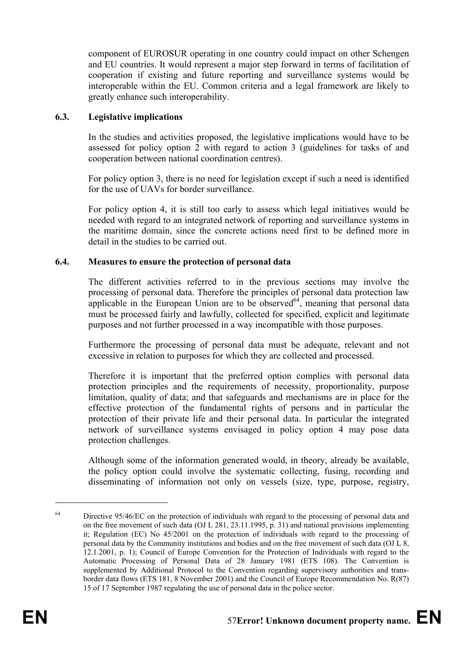component of EUROSUR operating in one country could impact on other Schengen and EU countries. It would represent a major step forward in terms of facilitation of cooperation if existing and future reporting and surveillance systems would be interoperable within the EU. Common criteria and a legal framework are likely to greatly enhance such interoperability.

#### **6.3. Legislative implications**

In the studies and activities proposed, the legislative implications would have to be assessed for policy option 2 with regard to action 3 (guidelines for tasks of and cooperation between national coordination centres).

For policy option 3, there is no need for legislation except if such a need is identified for the use of UAVs for border surveillance.

For policy option 4, it is still too early to assess which legal initiatives would be needed with regard to an integrated network of reporting and surveillance systems in the maritime domain, since the concrete actions need first to be defined more in detail in the studies to be carried out.

#### **6.4. Measures to ensure the protection of personal data**

The different activities referred to in the previous sections may involve the processing of personal data. Therefore the principles of personal data protection law applicable in the European Union are to be observed  $\frac{1}{2}$  meaning that personal data must be processed fairly and lawfully, collected for specified, explicit and legitimate purposes and not further processed in a way incompatible with those purposes.

Furthermore the processing of personal data must be adequate, relevant and not excessive in relation to purposes for which they are collected and processed.

Therefore it is important that the preferred option complies with personal data protection principles and the requirements of necessity, proportionality, purpose limitation, quality of data; and that safeguards and mechanisms are in place for the effective protection of the fundamental rights of persons and in particular the protection of their private life and their personal data. In particular the integrated network of surveillance systems envisaged in policy option 4 may pose data protection challenges.

Although some of the information generated would, in theory, already be available, the policy option could involve the systematic collecting, fusing, recording and disseminating of information not only on vessels (size, type, purpose, registry,

<u>.</u>

 $64$  Directive 95/46/EC on the protection of individuals with regard to the processing of personal data and on the free movement of such data (OJ L 281, 23.11.1995, p. 31) and national provisions implementing it; Regulation (EC) No 45/2001 on the protection of individuals with regard to the processing of personal data by the Community institutions and bodies and on the free movement of such data (OJ L 8, 12.1.2001, p. 1); Council of Europe Convention for the Protection of Individuals with regard to the Automatic Processing of Personal Data of 28 January 1981 (ETS 108). The Convention is supplemented by Additional Protocol to the Convention regarding supervisory authorities and transborder data flows (ETS 181, 8 November 2001) and the Council of Europe Recommendation No. R(87) 15 of 17 September 1987 regulating the use of personal data in the police sector.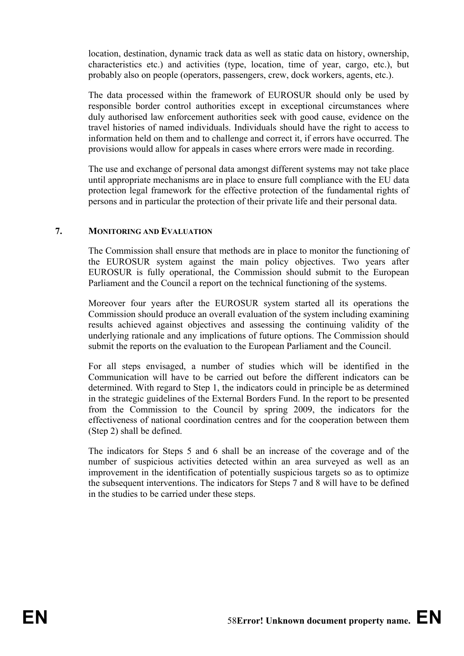location, destination, dynamic track data as well as static data on history, ownership, characteristics etc.) and activities (type, location, time of year, cargo, etc.), but probably also on people (operators, passengers, crew, dock workers, agents, etc.).

The data processed within the framework of EUROSUR should only be used by responsible border control authorities except in exceptional circumstances where duly authorised law enforcement authorities seek with good cause, evidence on the travel histories of named individuals. Individuals should have the right to access to information held on them and to challenge and correct it, if errors have occurred. The provisions would allow for appeals in cases where errors were made in recording.

The use and exchange of personal data amongst different systems may not take place until appropriate mechanisms are in place to ensure full compliance with the EU data protection legal framework for the effective protection of the fundamental rights of persons and in particular the protection of their private life and their personal data.

#### **7. MONITORING AND EVALUATION**

The Commission shall ensure that methods are in place to monitor the functioning of the EUROSUR system against the main policy objectives. Two years after EUROSUR is fully operational, the Commission should submit to the European Parliament and the Council a report on the technical functioning of the systems.

Moreover four years after the EUROSUR system started all its operations the Commission should produce an overall evaluation of the system including examining results achieved against objectives and assessing the continuing validity of the underlying rationale and any implications of future options. The Commission should submit the reports on the evaluation to the European Parliament and the Council.

For all steps envisaged, a number of studies which will be identified in the Communication will have to be carried out before the different indicators can be determined. With regard to Step 1, the indicators could in principle be as determined in the strategic guidelines of the External Borders Fund. In the report to be presented from the Commission to the Council by spring 2009, the indicators for the effectiveness of national coordination centres and for the cooperation between them (Step 2) shall be defined.

The indicators for Steps 5 and 6 shall be an increase of the coverage and of the number of suspicious activities detected within an area surveyed as well as an improvement in the identification of potentially suspicious targets so as to optimize the subsequent interventions. The indicators for Steps 7 and 8 will have to be defined in the studies to be carried under these steps.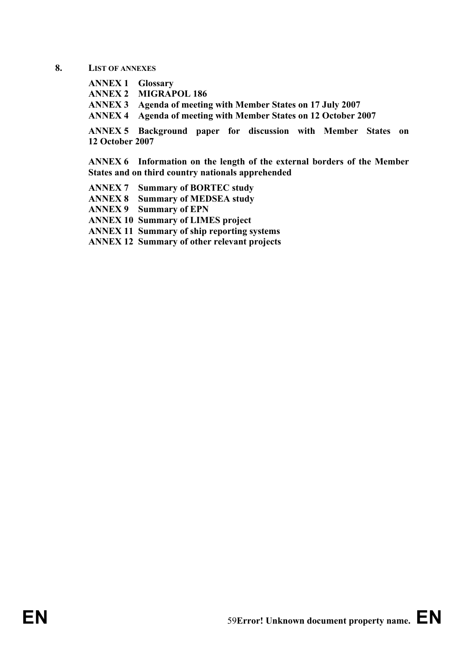#### **8. LIST OF ANNEXES**

**ANNEX 1 Glossary ANNEX 2 MIGRAPOL 186 ANNEX 3 Agenda of meeting with Member States on 17 July 2007 ANNEX 4 Agenda of meeting with Member States on 12 October 2007** 

**ANNEX 5 Background paper for discussion with Member States on 12 October 2007** 

**ANNEX 6 Information on the length of the external borders of the Member States and on third country nationals apprehended** 

**ANNEX 7 Summary of BORTEC study ANNEX 8 Summary of MEDSEA study ANNEX 9 Summary of EPN ANNEX 10 Summary of LIMES project ANNEX 11 Summary of ship reporting systems ANNEX 12 Summary of other relevant projects**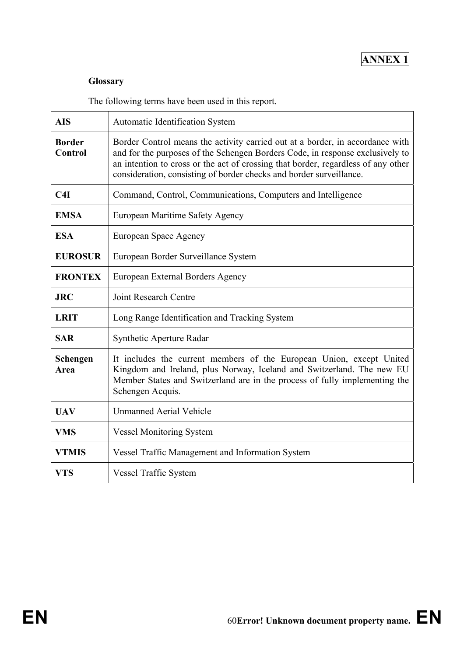## **ANNEX 1**

#### **Glossary**

The following terms have been used in this report.

| <b>AIS</b>                                                          | <b>Automatic Identification System</b>                                                                                                                                                                                                                                                                                     |  |
|---------------------------------------------------------------------|----------------------------------------------------------------------------------------------------------------------------------------------------------------------------------------------------------------------------------------------------------------------------------------------------------------------------|--|
| <b>Border</b><br><b>Control</b>                                     | Border Control means the activity carried out at a border, in accordance with<br>and for the purposes of the Schengen Borders Code, in response exclusively to<br>an intention to cross or the act of crossing that border, regardless of any other<br>consideration, consisting of border checks and border surveillance. |  |
| Command, Control, Communications, Computers and Intelligence<br>C4I |                                                                                                                                                                                                                                                                                                                            |  |
| <b>EMSA</b>                                                         | European Maritime Safety Agency                                                                                                                                                                                                                                                                                            |  |
| <b>ESA</b>                                                          | European Space Agency                                                                                                                                                                                                                                                                                                      |  |
| <b>EUROSUR</b>                                                      | European Border Surveillance System                                                                                                                                                                                                                                                                                        |  |
| <b>FRONTEX</b>                                                      | European External Borders Agency                                                                                                                                                                                                                                                                                           |  |
| <b>JRC</b>                                                          | Joint Research Centre                                                                                                                                                                                                                                                                                                      |  |
| <b>LRIT</b>                                                         | Long Range Identification and Tracking System                                                                                                                                                                                                                                                                              |  |
| <b>SAR</b>                                                          | Synthetic Aperture Radar                                                                                                                                                                                                                                                                                                   |  |
| Schengen<br>Area                                                    | It includes the current members of the European Union, except United<br>Kingdom and Ireland, plus Norway, Iceland and Switzerland. The new EU<br>Member States and Switzerland are in the process of fully implementing the<br>Schengen Acquis.                                                                            |  |
| <b>UAV</b>                                                          | <b>Unmanned Aerial Vehicle</b>                                                                                                                                                                                                                                                                                             |  |
| <b>VMS</b>                                                          | <b>Vessel Monitoring System</b>                                                                                                                                                                                                                                                                                            |  |
| <b>VTMIS</b>                                                        | Vessel Traffic Management and Information System                                                                                                                                                                                                                                                                           |  |
| <b>VTS</b>                                                          | Vessel Traffic System                                                                                                                                                                                                                                                                                                      |  |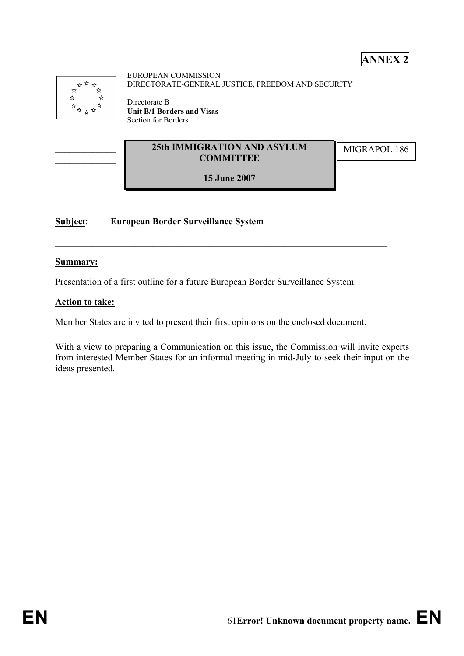### **ANNEX 2**

| ☆☆☆☆☆                        |  |
|------------------------------|--|
|                              |  |
| $\mathbf{x}$<br>$\mathbf{x}$ |  |
| ☆<br>☆ ☆ ☆ ☆ ☆               |  |
|                              |  |
|                              |  |
|                              |  |
|                              |  |

**\_\_\_\_\_\_\_\_\_\_\_\_\_ \_\_\_\_\_\_\_\_\_\_\_\_\_** EUROPEAN COMMISSION DIRECTORATE-GENERAL JUSTICE, FREEDOM AND SECURITY

Directorate B **Unit B/1 Borders and Visas**  Section for Borders

#### **25th IMMIGRATION AND ASYLUM MIGRAPOL 186 COMMITTEE**

**15 June 2007**

 $\_$  , and the contribution of the contribution of  $\mathcal{L}_\mathcal{A}$  , and the contribution of  $\mathcal{L}_\mathcal{A}$ 

**Subject**: **European Border Surveillance System**

 $\mathcal{L} = \{ \mathcal{L} \}$ 

#### **Summary:**

Presentation of a first outline for a future European Border Surveillance System.

#### **Action to take:**

Member States are invited to present their first opinions on the enclosed document.

With a view to preparing a Communication on this issue, the Commission will invite experts from interested Member States for an informal meeting in mid-July to seek their input on the ideas presented.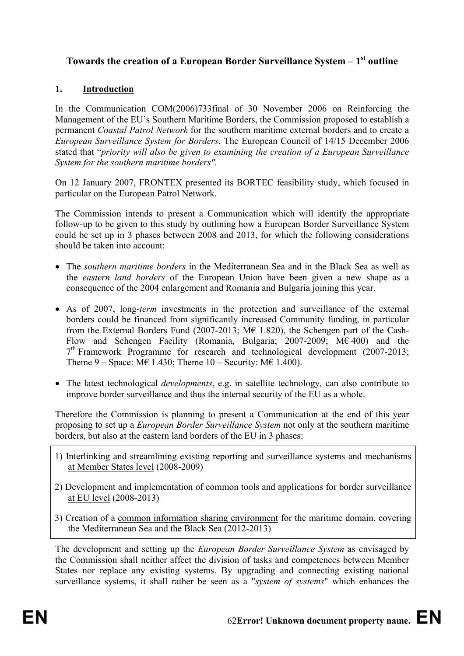#### Towards the creation of a European Border Surveillance System – 1<sup>st</sup> outline

#### **1. Introduction**

In the Communication COM(2006)733final of 30 November 2006 on Reinforcing the Management of the EU's Southern Maritime Borders, the Commission proposed to establish a permanent *Coastal Patrol Network* for the southern maritime external borders and to create a *European Surveillance System for Borders*. The European Council of 14/15 December 2006 stated that "*priority will also be given to examining the creation of a European Surveillance System for the southern maritime borders".* 

On 12 January 2007, FRONTEX presented its BORTEC feasibility study, which focused in particular on the European Patrol Network.

The Commission intends to present a Communication which will identify the appropriate follow-up to be given to this study by outlining how a European Border Surveillance System could be set up in 3 phases between 2008 and 2013, for which the following considerations should be taken into account:

- The *southern maritime borders* in the Mediterranean Sea and in the Black Sea as well as the *eastern land borders* of the European Union have been given a new shape as a consequence of the 2004 enlargement and Romania and Bulgaria joining this year.
- As of 2007, long-*term* investments in the protection and surveillance of the external borders could be financed from significantly increased Community funding, in particular from the External Borders Fund (2007-2013;  $M\epsilon$  1.820), the Schengen part of the Cash-Flow and Schengen Facility (Romania, Bulgaria; 2007-2009; M€ 400) and the  $7<sup>th</sup>$  Framework Programme for research and technological development (2007-2013; Theme  $9 - Space$ : M $\epsilon$  1.430; Theme  $10 - Security$ : M $\epsilon$  1.400).
- The latest technological *developments*, e.g. in satellite technology, can also contribute to improve border surveillance and thus the internal security of the EU as a whole.

Therefore the Commission is planning to present a Communication at the end of this year proposing to set up a *European Border Surveillance System* not only at the southern maritime borders, but also at the eastern land borders of the EU in 3 phases:

- 1) Interlinking and streamlining existing reporting and surveillance systems and mechanisms at Member States level (2008-2009)
- 2) Development and implementation of common tools and applications for border surveillance at EU level (2008-2013)
- 3) Creation of a common information sharing environment for the maritime domain, covering the Mediterranean Sea and the Black Sea (2012-2013)

The development and setting up the *European Border Surveillance System* as envisaged by the Commission shall neither affect the division of tasks and competences between Member States nor replace any existing systems. By upgrading and connecting existing national surveillance systems, it shall rather be seen as a "*system of systems*" which enhances the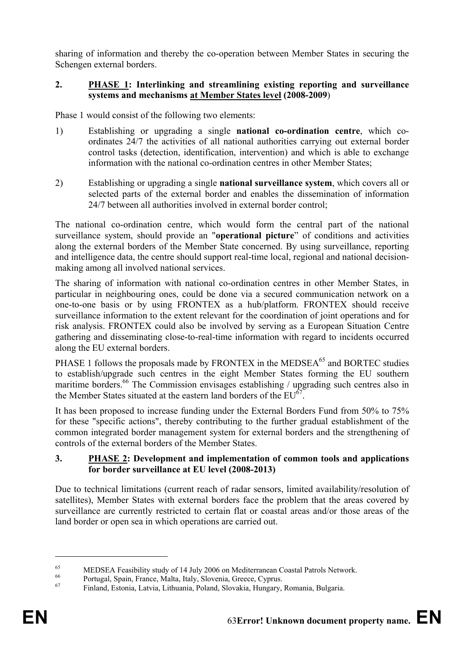sharing of information and thereby the co-operation between Member States in securing the Schengen external borders.

#### **2. PHASE 1: Interlinking and streamlining existing reporting and surveillance systems and mechanisms at Member States level (2008-2009**)

Phase 1 would consist of the following two elements:

- 1) Establishing or upgrading a single **national co-ordination centre**, which coordinates 24/7 the activities of all national authorities carrying out external border control tasks (detection, identification, intervention) and which is able to exchange information with the national co-ordination centres in other Member States;
- 2) Establishing or upgrading a single **national surveillance system**, which covers all or selected parts of the external border and enables the dissemination of information 24/7 between all authorities involved in external border control;

The national co-ordination centre, which would form the central part of the national surveillance system, should provide an "**operational picture**" of conditions and activities along the external borders of the Member State concerned. By using surveillance, reporting and intelligence data, the centre should support real-time local, regional and national decisionmaking among all involved national services.

The sharing of information with national co-ordination centres in other Member States, in particular in neighbouring ones, could be done via a secured communication network on a one-to-one basis or by using FRONTEX as a hub/platform. FRONTEX should receive surveillance information to the extent relevant for the coordination of joint operations and for risk analysis. FRONTEX could also be involved by serving as a European Situation Centre gathering and disseminating close-to-real-time information with regard to incidents occurred along the EU external borders.

PHASE 1 follows the proposals made by FRONTEX in the MEDSEA $^{65}$  and BORTEC studies to establish/upgrade such centres in the eight Member States forming the EU southern maritime borders.<sup>66</sup> The Commission envisages establishing / upgrading such centres also in the Member States situated at the eastern land borders of the  $EU^{67}$ .

It has been proposed to increase funding under the External Borders Fund from 50% to 75% for these "specific actions", thereby contributing to the further gradual establishment of the common integrated border management system for external borders and the strengthening of controls of the external borders of the Member States.

#### **3. PHASE 2: Development and implementation of common tools and applications for border surveillance at EU level (2008-2013)**

Due to technical limitations (current reach of radar sensors, limited availability/resolution of satellites), Member States with external borders face the problem that the areas covered by surveillance are currently restricted to certain flat or coastal areas and/or those areas of the land border or open sea in which operations are carried out.

<u>.</u>

<sup>&</sup>lt;sup>65</sup> MEDSEA Feasibility study of 14 July 2006 on Mediterranean Coastal Patrols Network.<br><sup>66</sup> Portugal, Spain, France, Malta, Italy, Slovenia, Greece, Cyprus.

<sup>67</sup> Finland, Estonia, Latvia, Lithuania, Poland, Slovakia, Hungary, Romania, Bulgaria.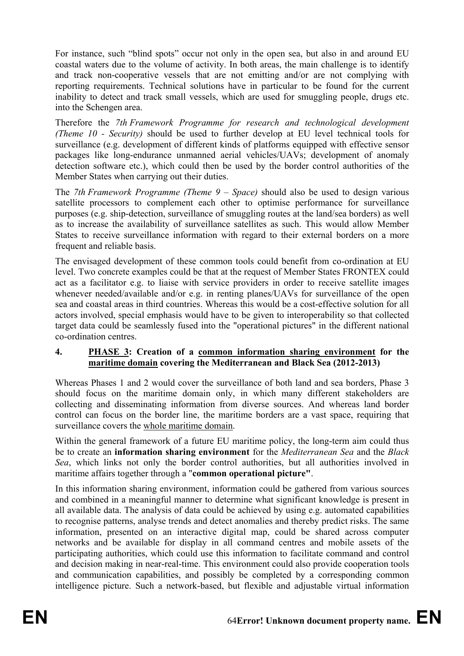For instance, such "blind spots" occur not only in the open sea, but also in and around EU coastal waters due to the volume of activity. In both areas, the main challenge is to identify and track non-cooperative vessels that are not emitting and/or are not complying with reporting requirements. Technical solutions have in particular to be found for the current inability to detect and track small vessels, which are used for smuggling people, drugs etc. into the Schengen area.

Therefore the *7th Framework Programme for research and technological development (Theme 10 - Security)* should be used to further develop at EU level technical tools for surveillance (e.g. development of different kinds of platforms equipped with effective sensor packages like long-endurance unmanned aerial vehicles/UAVs; development of anomaly detection software etc.), which could then be used by the border control authorities of the Member States when carrying out their duties.

The *7th Framework Programme (Theme 9 – Space)* should also be used to design various satellite processors to complement each other to optimise performance for surveillance purposes (e.g. ship-detection, surveillance of smuggling routes at the land/sea borders) as well as to increase the availability of surveillance satellites as such. This would allow Member States to receive surveillance information with regard to their external borders on a more frequent and reliable basis.

The envisaged development of these common tools could benefit from co-ordination at EU level. Two concrete examples could be that at the request of Member States FRONTEX could act as a facilitator e.g. to liaise with service providers in order to receive satellite images whenever needed/available and/or e.g. in renting planes/UAVs for surveillance of the open sea and coastal areas in third countries. Whereas this would be a cost-effective solution for all actors involved, special emphasis would have to be given to interoperability so that collected target data could be seamlessly fused into the "operational pictures" in the different national co-ordination centres.

#### **4. PHASE 3: Creation of a common information sharing environment for the maritime domain covering the Mediterranean and Black Sea (2012-2013)**

Whereas Phases 1 and 2 would cover the surveillance of both land and sea borders, Phase 3 should focus on the maritime domain only, in which many different stakeholders are collecting and disseminating information from diverse sources. And whereas land border control can focus on the border line, the maritime borders are a vast space, requiring that surveillance covers the whole maritime domain.

Within the general framework of a future EU maritime policy, the long-term aim could thus be to create an **information sharing environment** for the *Mediterranean Sea* and the *Black Sea*, which links not only the border control authorities, but all authorities involved in maritime affairs together through a "**common operational picture"**.

In this information sharing environment, information could be gathered from various sources and combined in a meaningful manner to determine what significant knowledge is present in all available data. The analysis of data could be achieved by using e.g. automated capabilities to recognise patterns, analyse trends and detect anomalies and thereby predict risks. The same information, presented on an interactive digital map, could be shared across computer networks and be available for display in all command centres and mobile assets of the participating authorities, which could use this information to facilitate command and control and decision making in near-real-time. This environment could also provide cooperation tools and communication capabilities, and possibly be completed by a corresponding common intelligence picture. Such a network-based, but flexible and adjustable virtual information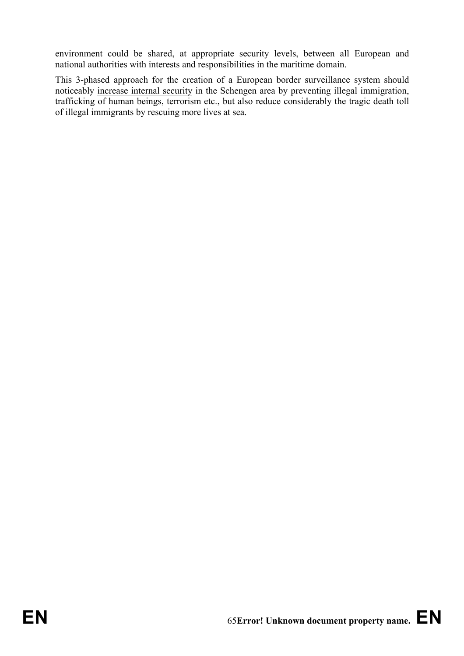environment could be shared, at appropriate security levels, between all European and national authorities with interests and responsibilities in the maritime domain.

This 3-phased approach for the creation of a European border surveillance system should noticeably increase internal security in the Schengen area by preventing illegal immigration, trafficking of human beings, terrorism etc., but also reduce considerably the tragic death toll of illegal immigrants by rescuing more lives at sea.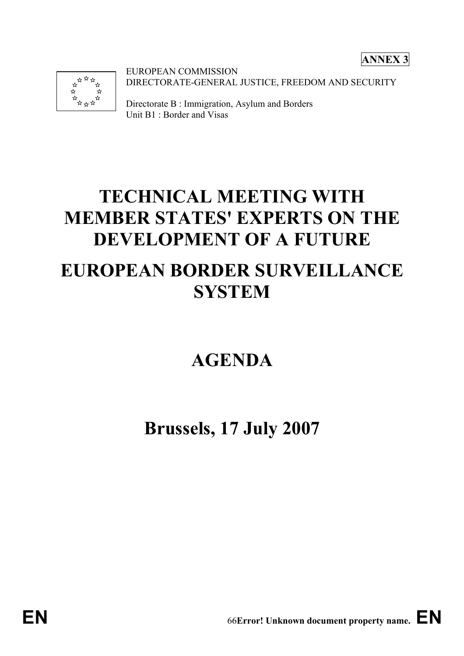**ANNEX 3** 



EUROPEAN COMMISSION DIRECTORATE-GENERAL JUSTICE, FREEDOM AND SECURITY

Directorate B : Immigration, Asylum and Borders Unit B1 : Border and Visas

# **TECHNICAL MEETING WITH MEMBER STATES' EXPERTS ON THE DEVELOPMENT OF A FUTURE EUROPEAN BORDER SURVEILLANCE SYSTEM**

## **AGENDA**

## **Brussels, 17 July 2007**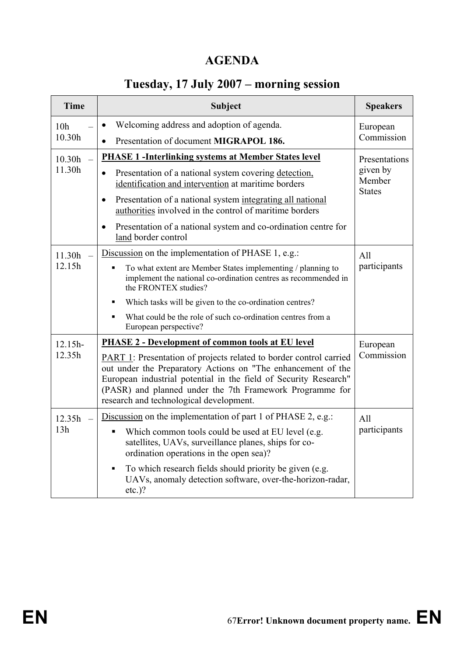### **AGENDA**

## **Tuesday, 17 July 2007 – morning session**

| <b>Time</b>     | <b>Subject</b>                                                                                                                                                                                                                                                                                                       | <b>Speakers</b>                                      |  |
|-----------------|----------------------------------------------------------------------------------------------------------------------------------------------------------------------------------------------------------------------------------------------------------------------------------------------------------------------|------------------------------------------------------|--|
| 10 <sub>h</sub> | Welcoming address and adoption of agenda.<br>$\bullet$                                                                                                                                                                                                                                                               | European                                             |  |
| 10.30h          | Presentation of document MIGRAPOL 186.<br>$\bullet$                                                                                                                                                                                                                                                                  | Commission                                           |  |
| 10.30h          | <b>PHASE 1 -Interlinking systems at Member States level</b>                                                                                                                                                                                                                                                          | Presentations<br>given by<br>Member<br><b>States</b> |  |
| 11.30h          | Presentation of a national system covering detection,<br>identification and intervention at maritime borders                                                                                                                                                                                                         |                                                      |  |
|                 | Presentation of a national system integrating all national<br>$\bullet$<br>authorities involved in the control of maritime borders                                                                                                                                                                                   |                                                      |  |
|                 | Presentation of a national system and co-ordination centre for<br>$\bullet$<br>land border control                                                                                                                                                                                                                   |                                                      |  |
| 11.30h          | Discussion on the implementation of PHASE 1, e.g.:                                                                                                                                                                                                                                                                   | All                                                  |  |
| 12.15h          | To what extent are Member States implementing / planning to<br>$\blacksquare$<br>implement the national co-ordination centres as recommended in<br>the FRONTEX studies?                                                                                                                                              | participants                                         |  |
|                 | Which tasks will be given to the co-ordination centres?                                                                                                                                                                                                                                                              |                                                      |  |
|                 | What could be the role of such co-ordination centres from a<br>European perspective?                                                                                                                                                                                                                                 |                                                      |  |
| $12.15h-$       | <b>PHASE 2 - Development of common tools at EU level</b>                                                                                                                                                                                                                                                             | European                                             |  |
| 12.35h          | <b>PART 1:</b> Presentation of projects related to border control carried<br>out under the Preparatory Actions on "The enhancement of the<br>European industrial potential in the field of Security Research"<br>(PASR) and planned under the 7th Framework Programme for<br>research and technological development. | Commission                                           |  |
| 12.35h          | Discussion on the implementation of part 1 of PHASE 2, e.g.:                                                                                                                                                                                                                                                         | All                                                  |  |
| 13h             | Which common tools could be used at EU level (e.g.<br>satellites, UAVs, surveillance planes, ships for co-<br>ordination operations in the open sea)?                                                                                                                                                                | participants                                         |  |
|                 | To which research fields should priority be given (e.g.<br>٠<br>UAVs, anomaly detection software, over-the-horizon-radar,<br>$etc.$ )?                                                                                                                                                                               |                                                      |  |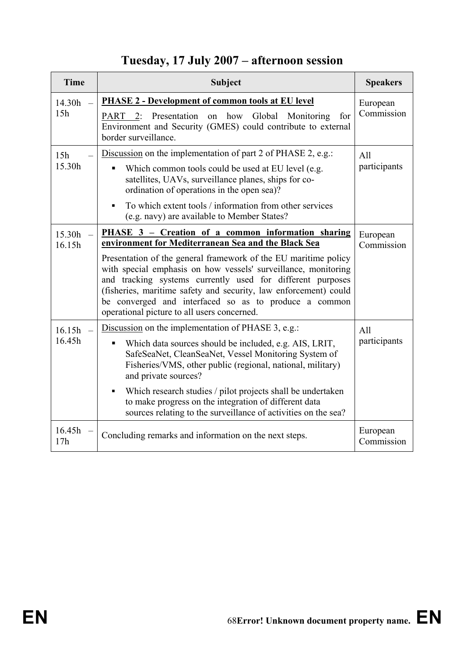## **Tuesday, 17 July 2007 – afternoon session**

| <b>Time</b>      | <b>Subject</b>                                                                                                                                                                                                                                                                                                                                                                                                                                                                           | <b>Speakers</b>        |  |
|------------------|------------------------------------------------------------------------------------------------------------------------------------------------------------------------------------------------------------------------------------------------------------------------------------------------------------------------------------------------------------------------------------------------------------------------------------------------------------------------------------------|------------------------|--|
| 14.30h<br>15h    | <b>PHASE 2 - Development of common tools at EU level</b><br>PART 2: Presentation on how Global Monitoring<br>for<br>Environment and Security (GMES) could contribute to external<br>border surveillance.                                                                                                                                                                                                                                                                                 | European<br>Commission |  |
| 15h<br>15.30h    | Discussion on the implementation of part 2 of PHASE 2, e.g.:<br>Which common tools could be used at EU level (e.g.<br>satellites, UAVs, surveillance planes, ships for co-<br>ordination of operations in the open sea)?<br>To which extent tools / information from other services<br>٠<br>(e.g. navy) are available to Member States?                                                                                                                                                  |                        |  |
| 15.30h<br>16.15h | PHASE 3 - Creation of a common information sharing<br>environment for Mediterranean Sea and the Black Sea<br>Presentation of the general framework of the EU maritime policy<br>with special emphasis on how vessels' surveillance, monitoring<br>and tracking systems currently used for different purposes<br>(fisheries, maritime safety and security, law enforcement) could<br>be converged and interfaced so as to produce a common<br>operational picture to all users concerned. | European<br>Commission |  |
| 16.15h<br>16.45h | Discussion on the implementation of PHASE 3, e.g.:<br>Which data sources should be included, e.g. AIS, LRIT,<br>SafeSeaNet, CleanSeaNet, Vessel Monitoring System of<br>Fisheries/VMS, other public (regional, national, military)<br>and private sources?<br>Which research studies / pilot projects shall be undertaken<br>to make progress on the integration of different data<br>sources relating to the surveillance of activities on the sea?                                     | All<br>participants    |  |
| 16.45h<br>17h    | Concluding remarks and information on the next steps.                                                                                                                                                                                                                                                                                                                                                                                                                                    | European<br>Commission |  |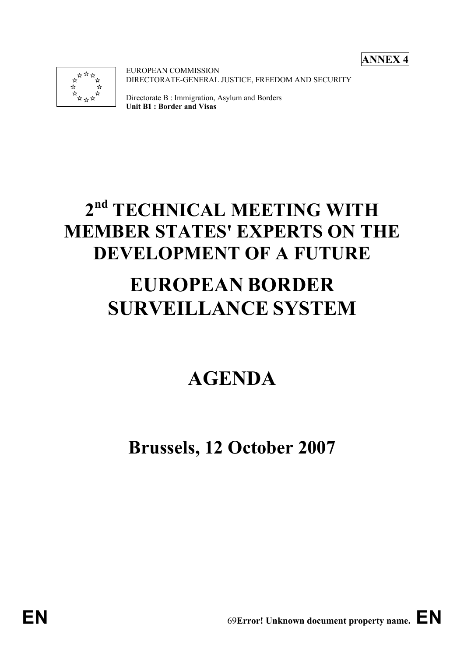**ANNEX 4** 



EUROPEAN COMMISSION DIRECTORATE-GENERAL JUSTICE, FREEDOM AND SECURITY

Directorate B : Immigration, Asylum and Borders **Unit B1 : Border and Visas**

# **2nd TECHNICAL MEETING WITH MEMBER STATES' EXPERTS ON THE DEVELOPMENT OF A FUTURE**

# **EUROPEAN BORDER SURVEILLANCE SYSTEM**

# **AGENDA**

## **Brussels, 12 October 2007**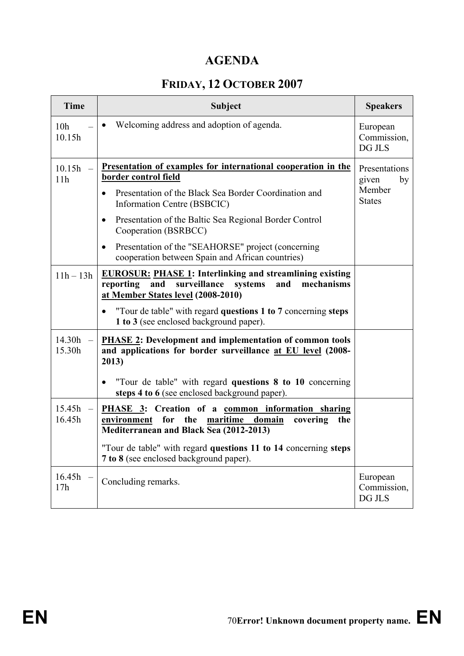### **AGENDA**

## **FRIDAY, 12 OCTOBER 2007**

| <b>Time</b>               | <b>Subject</b>                                                                                                                                                                                                                                                                             | <b>Speakers</b>                                         |
|---------------------------|--------------------------------------------------------------------------------------------------------------------------------------------------------------------------------------------------------------------------------------------------------------------------------------------|---------------------------------------------------------|
| 10 <sub>h</sub><br>10.15h | Welcoming address and adoption of agenda.                                                                                                                                                                                                                                                  | European<br>Commission,<br>DG JLS                       |
| 10.15h<br>11h             | <u>Presentation of examples for international cooperation in the</u><br>border control field<br>Presentation of the Black Sea Border Coordination and<br>Information Centre (BSBCIC)<br>Presentation of the Baltic Sea Regional Border Control<br>$\bullet$                                | Presentations<br>given<br>by<br>Member<br><b>States</b> |
|                           | Cooperation (BSRBCC)<br>Presentation of the "SEAHORSE" project (concerning<br>٠<br>cooperation between Spain and African countries)                                                                                                                                                        |                                                         |
| $11h - 13h$               | <b>EUROSUR: PHASE 1: Interlinking and streamlining existing</b><br>surveillance<br>mechanisms<br>reporting<br>and<br>systems<br>and<br>at Member States level (2008-2010)<br>"Tour de table" with regard questions 1 to 7 concerning steps<br>٠<br>1 to 3 (see enclosed background paper). |                                                         |
| 14.30h<br>15.30h          | <b>PHASE 2:</b> Development and implementation of common tools<br>and applications for border surveillance at EU level (2008-<br>2013)<br>"Tour de table" with regard questions 8 to 10 concerning                                                                                         |                                                         |
| 15.45h<br>16.45h          | steps 4 to 6 (see enclosed background paper).<br>PHASE 3: Creation of a common information sharing<br>for<br>the<br>maritime<br>domain<br>environment<br>covering<br>the<br>Mediterranean and Black Sea (2012-2013)                                                                        |                                                         |
|                           | "Tour de table" with regard questions 11 to 14 concerning steps<br>7 to 8 (see enclosed background paper).                                                                                                                                                                                 |                                                         |
| 16.45h<br>17h             | Concluding remarks.                                                                                                                                                                                                                                                                        | European<br>Commission,<br>DG JLS                       |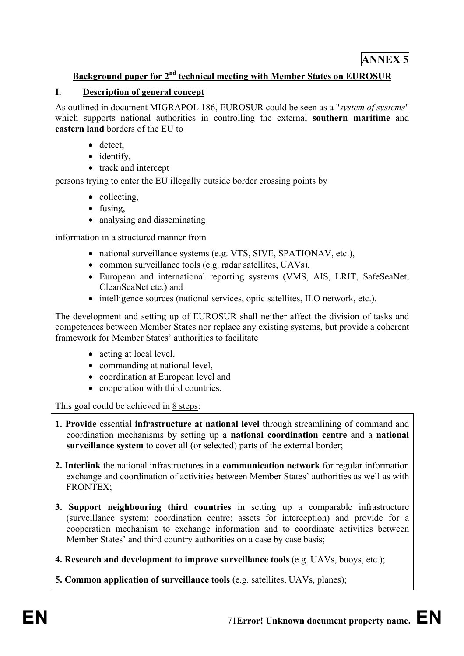#### **Background paper for 2nd technical meeting with Member States on EUROSUR**

#### **I. Description of general concept**

As outlined in document MIGRAPOL 186, EUROSUR could be seen as a "*system of systems*" which supports national authorities in controlling the external **southern maritime** and **eastern land** borders of the EU to

- detect,
- identify,
- track and intercept

persons trying to enter the EU illegally outside border crossing points by

- collecting,
- fusing,
- analysing and disseminating

information in a structured manner from

- national surveillance systems (e.g. VTS, SIVE, SPATIONAV, etc.),
- common surveillance tools (e.g. radar satellites, UAVs),
- European and international reporting systems (VMS, AIS, LRIT, SafeSeaNet, CleanSeaNet etc.) and
- intelligence sources (national services, optic satellites, ILO network, etc.).

The development and setting up of EUROSUR shall neither affect the division of tasks and competences between Member States nor replace any existing systems, but provide a coherent framework for Member States' authorities to facilitate

- acting at local level,
- commanding at national level,
- coordination at European level and
- cooperation with third countries.

This goal could be achieved in 8 steps:

- **1. Provide** essential **infrastructure at national level** through streamlining of command and coordination mechanisms by setting up a **national coordination centre** and a **national surveillance system** to cover all (or selected) parts of the external border;
- **2. Interlink** the national infrastructures in a **communication network** for regular information exchange and coordination of activities between Member States' authorities as well as with FRONTEX;
- **3. Support neighbouring third countries** in setting up a comparable infrastructure (surveillance system; coordination centre; assets for interception) and provide for a cooperation mechanism to exchange information and to coordinate activities between Member States' and third country authorities on a case by case basis;

**4. Research and development to improve surveillance tools** (e.g. UAVs, buoys, etc.);

**5. Common application of surveillance tools** (e.g. satellites, UAVs, planes);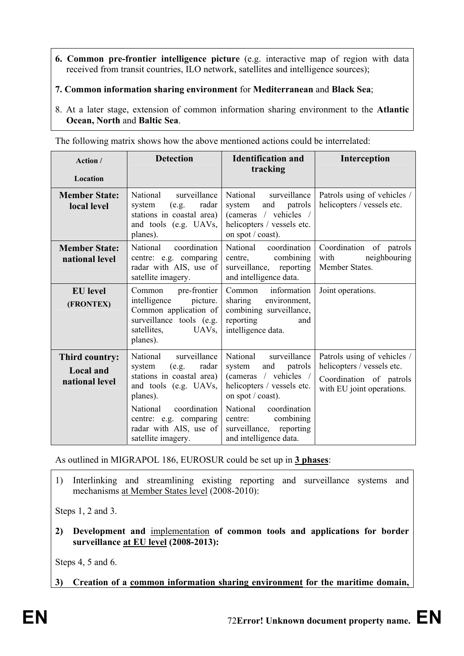- **6. Common pre-frontier intelligence picture** (e.g. interactive map of region with data received from transit countries, ILO network, satellites and intelligence sources);
- **7. Common information sharing environment** for **Mediterranean** and **Black Sea**;
- 8. At a later stage, extension of common information sharing environment to the **Atlantic Ocean, North** and **Baltic Sea**.

The following matrix shows how the above mentioned actions could be interrelated:

| Action /<br>Location                                 | <b>Detection</b>                                                                                                                                                                                                             | <b>Identification and</b><br>tracking                                                                                                                                                                                                     | Interception                                                                                                      |
|------------------------------------------------------|------------------------------------------------------------------------------------------------------------------------------------------------------------------------------------------------------------------------------|-------------------------------------------------------------------------------------------------------------------------------------------------------------------------------------------------------------------------------------------|-------------------------------------------------------------------------------------------------------------------|
| <b>Member State:</b><br>local level                  | National<br>surveillance<br>radar<br>system<br>(e.g.<br>stations in coastal area)<br>and tools (e.g. UAVs,<br>planes).                                                                                                       | National<br>surveillance<br>and<br>patrols<br>system<br>(cameras / vehicles /<br>helicopters / vessels etc.<br>on spot / coast).                                                                                                          | Patrols using of vehicles /<br>helicopters / vessels etc.                                                         |
| <b>Member State:</b><br>national level               | National<br>coordination<br>centre: e.g. comparing<br>radar with AIS, use of<br>satellite imagery.                                                                                                                           | National coordination<br>combining<br>centre,<br>surveillance, reporting<br>and intelligence data.                                                                                                                                        | Coordination of patrols<br>neighbouring<br>with<br>Member States.                                                 |
| <b>EU</b> level<br>(FRONTEX)                         | Common pre-frontier<br>intelligence<br>picture.<br>Common application of<br>surveillance tools (e.g.<br>satellites,<br>UAV <sub>s</sub><br>planes).                                                                          | information<br>Common<br>sharing<br>environment,<br>combining surveillance,<br>reporting<br>and<br>intelligence data.                                                                                                                     | Joint operations.                                                                                                 |
| Third country:<br><b>Local and</b><br>national level | National<br>surveillance<br>radar<br>system<br>(e.g.<br>stations in coastal area)<br>and tools (e.g. UAVs,<br>planes).<br>coordination<br>National<br>centre: e.g. comparing<br>radar with AIS, use of<br>satellite imagery. | National<br>surveillance<br>and<br>system<br>patrols<br>(cameras / vehicles /<br>helicopters / vessels etc.<br>on spot / coast).<br>National<br>coordination<br>combining<br>centre:<br>surveillance, reporting<br>and intelligence data. | Patrols using of vehicles /<br>helicopters / vessels etc.<br>Coordination of patrols<br>with EU joint operations. |

As outlined in MIGRAPOL 186, EUROSUR could be set up in **3 phases**:

1) Interlinking and streamlining existing reporting and surveillance systems and mechanisms at Member States level (2008-2010):

Steps 1, 2 and 3.

**2) Development and** implementation **of common tools and applications for border surveillance at EU level (2008-2013):**

Steps 4, 5 and 6.

**3) Creation of a common information sharing environment for the maritime domain,**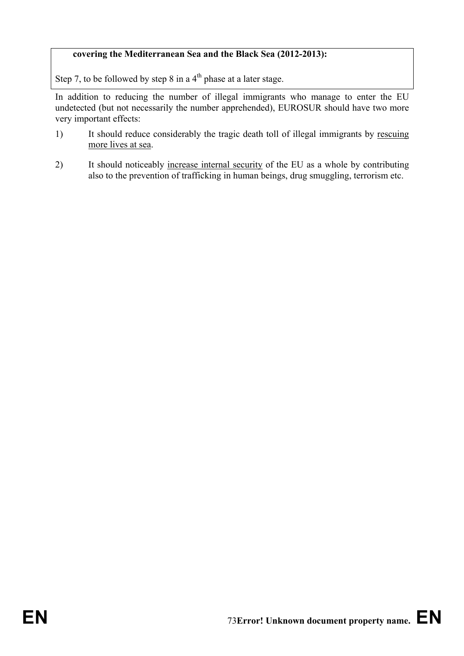## **covering the Mediterranean Sea and the Black Sea (2012-2013):**

Step 7, to be followed by step 8 in a 4<sup>th</sup> phase at a later stage.

In addition to reducing the number of illegal immigrants who manage to enter the EU undetected (but not necessarily the number apprehended), EUROSUR should have two more very important effects:

- 1) It should reduce considerably the tragic death toll of illegal immigrants by rescuing more lives at sea.
- 2) It should noticeably increase internal security of the EU as a whole by contributing also to the prevention of trafficking in human beings, drug smuggling, terrorism etc.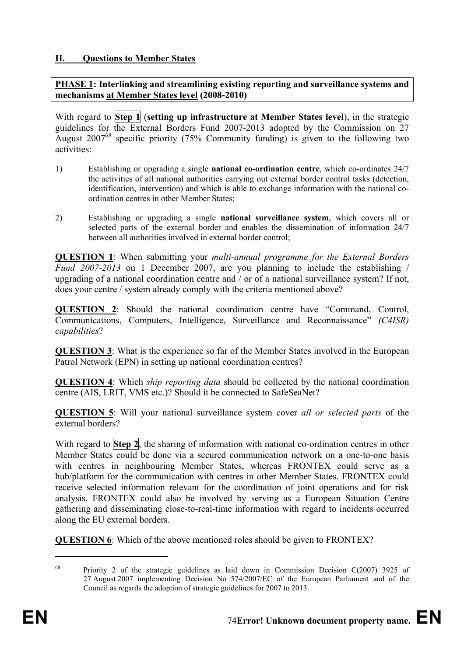## **II. Questions to Member States**

**PHASE 1: Interlinking and streamlining existing reporting and surveillance systems and mechanisms at Member States level (2008-2010)** 

With regard to **Step 1** (**setting up infrastructure at Member States level**), in the strategic guidelines for the External Borders Fund 2007-2013 adopted by the Commission on 27 August 200768 specific priority (75% Community funding) is given to the following two activities:

- 1) Establishing or upgrading a single **national co-ordination centre**, which co-ordinates 24/7 the activities of all national authorities carrying out external border control tasks (detection, identification, intervention) and which is able to exchange information with the national coordination centres in other Member States;
- 2) Establishing or upgrading a single **national surveillance system**, which covers all or selected parts of the external border and enables the dissemination of information 24/7 between all authorities involved in external border control;

**QUESTION 1**: When submitting your *multi-annual programme for the External Borders Fund 2007-2013* on 1 December 2007, are you planning to include the establishing / upgrading of a national coordination centre and / or of a national surveillance system? If not, does your centre / system already comply with the criteria mentioned above?

**QUESTION 2**: Should the national coordination centre have "Command, Control, Communications, Computers, Intelligence, Surveillance and Reconnaissance" *(C4ISR) capabilities*?

**QUESTION 3**: What is the experience so far of the Member States involved in the European Patrol Network (EPN) in setting up national coordination centres?

**QUESTION 4**: Which *ship reporting data* should be collected by the national coordination centre (AIS, LRIT, VMS etc.)? Should it be connected to SafeSeaNet?

**QUESTION 5**: Will your national surveillance system cover *all or selected parts* of the external borders?

With regard to **Step 2**, the sharing of information with national co-ordination centres in other Member States could be done via a secured communication network on a one-to-one basis with centres in neighbouring Member States, whereas FRONTEX could serve as a hub/platform for the communication with centres in other Member States. FRONTEX could receive selected information relevant for the coordination of joint operations and for risk analysis. FRONTEX could also be involved by serving as a European Situation Centre gathering and disseminating close-to-real-time information with regard to incidents occurred along the EU external borders.

**QUESTION 6**: Which of the above mentioned roles should be given to FRONTEX?

<u>.</u>

<sup>&</sup>lt;sup>68</sup> Priority 2 of the strategic guidelines as laid down in Commission Decision C(2007) 3925 of 27 August 2007 implementing Decision No 574/2007/EC of the European Parliament and of the Council as regards the adoption of strategic guidelines for 2007 to 2013.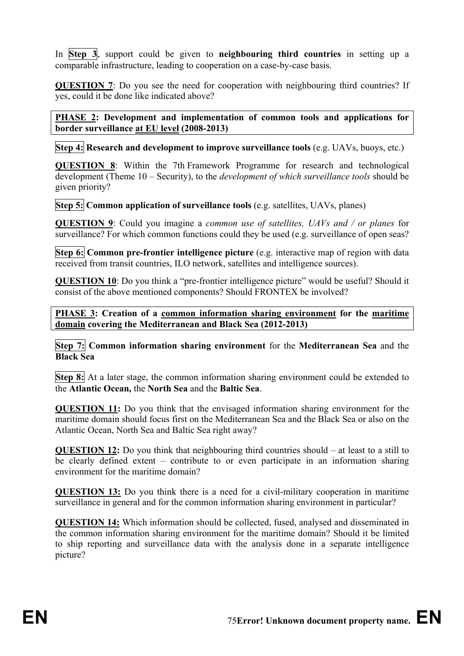In **Step 3**, support could be given to **neighbouring third countries** in setting up a comparable infrastructure, leading to cooperation on a case-by-case basis.

**QUESTION 7**: Do you see the need for cooperation with neighbouring third countries? If yes, could it be done like indicated above?

**PHASE 2: Development and implementation of common tools and applications for border surveillance at EU level (2008-2013)** 

**Step 4:** Research and development to improve surveillance tools (e.g. UAVs, buoys, etc.)

**QUESTION 8**: Within the 7th Framework Programme for research and technological development (Theme 10 – Security), to the *development of which surveillance tools* should be given priority?

**Step 5: Common application of surveillance tools** (e.g. satellites, UAVs, planes)

**QUESTION 9**: Could you imagine a *common use of satellites, UAVs and / or planes* for surveillance? For which common functions could they be used (e.g. surveillance of open seas?

**Step 6:** Common pre-frontier intelligence picture (e.g. interactive map of region with data received from transit countries, ILO network, satellites and intelligence sources).

**QUESTION 10**: Do you think a "pre-frontier intelligence picture" would be useful? Should it consist of the above mentioned components? Should FRONTEX be involved?

**PHASE 3:** Creation of a common information sharing environment for the maritime **domain covering the Mediterranean and Black Sea (2012-2013)** 

**Step 7: Common information sharing environment** for the **Mediterranean Sea** and the **Black Sea** 

**Step 8:** At a later stage, the common information sharing environment could be extended to the **Atlantic Ocean,** the **North Sea** and the **Baltic Sea**.

**QUESTION 11:** Do you think that the envisaged information sharing environment for the maritime domain should focus first on the Mediterranean Sea and the Black Sea or also on the Atlantic Ocean, North Sea and Baltic Sea right away?

**QUESTION 12:** Do you think that neighbouring third countries should – at least to a still to be clearly defined extent – contribute to or even participate in an information sharing environment for the maritime domain?

**QUESTION 13:** Do you think there is a need for a civil-military cooperation in maritime surveillance in general and for the common information sharing environment in particular?

**QUESTION 14:** Which information should be collected, fused, analysed and disseminated in the common information sharing environment for the maritime domain? Should it be limited to ship reporting and surveillance data with the analysis done in a separate intelligence picture?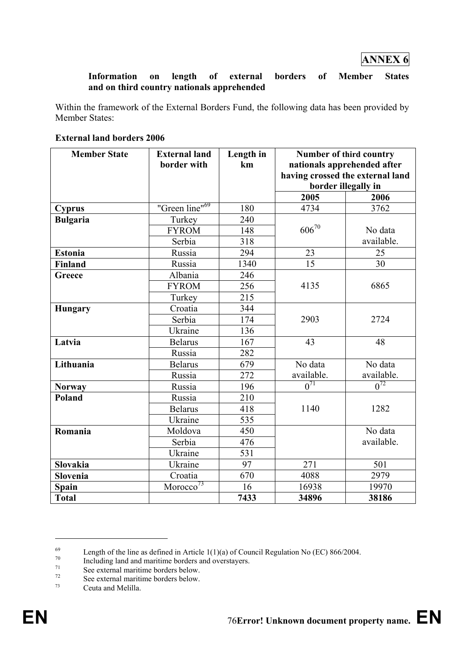## **ANNEX 6**

#### **Information on length of external borders of Member States and on third country nationals apprehended**

Within the framework of the External Borders Fund, the following data has been provided by Member States:

| <b>External land borders 2006</b> |  |
|-----------------------------------|--|
|-----------------------------------|--|

| <b>Member State</b> | <b>External land</b><br>border with | Length in | Number of third country                                         |                     |
|---------------------|-------------------------------------|-----------|-----------------------------------------------------------------|---------------------|
|                     |                                     | km        | nationals apprehended after<br>having crossed the external land |                     |
|                     |                                     |           |                                                                 | border illegally in |
|                     |                                     |           | 2005                                                            | 2006                |
| <b>Cyprus</b>       | "Green line" <sup>69</sup>          | 180       | 4734                                                            | 3762                |
| <b>Bulgaria</b>     | Turkey                              | 240       |                                                                 |                     |
|                     | <b>FYROM</b>                        | 148       | $606^{70}$                                                      | No data             |
|                     | Serbia                              | 318       |                                                                 | available.          |
| <b>Estonia</b>      | Russia                              | 294       | 23                                                              | 25                  |
| <b>Finland</b>      | Russia                              | 1340      | 15                                                              | 30                  |
| Greece              | Albania                             | 246       |                                                                 |                     |
|                     | <b>FYROM</b>                        | 256       | 4135                                                            | 6865                |
|                     | Turkey                              | 215       |                                                                 |                     |
| <b>Hungary</b>      | Croatia                             | 344       |                                                                 |                     |
|                     | Serbia                              | 174       | 2903                                                            | 2724                |
|                     | Ukraine                             | 136       |                                                                 |                     |
| Latvia              | <b>Belarus</b>                      | 167       | 43                                                              | 48                  |
|                     | Russia                              | 282       |                                                                 |                     |
| Lithuania           | <b>Belarus</b>                      | 679       | No data                                                         | No data             |
|                     | Russia                              | 272       | available.                                                      | available.          |
| <b>Norway</b>       | Russia                              | 196       | $\overline{0^{71}}$                                             | $0^{72}$            |
| <b>Poland</b>       | Russia                              | 210       |                                                                 |                     |
|                     | <b>Belarus</b>                      | 418       | 1282<br>1140                                                    |                     |
|                     | Ukraine                             | 535       |                                                                 |                     |
| Romania             | Moldova                             | 450       |                                                                 | No data             |
|                     | Serbia                              | 476       |                                                                 | available.          |
|                     | Ukraine                             | 531       |                                                                 |                     |
| Slovakia            | Ukraine                             | 97        | 271                                                             | 501                 |
| Slovenia            | Croatia                             | 670       | 4088                                                            | 2979                |
| Spain               | Moreover <sup>73</sup>              | 16        | 16938                                                           | 19970               |
| <b>Total</b>        |                                     | 7433      | 34896                                                           | 38186               |

<sup>&</sup>lt;sup>69</sup><br>Length of the line as defined in Article 1(1)(a) of Council Regulation No (EC) 866/2004.

 $^{70}$  Including land and maritime borders and overstayers.

 $\frac{71}{72}$  See external maritime borders below.

 $7<sup>72</sup>$  See external maritime borders below.

Ceuta and Melilla.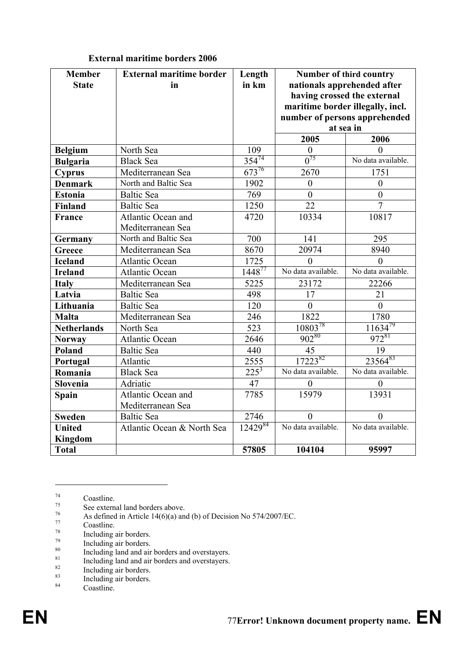| <b>Member</b><br><b>State</b> | <b>External maritime border</b><br>in | Length<br>in km         | Number of third country<br>nationals apprehended after |                               |
|-------------------------------|---------------------------------------|-------------------------|--------------------------------------------------------|-------------------------------|
|                               |                                       |                         | having crossed the external                            |                               |
|                               |                                       |                         | maritime border illegally, incl.                       |                               |
|                               |                                       |                         |                                                        | number of persons apprehended |
|                               |                                       |                         |                                                        | at sea in                     |
|                               |                                       |                         | 2005                                                   | 2006                          |
| <b>Belgium</b>                | North Sea                             | 109                     | $\theta$                                               | 0                             |
| <b>Bulgaria</b>               | <b>Black Sea</b>                      | $\frac{354^{74}}{2}$    | $\overline{0^{75}}$                                    | No data available.            |
| <b>Cyprus</b>                 | Mediterranean Sea                     | $673^{76}$              | 2670                                                   | 1751                          |
| <b>Denmark</b>                | North and Baltic Sea                  | 1902                    | $\boldsymbol{0}$                                       | $\boldsymbol{0}$              |
| <b>Estonia</b>                | <b>Baltic Sea</b>                     | 769                     | $\theta$                                               | $\overline{0}$                |
| <b>Finland</b>                | <b>Baltic Sea</b>                     | 1250                    | $\overline{22}$                                        | $\overline{7}$                |
| France                        | Atlantic Ocean and                    | 4720                    | 10334                                                  | 10817                         |
|                               | Mediterranean Sea                     |                         |                                                        |                               |
| Germany                       | North and Baltic Sea                  | 700                     | 141                                                    | 295                           |
| Greece                        | Mediterranean Sea                     | 8670                    | 20974                                                  | 8940                          |
| <b>Iceland</b>                | <b>Atlantic Ocean</b>                 | 1725                    | $\theta$                                               | $\theta$                      |
| <b>Ireland</b>                | <b>Atlantic Ocean</b>                 | $1448^{77}$             | No data available.                                     | No data available.            |
| <b>Italy</b>                  | Mediterranean Sea                     | 5225                    | 23172                                                  | 22266                         |
| Latvia                        | <b>Baltic Sea</b>                     | 498                     | 17                                                     | 21                            |
| Lithuania                     | <b>Baltic Sea</b>                     | 120                     | $\overline{0}$                                         | $\overline{0}$                |
| <b>Malta</b>                  | Mediterranean Sea                     | 246                     | 1822                                                   | 1780                          |
| <b>Netherlands</b>            | North Sea                             | 523                     | 1080378                                                | $11634^{79}$                  |
| <b>Norway</b>                 | <b>Atlantic Ocean</b>                 | 2646                    | 902 <sup>80</sup>                                      | 972 <sup>81</sup>             |
| Poland                        | <b>Baltic Sea</b>                     | 440                     | 45                                                     | 19                            |
| Portugal                      | Atlantic                              | 2555                    | 1722382                                                | 2356483                       |
| Romania                       | <b>Black Sea</b>                      | $225^3$                 | No data available.                                     | No data available.            |
| Slovenia                      | Adriatic                              | 47                      | $\theta$                                               | $\overline{0}$                |
| Spain                         | Atlantic Ocean and                    | 7785                    | 15979                                                  | 13931                         |
|                               | Mediterranean Sea                     |                         |                                                        |                               |
| <b>Sweden</b>                 | <b>Baltic Sea</b>                     | 2746                    | 0                                                      | $\overline{0}$                |
| <b>United</b>                 | Atlantic Ocean & North Sea            | $12\overline{429}^{84}$ | No data available.                                     | No data available.            |
| <b>Kingdom</b>                |                                       |                         |                                                        |                               |
| <b>Total</b>                  |                                       | 57805                   | 104104                                                 | 95997                         |

## **External maritime borders 2006**

 $\frac{74}{75}$  Coastline.

<sup>&</sup>lt;sup>75</sup> See external land borders above.<br>  $\Lambda$ s defined in  $\Lambda$ rticle 14(6)(a) an

<sup>&</sup>lt;sup>76</sup> As defined in Article 14(6)(a) and (b) of Decision No 574/2007/EC.<br>Coastline

 $\frac{77}{78}$  Coastline.

 $^{78}$  Including air borders.

 $^{79}$  Including air borders.

 $\frac{80}{100}$  Including land and air borders and overstayers.

 $\frac{81}{2}$  Including land and air borders and overstayers.

 $rac{82}{83}$  Including air borders.

 $rac{83}{84}$  Including air borders.

Coastline.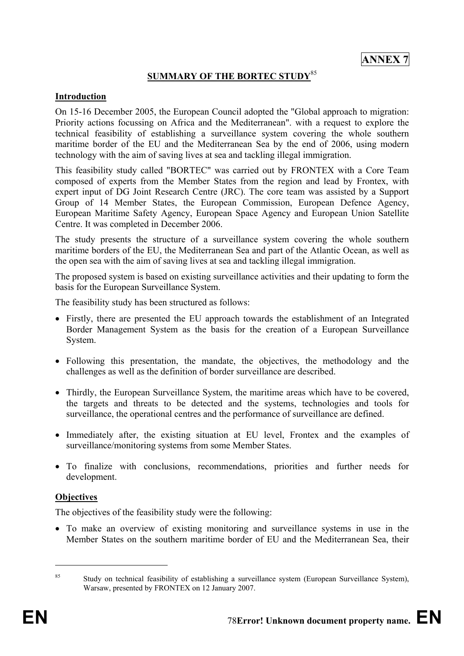## **SUMMARY OF THE BORTEC STUDY**<sup>85</sup>

#### **Introduction**

On 15-16 December 2005, the European Council adopted the "Global approach to migration: Priority actions focussing on Africa and the Mediterranean". with a request to explore the technical feasibility of establishing a surveillance system covering the whole southern maritime border of the EU and the Mediterranean Sea by the end of 2006, using modern technology with the aim of saving lives at sea and tackling illegal immigration.

This feasibility study called "BORTEC" was carried out by FRONTEX with a Core Team composed of experts from the Member States from the region and lead by Frontex, with expert input of DG Joint Research Centre (JRC). The core team was assisted by a Support Group of 14 Member States, the European Commission, European Defence Agency, European Maritime Safety Agency, European Space Agency and European Union Satellite Centre. It was completed in December 2006.

The study presents the structure of a surveillance system covering the whole southern maritime borders of the EU, the Mediterranean Sea and part of the Atlantic Ocean, as well as the open sea with the aim of saving lives at sea and tackling illegal immigration.

The proposed system is based on existing surveillance activities and their updating to form the basis for the European Surveillance System.

The feasibility study has been structured as follows:

- Firstly, there are presented the EU approach towards the establishment of an Integrated Border Management System as the basis for the creation of a European Surveillance System.
- Following this presentation, the mandate, the objectives, the methodology and the challenges as well as the definition of border surveillance are described.
- Thirdly, the European Surveillance System, the maritime areas which have to be covered, the targets and threats to be detected and the systems, technologies and tools for surveillance, the operational centres and the performance of surveillance are defined.
- Immediately after, the existing situation at EU level, Frontex and the examples of surveillance/monitoring systems from some Member States.
- To finalize with conclusions, recommendations, priorities and further needs for development.

#### **Objectives**

The objectives of the feasibility study were the following:

• To make an overview of existing monitoring and surveillance systems in use in the Member States on the southern maritime border of EU and the Mediterranean Sea, their

<sup>&</sup>lt;sup>85</sup> Study on technical feasibility of establishing a surveillance system (European Surveillance System), Warsaw, presented by FRONTEX on 12 January 2007.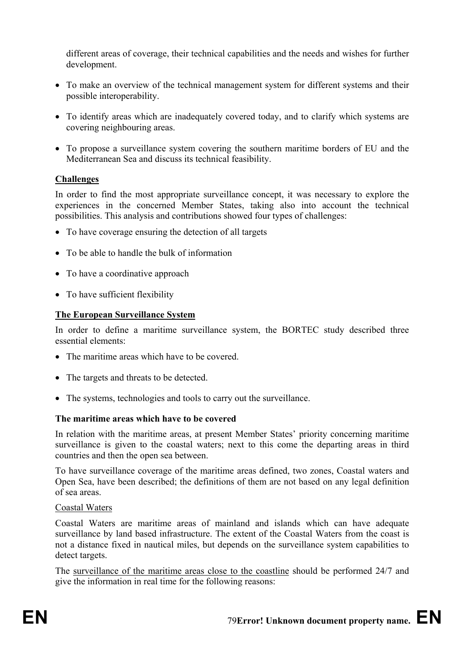different areas of coverage, their technical capabilities and the needs and wishes for further development.

- To make an overview of the technical management system for different systems and their possible interoperability.
- To identify areas which are inadequately covered today, and to clarify which systems are covering neighbouring areas.
- To propose a surveillance system covering the southern maritime borders of EU and the Mediterranean Sea and discuss its technical feasibility.

## **Challenges**

In order to find the most appropriate surveillance concept, it was necessary to explore the experiences in the concerned Member States, taking also into account the technical possibilities. This analysis and contributions showed four types of challenges:

- To have coverage ensuring the detection of all targets
- To be able to handle the bulk of information
- To have a coordinative approach
- To have sufficient flexibility

## **The European Surveillance System**

In order to define a maritime surveillance system, the BORTEC study described three essential elements:

- The maritime areas which have to be covered.
- The targets and threats to be detected.
- The systems, technologies and tools to carry out the surveillance.

## **The maritime areas which have to be covered**

In relation with the maritime areas, at present Member States' priority concerning maritime surveillance is given to the coastal waters; next to this come the departing areas in third countries and then the open sea between.

To have surveillance coverage of the maritime areas defined, two zones, Coastal waters and Open Sea, have been described; the definitions of them are not based on any legal definition of sea areas.

#### Coastal Waters

Coastal Waters are maritime areas of mainland and islands which can have adequate surveillance by land based infrastructure. The extent of the Coastal Waters from the coast is not a distance fixed in nautical miles, but depends on the surveillance system capabilities to detect targets.

The surveillance of the maritime areas close to the coastline should be performed 24/7 and give the information in real time for the following reasons: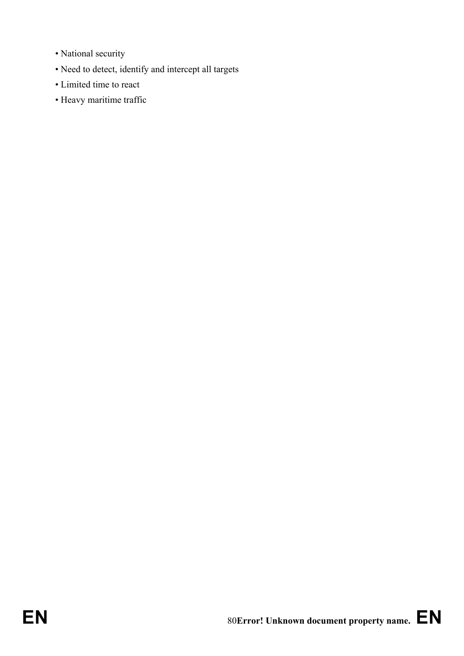- National security
- Need to detect, identify and intercept all targets
- Limited time to react
- Heavy maritime traffic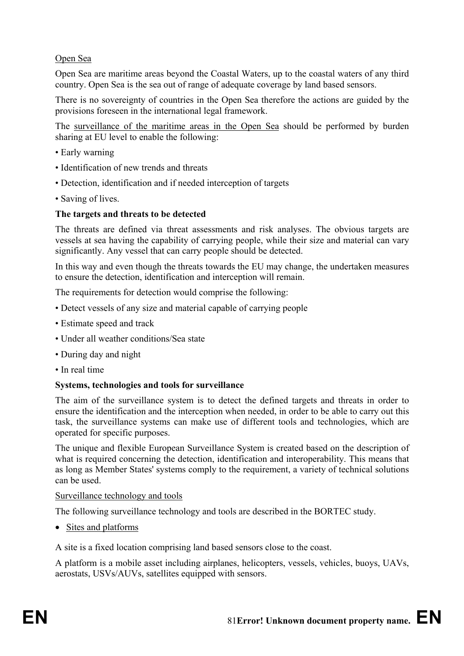## Open Sea

Open Sea are maritime areas beyond the Coastal Waters, up to the coastal waters of any third country. Open Sea is the sea out of range of adequate coverage by land based sensors.

There is no sovereignty of countries in the Open Sea therefore the actions are guided by the provisions foreseen in the international legal framework.

The surveillance of the maritime areas in the Open Sea should be performed by burden sharing at EU level to enable the following:

- Early warning
- Identification of new trends and threats
- Detection, identification and if needed interception of targets
- Saving of lives.

## **The targets and threats to be detected**

The threats are defined via threat assessments and risk analyses. The obvious targets are vessels at sea having the capability of carrying people, while their size and material can vary significantly. Any vessel that can carry people should be detected.

In this way and even though the threats towards the EU may change, the undertaken measures to ensure the detection, identification and interception will remain.

The requirements for detection would comprise the following:

- Detect vessels of any size and material capable of carrying people
- Estimate speed and track
- Under all weather conditions/Sea state
- During day and night
- In real time

#### **Systems, technologies and tools for surveillance**

The aim of the surveillance system is to detect the defined targets and threats in order to ensure the identification and the interception when needed, in order to be able to carry out this task, the surveillance systems can make use of different tools and technologies, which are operated for specific purposes.

The unique and flexible European Surveillance System is created based on the description of what is required concerning the detection, identification and interoperability. This means that as long as Member States' systems comply to the requirement, a variety of technical solutions can be used.

#### Surveillance technology and tools

The following surveillance technology and tools are described in the BORTEC study.

• Sites and platforms

A site is a fixed location comprising land based sensors close to the coast.

A platform is a mobile asset including airplanes, helicopters, vessels, vehicles, buoys, UAVs, aerostats, USVs/AUVs, satellites equipped with sensors.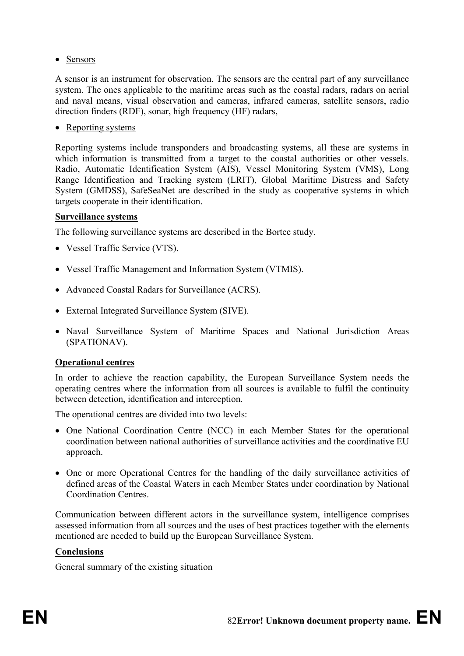• Sensors

A sensor is an instrument for observation. The sensors are the central part of any surveillance system. The ones applicable to the maritime areas such as the coastal radars, radars on aerial and naval means, visual observation and cameras, infrared cameras, satellite sensors, radio direction finders (RDF), sonar, high frequency (HF) radars,

• Reporting systems

Reporting systems include transponders and broadcasting systems, all these are systems in which information is transmitted from a target to the coastal authorities or other vessels. Radio, Automatic Identification System (AIS), Vessel Monitoring System (VMS), Long Range Identification and Tracking system (LRIT), Global Maritime Distress and Safety System (GMDSS), SafeSeaNet are described in the study as cooperative systems in which targets cooperate in their identification.

#### **Surveillance systems**

The following surveillance systems are described in the Bortec study.

- Vessel Traffic Service (VTS).
- Vessel Traffic Management and Information System (VTMIS).
- Advanced Coastal Radars for Surveillance (ACRS).
- External Integrated Surveillance System (SIVE).
- Naval Surveillance System of Maritime Spaces and National Jurisdiction Areas (SPATIONAV).

## **Operational centres**

In order to achieve the reaction capability, the European Surveillance System needs the operating centres where the information from all sources is available to fulfil the continuity between detection, identification and interception.

The operational centres are divided into two levels:

- One National Coordination Centre (NCC) in each Member States for the operational coordination between national authorities of surveillance activities and the coordinative EU approach.
- One or more Operational Centres for the handling of the daily surveillance activities of defined areas of the Coastal Waters in each Member States under coordination by National Coordination Centres.

Communication between different actors in the surveillance system, intelligence comprises assessed information from all sources and the uses of best practices together with the elements mentioned are needed to build up the European Surveillance System.

## **Conclusions**

General summary of the existing situation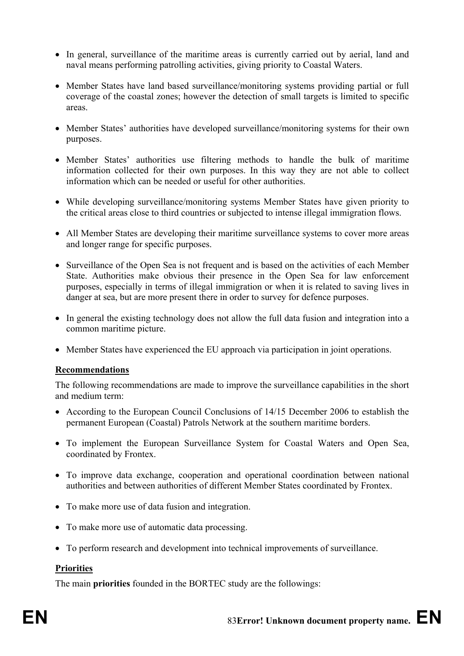- In general, surveillance of the maritime areas is currently carried out by aerial, land and naval means performing patrolling activities, giving priority to Coastal Waters.
- Member States have land based surveillance/monitoring systems providing partial or full coverage of the coastal zones; however the detection of small targets is limited to specific areas.
- Member States' authorities have developed surveillance/monitoring systems for their own purposes.
- Member States' authorities use filtering methods to handle the bulk of maritime information collected for their own purposes. In this way they are not able to collect information which can be needed or useful for other authorities.
- While developing surveillance/monitoring systems Member States have given priority to the critical areas close to third countries or subjected to intense illegal immigration flows.
- All Member States are developing their maritime surveillance systems to cover more areas and longer range for specific purposes.
- Surveillance of the Open Sea is not frequent and is based on the activities of each Member State. Authorities make obvious their presence in the Open Sea for law enforcement purposes, especially in terms of illegal immigration or when it is related to saving lives in danger at sea, but are more present there in order to survey for defence purposes.
- In general the existing technology does not allow the full data fusion and integration into a common maritime picture.
- Member States have experienced the EU approach via participation in joint operations.

#### **Recommendations**

The following recommendations are made to improve the surveillance capabilities in the short and medium term:

- According to the European Council Conclusions of 14/15 December 2006 to establish the permanent European (Coastal) Patrols Network at the southern maritime borders.
- To implement the European Surveillance System for Coastal Waters and Open Sea, coordinated by Frontex.
- To improve data exchange, cooperation and operational coordination between national authorities and between authorities of different Member States coordinated by Frontex.
- To make more use of data fusion and integration.
- To make more use of automatic data processing.
- To perform research and development into technical improvements of surveillance.

#### **Priorities**

The main **priorities** founded in the BORTEC study are the followings: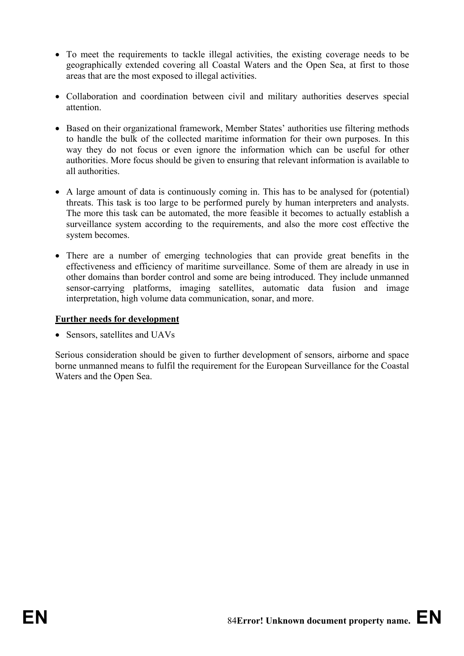- To meet the requirements to tackle illegal activities, the existing coverage needs to be geographically extended covering all Coastal Waters and the Open Sea, at first to those areas that are the most exposed to illegal activities.
- Collaboration and coordination between civil and military authorities deserves special attention.
- Based on their organizational framework, Member States' authorities use filtering methods to handle the bulk of the collected maritime information for their own purposes. In this way they do not focus or even ignore the information which can be useful for other authorities. More focus should be given to ensuring that relevant information is available to all authorities.
- A large amount of data is continuously coming in. This has to be analysed for (potential) threats. This task is too large to be performed purely by human interpreters and analysts. The more this task can be automated, the more feasible it becomes to actually establish a surveillance system according to the requirements, and also the more cost effective the system becomes.
- There are a number of emerging technologies that can provide great benefits in the effectiveness and efficiency of maritime surveillance. Some of them are already in use in other domains than border control and some are being introduced. They include unmanned sensor-carrying platforms, imaging satellites, automatic data fusion and image interpretation, high volume data communication, sonar, and more.

## **Further needs for development**

• Sensors, satellites and UAVs

Serious consideration should be given to further development of sensors, airborne and space borne unmanned means to fulfil the requirement for the European Surveillance for the Coastal Waters and the Open Sea.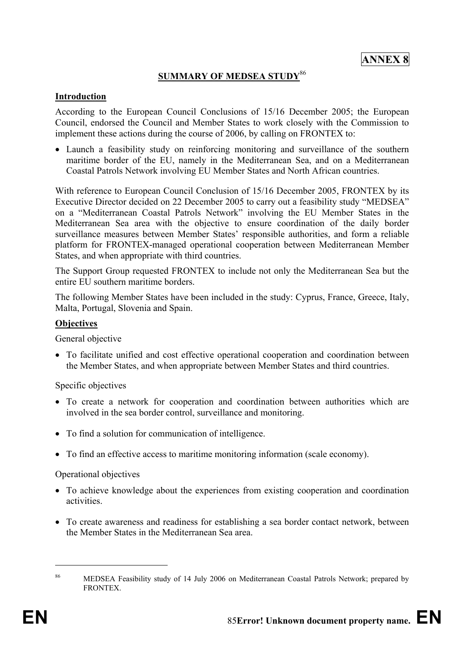## **SUMMARY OF MEDSEA STUDY**<sup>86</sup>

#### **Introduction**

According to the European Council Conclusions of 15/16 December 2005; the European Council, endorsed the Council and Member States to work closely with the Commission to implement these actions during the course of 2006, by calling on FRONTEX to:

• Launch a feasibility study on reinforcing monitoring and surveillance of the southern maritime border of the EU, namely in the Mediterranean Sea, and on a Mediterranean Coastal Patrols Network involving EU Member States and North African countries.

With reference to European Council Conclusion of 15/16 December 2005, FRONTEX by its Executive Director decided on 22 December 2005 to carry out a feasibility study "MEDSEA" on a "Mediterranean Coastal Patrols Network" involving the EU Member States in the Mediterranean Sea area with the objective to ensure coordination of the daily border surveillance measures between Member States' responsible authorities, and form a reliable platform for FRONTEX-managed operational cooperation between Mediterranean Member States, and when appropriate with third countries.

The Support Group requested FRONTEX to include not only the Mediterranean Sea but the entire EU southern maritime borders.

The following Member States have been included in the study: Cyprus, France, Greece, Italy, Malta, Portugal, Slovenia and Spain.

#### **Objectives**

General objective

• To facilitate unified and cost effective operational cooperation and coordination between the Member States, and when appropriate between Member States and third countries.

Specific objectives

- To create a network for cooperation and coordination between authorities which are involved in the sea border control, surveillance and monitoring.
- To find a solution for communication of intelligence.
- To find an effective access to maritime monitoring information (scale economy).

#### Operational objectives

- To achieve knowledge about the experiences from existing cooperation and coordination activities.
- To create awareness and readiness for establishing a sea border contact network, between the Member States in the Mediterranean Sea area.

<sup>86</sup> MEDSEA Feasibility study of 14 July 2006 on Mediterranean Coastal Patrols Network; prepared by FRONTEX.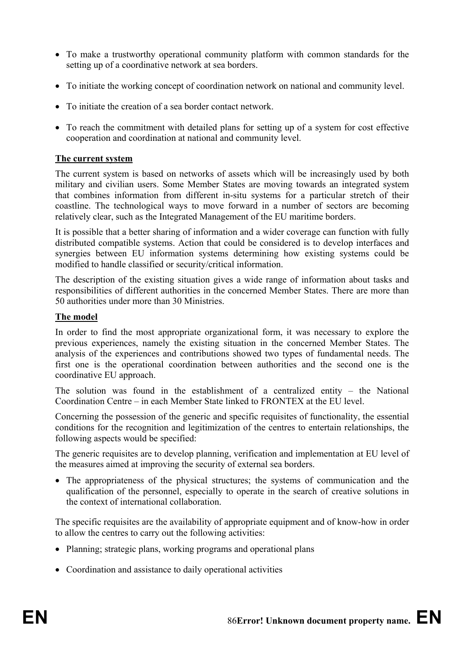- To make a trustworthy operational community platform with common standards for the setting up of a coordinative network at sea borders.
- To initiate the working concept of coordination network on national and community level.
- To initiate the creation of a sea border contact network.
- To reach the commitment with detailed plans for setting up of a system for cost effective cooperation and coordination at national and community level.

## **The current system**

The current system is based on networks of assets which will be increasingly used by both military and civilian users. Some Member States are moving towards an integrated system that combines information from different in-situ systems for a particular stretch of their coastline. The technological ways to move forward in a number of sectors are becoming relatively clear, such as the Integrated Management of the EU maritime borders.

It is possible that a better sharing of information and a wider coverage can function with fully distributed compatible systems. Action that could be considered is to develop interfaces and synergies between EU information systems determining how existing systems could be modified to handle classified or security/critical information.

The description of the existing situation gives a wide range of information about tasks and responsibilities of different authorities in the concerned Member States. There are more than 50 authorities under more than 30 Ministries.

## **The model**

In order to find the most appropriate organizational form, it was necessary to explore the previous experiences, namely the existing situation in the concerned Member States. The analysis of the experiences and contributions showed two types of fundamental needs. The first one is the operational coordination between authorities and the second one is the coordinative EU approach.

The solution was found in the establishment of a centralized entity – the National Coordination Centre – in each Member State linked to FRONTEX at the EU level.

Concerning the possession of the generic and specific requisites of functionality, the essential conditions for the recognition and legitimization of the centres to entertain relationships, the following aspects would be specified:

The generic requisites are to develop planning, verification and implementation at EU level of the measures aimed at improving the security of external sea borders.

• The appropriateness of the physical structures; the systems of communication and the qualification of the personnel, especially to operate in the search of creative solutions in the context of international collaboration.

The specific requisites are the availability of appropriate equipment and of know-how in order to allow the centres to carry out the following activities:

- Planning; strategic plans, working programs and operational plans
- Coordination and assistance to daily operational activities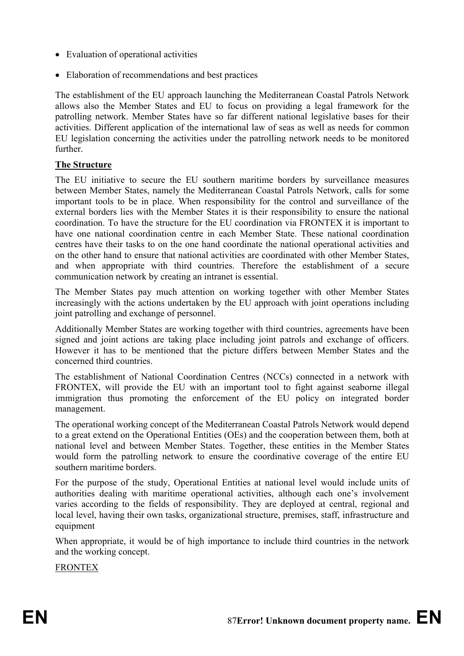- Evaluation of operational activities
- Elaboration of recommendations and best practices

The establishment of the EU approach launching the Mediterranean Coastal Patrols Network allows also the Member States and EU to focus on providing a legal framework for the patrolling network. Member States have so far different national legislative bases for their activities. Different application of the international law of seas as well as needs for common EU legislation concerning the activities under the patrolling network needs to be monitored further.

#### **The Structure**

The EU initiative to secure the EU southern maritime borders by surveillance measures between Member States, namely the Mediterranean Coastal Patrols Network, calls for some important tools to be in place. When responsibility for the control and surveillance of the external borders lies with the Member States it is their responsibility to ensure the national coordination. To have the structure for the EU coordination via FRONTEX it is important to have one national coordination centre in each Member State. These national coordination centres have their tasks to on the one hand coordinate the national operational activities and on the other hand to ensure that national activities are coordinated with other Member States, and when appropriate with third countries. Therefore the establishment of a secure communication network by creating an intranet is essential.

The Member States pay much attention on working together with other Member States increasingly with the actions undertaken by the EU approach with joint operations including joint patrolling and exchange of personnel.

Additionally Member States are working together with third countries, agreements have been signed and joint actions are taking place including joint patrols and exchange of officers. However it has to be mentioned that the picture differs between Member States and the concerned third countries.

The establishment of National Coordination Centres (NCCs) connected in a network with FRONTEX, will provide the EU with an important tool to fight against seaborne illegal immigration thus promoting the enforcement of the EU policy on integrated border management.

The operational working concept of the Mediterranean Coastal Patrols Network would depend to a great extend on the Operational Entities (OEs) and the cooperation between them, both at national level and between Member States. Together, these entities in the Member States would form the patrolling network to ensure the coordinative coverage of the entire EU southern maritime borders.

For the purpose of the study, Operational Entities at national level would include units of authorities dealing with maritime operational activities, although each one's involvement varies according to the fields of responsibility. They are deployed at central, regional and local level, having their own tasks, organizational structure, premises, staff, infrastructure and equipment

When appropriate, it would be of high importance to include third countries in the network and the working concept.

**FRONTEX**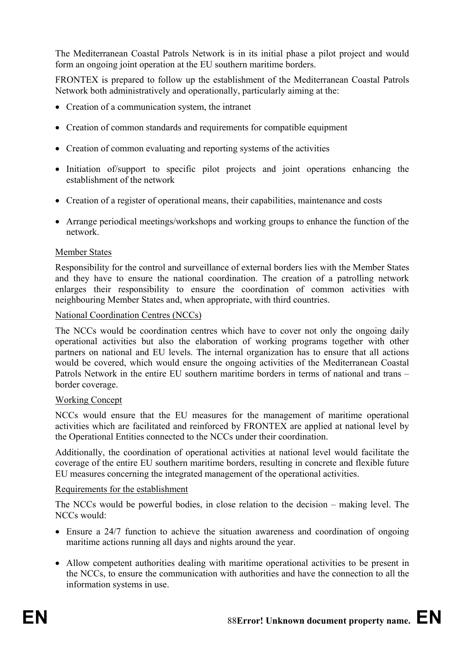The Mediterranean Coastal Patrols Network is in its initial phase a pilot project and would form an ongoing joint operation at the EU southern maritime borders.

FRONTEX is prepared to follow up the establishment of the Mediterranean Coastal Patrols Network both administratively and operationally, particularly aiming at the:

- Creation of a communication system, the intranet
- Creation of common standards and requirements for compatible equipment
- Creation of common evaluating and reporting systems of the activities
- Initiation of/support to specific pilot projects and joint operations enhancing the establishment of the network
- Creation of a register of operational means, their capabilities, maintenance and costs
- Arrange periodical meetings/workshops and working groups to enhance the function of the network.

#### Member States

Responsibility for the control and surveillance of external borders lies with the Member States and they have to ensure the national coordination. The creation of a patrolling network enlarges their responsibility to ensure the coordination of common activities with neighbouring Member States and, when appropriate, with third countries.

#### National Coordination Centres (NCCs)

The NCCs would be coordination centres which have to cover not only the ongoing daily operational activities but also the elaboration of working programs together with other partners on national and EU levels. The internal organization has to ensure that all actions would be covered, which would ensure the ongoing activities of the Mediterranean Coastal Patrols Network in the entire EU southern maritime borders in terms of national and trans – border coverage.

#### Working Concept

NCCs would ensure that the EU measures for the management of maritime operational activities which are facilitated and reinforced by FRONTEX are applied at national level by the Operational Entities connected to the NCCs under their coordination.

Additionally, the coordination of operational activities at national level would facilitate the coverage of the entire EU southern maritime borders, resulting in concrete and flexible future EU measures concerning the integrated management of the operational activities.

#### Requirements for the establishment

The NCCs would be powerful bodies, in close relation to the decision – making level. The NCCs would:

- Ensure a 24/7 function to achieve the situation awareness and coordination of ongoing maritime actions running all days and nights around the year.
- Allow competent authorities dealing with maritime operational activities to be present in the NCCs, to ensure the communication with authorities and have the connection to all the information systems in use.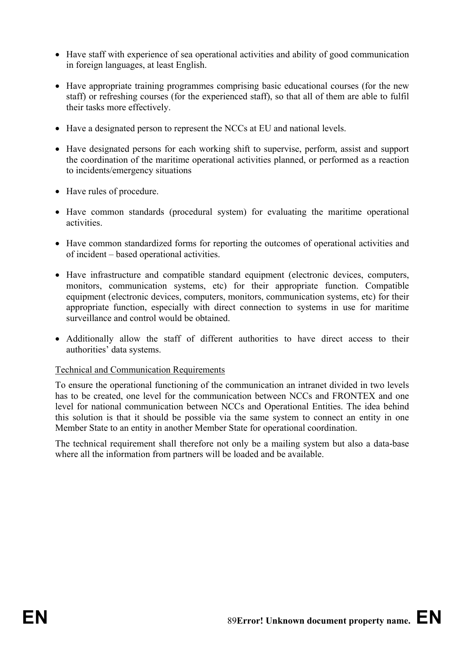- Have staff with experience of sea operational activities and ability of good communication in foreign languages, at least English.
- Have appropriate training programmes comprising basic educational courses (for the new staff) or refreshing courses (for the experienced staff), so that all of them are able to fulfil their tasks more effectively.
- Have a designated person to represent the NCCs at EU and national levels.
- Have designated persons for each working shift to supervise, perform, assist and support the coordination of the maritime operational activities planned, or performed as a reaction to incidents/emergency situations
- Have rules of procedure.
- Have common standards (procedural system) for evaluating the maritime operational activities.
- Have common standardized forms for reporting the outcomes of operational activities and of incident – based operational activities.
- Have infrastructure and compatible standard equipment (electronic devices, computers, monitors, communication systems, etc) for their appropriate function. Compatible equipment (electronic devices, computers, monitors, communication systems, etc) for their appropriate function, especially with direct connection to systems in use for maritime surveillance and control would be obtained.
- Additionally allow the staff of different authorities to have direct access to their authorities' data systems.

#### Technical and Communication Requirements

To ensure the operational functioning of the communication an intranet divided in two levels has to be created, one level for the communication between NCCs and FRONTEX and one level for national communication between NCCs and Operational Entities. The idea behind this solution is that it should be possible via the same system to connect an entity in one Member State to an entity in another Member State for operational coordination.

The technical requirement shall therefore not only be a mailing system but also a data-base where all the information from partners will be loaded and be available.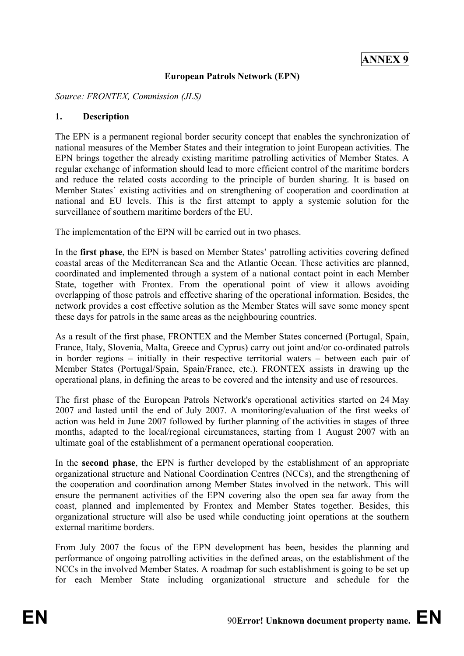#### **European Patrols Network (EPN)**

*Source: FRONTEX, Commission (JLS)* 

#### **1. Description**

The EPN is a permanent regional border security concept that enables the synchronization of national measures of the Member States and their integration to joint European activities. The EPN brings together the already existing maritime patrolling activities of Member States. A regular exchange of information should lead to more efficient control of the maritime borders and reduce the related costs according to the principle of burden sharing. It is based on Member States´ existing activities and on strengthening of cooperation and coordination at national and EU levels. This is the first attempt to apply a systemic solution for the surveillance of southern maritime borders of the EU.

The implementation of the EPN will be carried out in two phases.

In the **first phase**, the EPN is based on Member States' patrolling activities covering defined coastal areas of the Mediterranean Sea and the Atlantic Ocean. These activities are planned, coordinated and implemented through a system of a national contact point in each Member State, together with Frontex. From the operational point of view it allows avoiding overlapping of those patrols and effective sharing of the operational information. Besides, the network provides a cost effective solution as the Member States will save some money spent these days for patrols in the same areas as the neighbouring countries.

As a result of the first phase, FRONTEX and the Member States concerned (Portugal, Spain, France, Italy, Slovenia, Malta, Greece and Cyprus) carry out joint and/or co-ordinated patrols in border regions – initially in their respective territorial waters – between each pair of Member States (Portugal/Spain, Spain/France, etc.). FRONTEX assists in drawing up the operational plans, in defining the areas to be covered and the intensity and use of resources.

The first phase of the European Patrols Network's operational activities started on 24 May 2007 and lasted until the end of July 2007. A monitoring/evaluation of the first weeks of action was held in June 2007 followed by further planning of the activities in stages of three months, adapted to the local/regional circumstances, starting from 1 August 2007 with an ultimate goal of the establishment of a permanent operational cooperation.

In the **second phase**, the EPN is further developed by the establishment of an appropriate organizational structure and National Coordination Centres (NCCs), and the strengthening of the cooperation and coordination among Member States involved in the network. This will ensure the permanent activities of the EPN covering also the open sea far away from the coast, planned and implemented by Frontex and Member States together. Besides, this organizational structure will also be used while conducting joint operations at the southern external maritime borders.

From July 2007 the focus of the EPN development has been, besides the planning and performance of ongoing patrolling activities in the defined areas, on the establishment of the NCCs in the involved Member States. A roadmap for such establishment is going to be set up for each Member State including organizational structure and schedule for the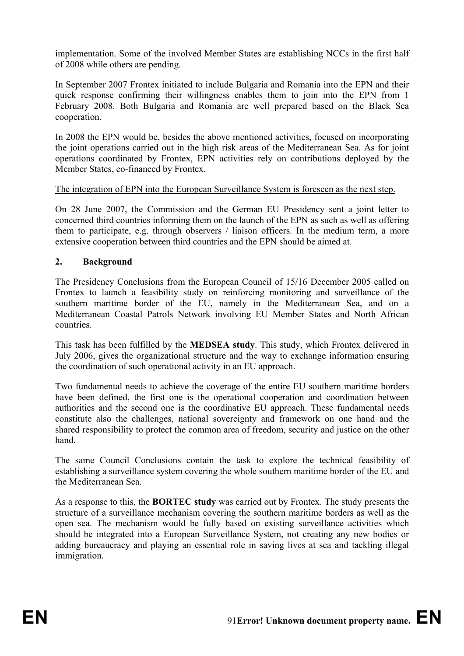implementation. Some of the involved Member States are establishing NCCs in the first half of 2008 while others are pending.

In September 2007 Frontex initiated to include Bulgaria and Romania into the EPN and their quick response confirming their willingness enables them to join into the EPN from 1 February 2008. Both Bulgaria and Romania are well prepared based on the Black Sea cooperation.

In 2008 the EPN would be, besides the above mentioned activities, focused on incorporating the joint operations carried out in the high risk areas of the Mediterranean Sea. As for joint operations coordinated by Frontex, EPN activities rely on contributions deployed by the Member States, co-financed by Frontex.

## The integration of EPN into the European Surveillance System is foreseen as the next step.

On 28 June 2007, the Commission and the German EU Presidency sent a joint letter to concerned third countries informing them on the launch of the EPN as such as well as offering them to participate, e.g. through observers / liaison officers. In the medium term, a more extensive cooperation between third countries and the EPN should be aimed at.

## **2. Background**

The Presidency Conclusions from the European Council of 15/16 December 2005 called on Frontex to launch a feasibility study on reinforcing monitoring and surveillance of the southern maritime border of the EU, namely in the Mediterranean Sea, and on a Mediterranean Coastal Patrols Network involving EU Member States and North African countries.

This task has been fulfilled by the **MEDSEA study**. This study, which Frontex delivered in July 2006, gives the organizational structure and the way to exchange information ensuring the coordination of such operational activity in an EU approach.

Two fundamental needs to achieve the coverage of the entire EU southern maritime borders have been defined, the first one is the operational cooperation and coordination between authorities and the second one is the coordinative EU approach. These fundamental needs constitute also the challenges, national sovereignty and framework on one hand and the shared responsibility to protect the common area of freedom, security and justice on the other hand.

The same Council Conclusions contain the task to explore the technical feasibility of establishing a surveillance system covering the whole southern maritime border of the EU and the Mediterranean Sea.

As a response to this, the **BORTEC study** was carried out by Frontex. The study presents the structure of a surveillance mechanism covering the southern maritime borders as well as the open sea. The mechanism would be fully based on existing surveillance activities which should be integrated into a European Surveillance System, not creating any new bodies or adding bureaucracy and playing an essential role in saving lives at sea and tackling illegal immigration.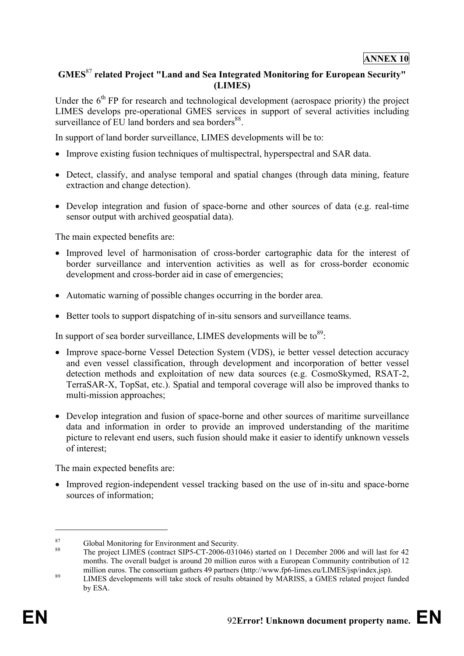#### **ANNEX 10**

## **GMES**<sup>87</sup> **related Project "Land and Sea Integrated Monitoring for European Security" (LIMES)**

Under the  $6<sup>th</sup>$  FP for research and technological development (aerospace priority) the project LIMES develops pre-operational GMES services in support of several activities including surveillance of EU land borders and sea borders<sup>88</sup>.

In support of land border surveillance, LIMES developments will be to:

- Improve existing fusion techniques of multispectral, hyperspectral and SAR data.
- Detect, classify, and analyse temporal and spatial changes (through data mining, feature extraction and change detection).
- Develop integration and fusion of space-borne and other sources of data (e.g. real-time sensor output with archived geospatial data).

The main expected benefits are:

- Improved level of harmonisation of cross-border cartographic data for the interest of border surveillance and intervention activities as well as for cross-border economic development and cross-border aid in case of emergencies;
- Automatic warning of possible changes occurring in the border area.
- Better tools to support dispatching of in-situ sensors and surveillance teams.

In support of sea border surveillance, LIMES developments will be  $\omega^{89}$ .

- Improve space-borne Vessel Detection System (VDS), ie better vessel detection accuracy and even vessel classification, through development and incorporation of better vessel detection methods and exploitation of new data sources (e.g. CosmoSkymed, RSAT-2, TerraSAR-X, TopSat, etc.). Spatial and temporal coverage will also be improved thanks to multi-mission approaches;
- Develop integration and fusion of space-borne and other sources of maritime surveillance data and information in order to provide an improved understanding of the maritime picture to relevant end users, such fusion should make it easier to identify unknown vessels of interest;

The main expected benefits are:

• Improved region-independent vessel tracking based on the use of in-situ and space-borne sources of information;

<u>.</u>

<sup>87</sup> Global Monitoring for Environment and Security.<br>88 The project LIMES (contract SIP5-CT-2006-031046) started on 1 December 2006 and will last for 42 months. The overall budget is around 20 million euros with a European Community contribution of 12 million euros. The consortium gathers 49 partners (http://www.fp6-limes.eu/LIMES/jsp/index.jsp).

<sup>&</sup>lt;sup>89</sup> LIMES developments will take stock of results obtained by MARISS, a GMES related project funded by ESA.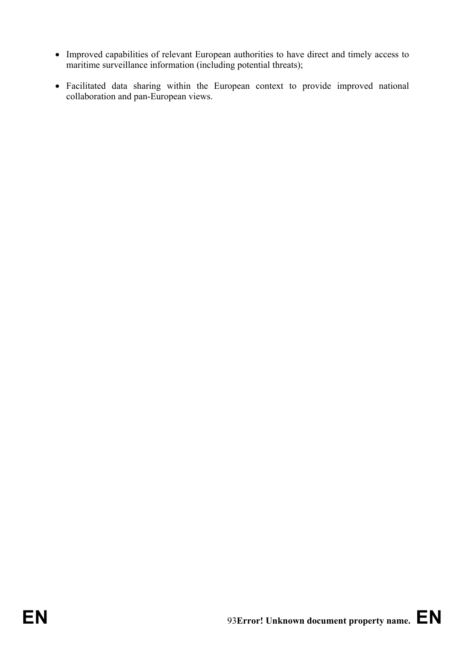- Improved capabilities of relevant European authorities to have direct and timely access to maritime surveillance information (including potential threats);
- Facilitated data sharing within the European context to provide improved national collaboration and pan-European views.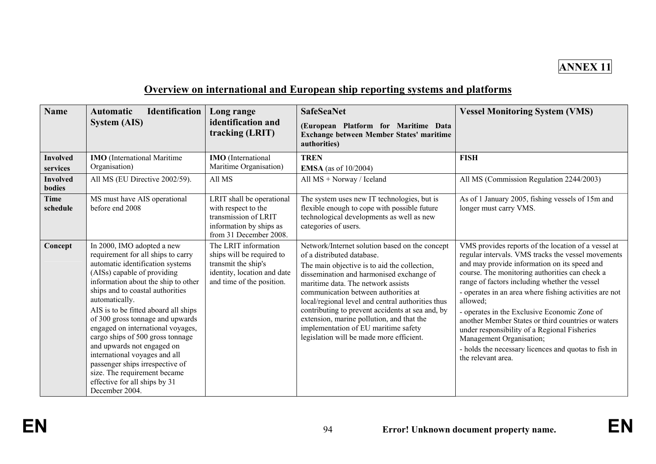

# **Overview on international and European ship reporting systems and platforms**

| <b>Name</b>                                              | <b>Identification</b><br><b>Automatic</b><br><b>System (AIS)</b>                                                                                                                                                                                                                                                                                                                                                                                                                                                                                                           | Long range<br>identification and<br>tracking (LRIT)                                                                                  | <b>SafeSeaNet</b><br>(European Platform for Maritime Data<br><b>Exchange between Member States' maritime</b><br>authorities)                                                                                                                                                                                                                                                                                                                                                                     | <b>Vessel Monitoring System (VMS)</b>                                                                                                                                                                                                                                                                                                                                                                                                                                                                                                                                                              |
|----------------------------------------------------------|----------------------------------------------------------------------------------------------------------------------------------------------------------------------------------------------------------------------------------------------------------------------------------------------------------------------------------------------------------------------------------------------------------------------------------------------------------------------------------------------------------------------------------------------------------------------------|--------------------------------------------------------------------------------------------------------------------------------------|--------------------------------------------------------------------------------------------------------------------------------------------------------------------------------------------------------------------------------------------------------------------------------------------------------------------------------------------------------------------------------------------------------------------------------------------------------------------------------------------------|----------------------------------------------------------------------------------------------------------------------------------------------------------------------------------------------------------------------------------------------------------------------------------------------------------------------------------------------------------------------------------------------------------------------------------------------------------------------------------------------------------------------------------------------------------------------------------------------------|
| <b>Involved</b><br>services<br><b>Involved</b><br>bodies | <b>IMO</b> (International Maritime<br>Organisation)<br>All MS (EU Directive 2002/59).                                                                                                                                                                                                                                                                                                                                                                                                                                                                                      | <b>IMO</b> (International<br>Maritime Organisation)<br>All MS                                                                        | <b>TREN</b><br><b>EMSA</b> (as of 10/2004)<br>All MS + Norway / Iceland                                                                                                                                                                                                                                                                                                                                                                                                                          | <b>FISH</b><br>All MS (Commission Regulation 2244/2003)                                                                                                                                                                                                                                                                                                                                                                                                                                                                                                                                            |
| Time<br>schedule                                         | MS must have AIS operational<br>before end 2008                                                                                                                                                                                                                                                                                                                                                                                                                                                                                                                            | LRIT shall be operational<br>with respect to the<br>transmission of LRIT<br>information by ships as<br>from 31 December 2008.        | The system uses new IT technologies, but is<br>flexible enough to cope with possible future<br>technological developments as well as new<br>categories of users.                                                                                                                                                                                                                                                                                                                                 | As of 1 January 2005, fishing vessels of 15m and<br>longer must carry VMS.                                                                                                                                                                                                                                                                                                                                                                                                                                                                                                                         |
| Concept                                                  | In 2000, IMO adopted a new<br>requirement for all ships to carry<br>automatic identification systems<br>(AISs) capable of providing<br>information about the ship to other<br>ships and to coastal authorities<br>automatically.<br>AIS is to be fitted aboard all ships<br>of 300 gross tonnage and upwards<br>engaged on international voyages,<br>cargo ships of 500 gross tonnage<br>and upwards not engaged on<br>international voyages and all<br>passenger ships irrespective of<br>size. The requirement became<br>effective for all ships by 31<br>December 2004. | The LRIT information<br>ships will be required to<br>transmit the ship's<br>identity, location and date<br>and time of the position. | Network/Internet solution based on the concept<br>of a distributed database.<br>The main objective is to aid the collection,<br>dissemination and harmonised exchange of<br>maritime data. The network assists<br>communication between authorities at<br>local/regional level and central authorities thus<br>contributing to prevent accidents at sea and, by<br>extension, marine pollution, and that the<br>implementation of EU maritime safety<br>legislation will be made more efficient. | VMS provides reports of the location of a vessel at<br>regular intervals. VMS tracks the vessel movements<br>and may provide information on its speed and<br>course. The monitoring authorities can check a<br>range of factors including whether the vessel<br>- operates in an area where fishing activities are not<br>allowed;<br>- operates in the Exclusive Economic Zone of<br>another Member States or third countries or waters<br>under responsibility of a Regional Fisheries<br>Management Organisation;<br>- holds the necessary licences and quotas to fish in<br>the relevant area. |

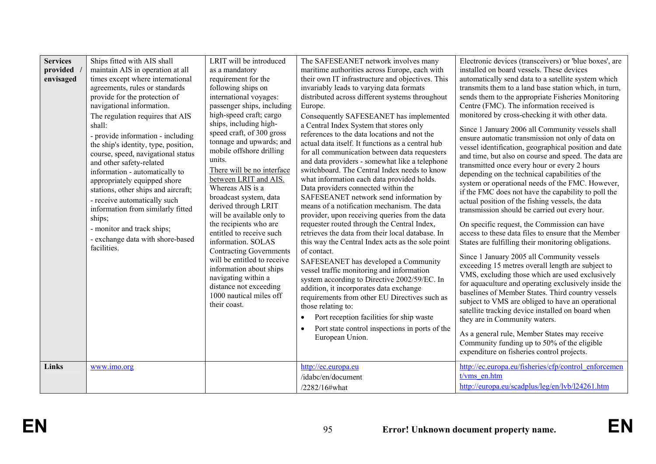| <b>Services</b><br>provided<br>envisaged | Ships fitted with AIS shall<br>maintain AIS in operation at all<br>times except where international<br>agreements, rules or standards<br>provide for the protection of<br>navigational information.<br>The regulation requires that AIS<br>shall:<br>- provide information - including<br>the ship's identity, type, position,<br>course, speed, navigational status<br>and other safety-related<br>information - automatically to<br>appropriately equipped shore<br>stations, other ships and aircraft;<br>- receive automatically such<br>information from similarly fitted<br>ships;<br>- monitor and track ships;<br>- exchange data with shore-based<br>facilities. | LRIT will be introduced<br>as a mandatory<br>requirement for the<br>following ships on<br>international voyages:<br>passenger ships, including<br>high-speed craft; cargo<br>ships, including high-<br>speed craft, of 300 gross<br>tonnage and upwards; and<br>mobile offshore drilling<br>units.<br>There will be no interface<br>between LRIT and AIS.<br>Whereas AIS is a<br>broadcast system, data<br>derived through LRIT<br>will be available only to<br>the recipients who are<br>entitled to receive such<br>information. SOLAS<br><b>Contracting Governments</b><br>will be entitled to receive<br>information about ships<br>navigating within a<br>distance not exceeding<br>1000 nautical miles off<br>their coast. | The SAFESEANET network involves many<br>maritime authorities across Europe, each with<br>their own IT infrastructure and objectives. This<br>invariably leads to varying data formats<br>distributed across different systems throughout<br>Europe.<br>Consequently SAFESEANET has implemented<br>a Central Index System that stores only<br>references to the data locations and not the<br>actual data itself. It functions as a central hub<br>for all communication between data requesters<br>and data providers - somewhat like a telephone<br>switchboard. The Central Index needs to know<br>what information each data provided holds.<br>Data providers connected within the<br>SAFESEANET network send information by<br>means of a notification mechanism. The data<br>provider, upon receiving queries from the data<br>requester routed through the Central Index,<br>retrieves the data from their local database. In<br>this way the Central Index acts as the sole point<br>of contact.<br>SAFESEANET has developed a Community<br>vessel traffic monitoring and information<br>system according to Directive 2002/59/EC. In<br>addition, it incorporates data exchange<br>requirements from other EU Directives such as<br>those relating to:<br>Port reception facilities for ship waste<br>Port state control inspections in ports of the<br>$\bullet$<br>European Union. | Electronic devices (transceivers) or 'blue boxes', are<br>installed on board vessels. These devices<br>automatically send data to a satellite system which<br>transmits them to a land base station which, in turn,<br>sends them to the appropriate Fisheries Monitoring<br>Centre (FMC). The information received is<br>monitored by cross-checking it with other data.<br>Since 1 January 2006 all Community vessels shall<br>ensure automatic transmission not only of data on<br>vessel identification, geographical position and date<br>and time, but also on course and speed. The data are<br>transmitted once every hour or every 2 hours<br>depending on the technical capabilities of the<br>system or operational needs of the FMC. However,<br>if the FMC does not have the capability to poll the<br>actual position of the fishing vessels, the data<br>transmission should be carried out every hour.<br>On specific request, the Commission can have<br>access to these data files to ensure that the Member<br>States are fulfilling their monitoring obligations.<br>Since 1 January 2005 all Community vessels<br>exceeding 15 metres overall length are subject to<br>VMS, excluding those which are used exclusively<br>for aquaculture and operating exclusively inside the<br>baselines of Member States. Third country vessels<br>subject to VMS are obliged to have an operational<br>satellite tracking device installed on board when<br>they are in Community waters.<br>As a general rule, Member States may receive<br>Community funding up to 50% of the eligible<br>expenditure on fisheries control projects. |
|------------------------------------------|---------------------------------------------------------------------------------------------------------------------------------------------------------------------------------------------------------------------------------------------------------------------------------------------------------------------------------------------------------------------------------------------------------------------------------------------------------------------------------------------------------------------------------------------------------------------------------------------------------------------------------------------------------------------------|----------------------------------------------------------------------------------------------------------------------------------------------------------------------------------------------------------------------------------------------------------------------------------------------------------------------------------------------------------------------------------------------------------------------------------------------------------------------------------------------------------------------------------------------------------------------------------------------------------------------------------------------------------------------------------------------------------------------------------|-----------------------------------------------------------------------------------------------------------------------------------------------------------------------------------------------------------------------------------------------------------------------------------------------------------------------------------------------------------------------------------------------------------------------------------------------------------------------------------------------------------------------------------------------------------------------------------------------------------------------------------------------------------------------------------------------------------------------------------------------------------------------------------------------------------------------------------------------------------------------------------------------------------------------------------------------------------------------------------------------------------------------------------------------------------------------------------------------------------------------------------------------------------------------------------------------------------------------------------------------------------------------------------------------------------------------------------------------------------------------------------------------|--------------------------------------------------------------------------------------------------------------------------------------------------------------------------------------------------------------------------------------------------------------------------------------------------------------------------------------------------------------------------------------------------------------------------------------------------------------------------------------------------------------------------------------------------------------------------------------------------------------------------------------------------------------------------------------------------------------------------------------------------------------------------------------------------------------------------------------------------------------------------------------------------------------------------------------------------------------------------------------------------------------------------------------------------------------------------------------------------------------------------------------------------------------------------------------------------------------------------------------------------------------------------------------------------------------------------------------------------------------------------------------------------------------------------------------------------------------------------------------------------------------------------------------------------------------------------------------------------------------------------------------------------|
| Links                                    | www.imo.org                                                                                                                                                                                                                                                                                                                                                                                                                                                                                                                                                                                                                                                               |                                                                                                                                                                                                                                                                                                                                                                                                                                                                                                                                                                                                                                                                                                                                  | http://ec.europa.eu<br>/idabc/en/document<br>/2282/16#what                                                                                                                                                                                                                                                                                                                                                                                                                                                                                                                                                                                                                                                                                                                                                                                                                                                                                                                                                                                                                                                                                                                                                                                                                                                                                                                                    | http://ec.europa.eu/fisheries/cfp/control enforcemen<br>t/vms en.htm<br>http://europa.eu/scadplus/leg/en/lvb/l24261.htm                                                                                                                                                                                                                                                                                                                                                                                                                                                                                                                                                                                                                                                                                                                                                                                                                                                                                                                                                                                                                                                                                                                                                                                                                                                                                                                                                                                                                                                                                                                          |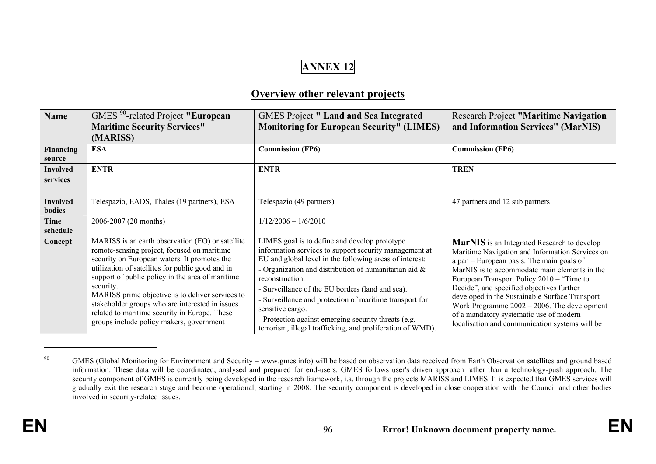# **ANNEX 12**

## **Overview other relevant projects**

| <b>Name</b>                      | GMES <sup>90</sup> -related Project "European<br><b>Maritime Security Services"</b><br>(MARISS)                                                                                                                                                                                                                                                                                                                                                                          | <b>GMES Project " Land and Sea Integrated</b><br><b>Monitoring for European Security" (LIMES)</b>                                                                                                                                                                                                                                                                                                                                                                                                          | <b>Research Project "Maritime Navigation</b><br>and Information Services" (MarNIS)                                                                                                                                                                                                                                                                                                                                                                                                        |
|----------------------------------|--------------------------------------------------------------------------------------------------------------------------------------------------------------------------------------------------------------------------------------------------------------------------------------------------------------------------------------------------------------------------------------------------------------------------------------------------------------------------|------------------------------------------------------------------------------------------------------------------------------------------------------------------------------------------------------------------------------------------------------------------------------------------------------------------------------------------------------------------------------------------------------------------------------------------------------------------------------------------------------------|-------------------------------------------------------------------------------------------------------------------------------------------------------------------------------------------------------------------------------------------------------------------------------------------------------------------------------------------------------------------------------------------------------------------------------------------------------------------------------------------|
| Financing<br>source              | <b>ESA</b>                                                                                                                                                                                                                                                                                                                                                                                                                                                               | <b>Commission (FP6)</b>                                                                                                                                                                                                                                                                                                                                                                                                                                                                                    | <b>Commission (FP6)</b>                                                                                                                                                                                                                                                                                                                                                                                                                                                                   |
| <b>Involved</b><br>services      | <b>ENTR</b>                                                                                                                                                                                                                                                                                                                                                                                                                                                              | <b>ENTR</b>                                                                                                                                                                                                                                                                                                                                                                                                                                                                                                | <b>TREN</b>                                                                                                                                                                                                                                                                                                                                                                                                                                                                               |
| <b>Involved</b><br><b>bodies</b> | Telespazio, EADS, Thales (19 partners), ESA                                                                                                                                                                                                                                                                                                                                                                                                                              | Telespazio (49 partners)                                                                                                                                                                                                                                                                                                                                                                                                                                                                                   | 47 partners and 12 sub partners                                                                                                                                                                                                                                                                                                                                                                                                                                                           |
| Time<br>schedule                 | 2006-2007 (20 months)                                                                                                                                                                                                                                                                                                                                                                                                                                                    | $1/12/2006 - 1/6/2010$                                                                                                                                                                                                                                                                                                                                                                                                                                                                                     |                                                                                                                                                                                                                                                                                                                                                                                                                                                                                           |
| Concept                          | MARISS is an earth observation (EO) or satellite<br>remote-sensing project, focused on maritime<br>security on European waters. It promotes the<br>utilization of satellites for public good and in<br>support of public policy in the area of maritime<br>security.<br>MARISS prime objective is to deliver services to<br>stakeholder groups who are interested in issues<br>related to maritime security in Europe. These<br>groups include policy makers, government | LIMES goal is to define and develop prototype<br>information services to support security management at<br>EU and global level in the following areas of interest:<br>- Organization and distribution of humanitarian aid $\&$<br>reconstruction.<br>- Surveillance of the EU borders (land and sea).<br>- Surveillance and protection of maritime transport for<br>sensitive cargo.<br>- Protection against emerging security threats (e.g.<br>terrorism, illegal trafficking, and proliferation of WMD). | MarNIS is an Integrated Research to develop<br>Maritime Navigation and Information Services on<br>a pan – European basis. The main goals of<br>MarNIS is to accommodate main elements in the<br>European Transport Policy $2010 -$ "Time to<br>Decide", and specified objectives further<br>developed in the Sustainable Surface Transport<br>Work Programme $2002 - 2006$ . The development<br>of a mandatory systematic use of modern<br>localisation and communication systems will be |

<sup>&</sup>lt;sup>90</sup> GMES (Global Monitoring for Environment and Security – www.gmes.info) will be based on observation data received from Earth Observation satellites and ground based information. These data will be coordinated, analysed and prepared for end-users. GMES follows user's driven approach rather than a technology-push approach. The security component of GMES is currently being developed in the research framework, i.a. through the projects MARISS and LIMES. It is expected that GMES services will gradually exit the research stage and become operational, starting in 2008. The security component is developed in close cooperation with the Council and other bodies involved in security-related issues.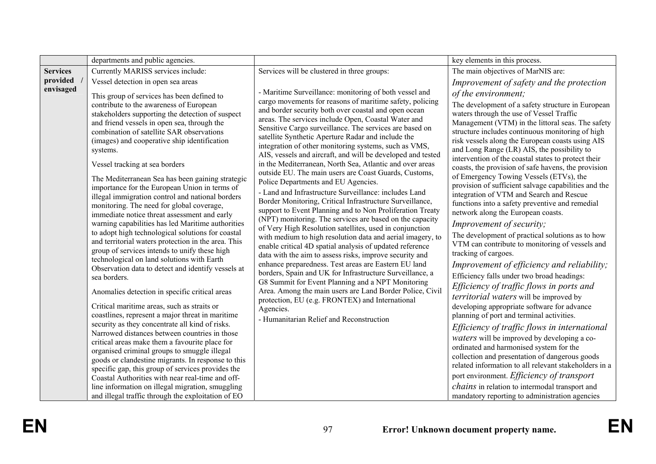|                 | departments and public agencies.                                                                                                                                                                                                                                                                                                                                                                                                                                                                                                                                                                                                                                                                                                                                                                                                                                                                                                                                                                                                                                                                                                                                                                                                                                                                                                                                                                                                                                                                                                                                    |                                                                                                                                                                                                                                                                                                                                                                                                                                                                                                                                                                                                                                                                                                                                                                                                                                                                                                                                                                                                                                                                                                                                                                                                                                                                                                                                                                                                                                                                                       | key elements in this process.                                                                                                                                                                                                                                                                                                                                                                                                                                                                                                                                                                                                                                                                                                                                                                                                                                                                                                                                                                                                                                                                                                                                                                                                                                                                                                                                                                                                                                                                                                                |
|-----------------|---------------------------------------------------------------------------------------------------------------------------------------------------------------------------------------------------------------------------------------------------------------------------------------------------------------------------------------------------------------------------------------------------------------------------------------------------------------------------------------------------------------------------------------------------------------------------------------------------------------------------------------------------------------------------------------------------------------------------------------------------------------------------------------------------------------------------------------------------------------------------------------------------------------------------------------------------------------------------------------------------------------------------------------------------------------------------------------------------------------------------------------------------------------------------------------------------------------------------------------------------------------------------------------------------------------------------------------------------------------------------------------------------------------------------------------------------------------------------------------------------------------------------------------------------------------------|---------------------------------------------------------------------------------------------------------------------------------------------------------------------------------------------------------------------------------------------------------------------------------------------------------------------------------------------------------------------------------------------------------------------------------------------------------------------------------------------------------------------------------------------------------------------------------------------------------------------------------------------------------------------------------------------------------------------------------------------------------------------------------------------------------------------------------------------------------------------------------------------------------------------------------------------------------------------------------------------------------------------------------------------------------------------------------------------------------------------------------------------------------------------------------------------------------------------------------------------------------------------------------------------------------------------------------------------------------------------------------------------------------------------------------------------------------------------------------------|----------------------------------------------------------------------------------------------------------------------------------------------------------------------------------------------------------------------------------------------------------------------------------------------------------------------------------------------------------------------------------------------------------------------------------------------------------------------------------------------------------------------------------------------------------------------------------------------------------------------------------------------------------------------------------------------------------------------------------------------------------------------------------------------------------------------------------------------------------------------------------------------------------------------------------------------------------------------------------------------------------------------------------------------------------------------------------------------------------------------------------------------------------------------------------------------------------------------------------------------------------------------------------------------------------------------------------------------------------------------------------------------------------------------------------------------------------------------------------------------------------------------------------------------|
| <b>Services</b> | Currently MARISS services include:                                                                                                                                                                                                                                                                                                                                                                                                                                                                                                                                                                                                                                                                                                                                                                                                                                                                                                                                                                                                                                                                                                                                                                                                                                                                                                                                                                                                                                                                                                                                  | Services will be clustered in three groups:                                                                                                                                                                                                                                                                                                                                                                                                                                                                                                                                                                                                                                                                                                                                                                                                                                                                                                                                                                                                                                                                                                                                                                                                                                                                                                                                                                                                                                           | The main objectives of MarNIS are:                                                                                                                                                                                                                                                                                                                                                                                                                                                                                                                                                                                                                                                                                                                                                                                                                                                                                                                                                                                                                                                                                                                                                                                                                                                                                                                                                                                                                                                                                                           |
| provided        | Vessel detection in open sea areas                                                                                                                                                                                                                                                                                                                                                                                                                                                                                                                                                                                                                                                                                                                                                                                                                                                                                                                                                                                                                                                                                                                                                                                                                                                                                                                                                                                                                                                                                                                                  |                                                                                                                                                                                                                                                                                                                                                                                                                                                                                                                                                                                                                                                                                                                                                                                                                                                                                                                                                                                                                                                                                                                                                                                                                                                                                                                                                                                                                                                                                       | Improvement of safety and the protection                                                                                                                                                                                                                                                                                                                                                                                                                                                                                                                                                                                                                                                                                                                                                                                                                                                                                                                                                                                                                                                                                                                                                                                                                                                                                                                                                                                                                                                                                                     |
| envisaged       | This group of services has been defined to<br>contribute to the awareness of European<br>stakeholders supporting the detection of suspect<br>and friend vessels in open sea, through the<br>combination of satellite SAR observations<br>(images) and cooperative ship identification<br>systems.<br>Vessel tracking at sea borders<br>The Mediterranean Sea has been gaining strategic<br>importance for the European Union in terms of<br>illegal immigration control and national borders<br>monitoring. The need for global coverage,<br>immediate notice threat assessment and early<br>warning capabilities has led Maritime authorities<br>to adopt high technological solutions for coastal<br>and territorial waters protection in the area. This<br>group of services intends to unify these high<br>technological on land solutions with Earth<br>Observation data to detect and identify vessels at<br>sea borders.<br>Anomalies detection in specific critical areas<br>Critical maritime areas, such as straits or<br>coastlines, represent a major threat in maritime<br>security as they concentrate all kind of risks.<br>Narrowed distances between countries in those<br>critical areas make them a favourite place for<br>organised criminal groups to smuggle illegal<br>goods or clandestine migrants. In response to this<br>specific gap, this group of services provides the<br>Coastal Authorities with near real-time and off-<br>line information on illegal migration, smuggling<br>and illegal traffic through the exploitation of EO | - Maritime Surveillance: monitoring of both vessel and<br>cargo movements for reasons of maritime safety, policing<br>and border security both over coastal and open ocean<br>areas. The services include Open, Coastal Water and<br>Sensitive Cargo surveillance. The services are based on<br>satellite Synthetic Aperture Radar and include the<br>integration of other monitoring systems, such as VMS,<br>AIS, vessels and aircraft, and will be developed and tested<br>in the Mediterranean, North Sea, Atlantic and over areas<br>outside EU. The main users are Coast Guards, Customs,<br>Police Departments and EU Agencies.<br>- Land and Infrastructure Surveillance: includes Land<br>Border Monitoring, Critical Infrastructure Surveillance,<br>support to Event Planning and to Non Proliferation Treaty<br>(NPT) monitoring. The services are based on the capacity<br>of Very High Resolution satellites, used in conjunction<br>with medium to high resolution data and aerial imagery, to<br>enable critical 4D spatial analysis of updated reference<br>data with the aim to assess risks, improve security and<br>enhance preparedness. Test areas are Eastern EU land<br>borders, Spain and UK for Infrastructure Surveillance, a<br>G8 Summit for Event Planning and a NPT Monitoring<br>Area. Among the main users are Land Border Police, Civil<br>protection, EU (e.g. FRONTEX) and International<br>Agencies.<br>- Humanitarian Relief and Reconstruction | of the environment;<br>The development of a safety structure in European<br>waters through the use of Vessel Traffic<br>Management (VTM) in the littoral seas. The safety<br>structure includes continuous monitoring of high<br>risk vessels along the European coasts using AIS<br>and Long Range (LR) AIS, the possibility to<br>intervention of the coastal states to protect their<br>coasts, the provision of safe havens, the provision<br>of Emergency Towing Vessels (ETVs), the<br>provision of sufficient salvage capabilities and the<br>integration of VTM and Search and Rescue<br>functions into a safety preventive and remedial<br>network along the European coasts.<br>Improvement of security;<br>The development of practical solutions as to how<br>VTM can contribute to monitoring of vessels and<br>tracking of cargoes.<br>Improvement of efficiency and reliability;<br>Efficiency falls under two broad headings:<br>Efficiency of traffic flows in ports and<br>territorial waters will be improved by<br>developing appropriate software for advance<br>planning of port and terminal activities.<br>Efficiency of traffic flows in international<br>waters will be improved by developing a co-<br>ordinated and harmonised system for the<br>collection and presentation of dangerous goods<br>related information to all relevant stakeholders in a<br>port environment. Efficiency of transport<br><i>chains</i> in relation to intermodal transport and<br>mandatory reporting to administration agencies |